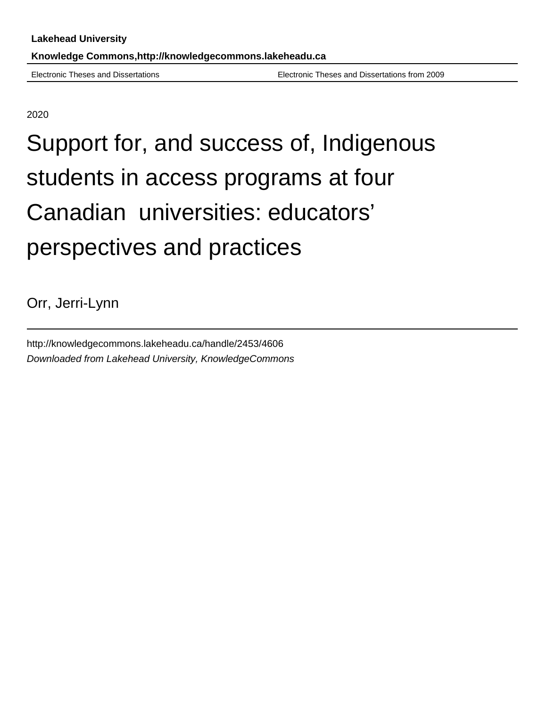Electronic Theses and Dissertations Electronic Theses and Dissertations from 2009

2020

# Support for, and success of, Indigenous students in access programs at four Canadian universities: educators' perspectives and practices

Orr, Jerri-Lynn

http://knowledgecommons.lakeheadu.ca/handle/2453/4606 Downloaded from Lakehead University, KnowledgeCommons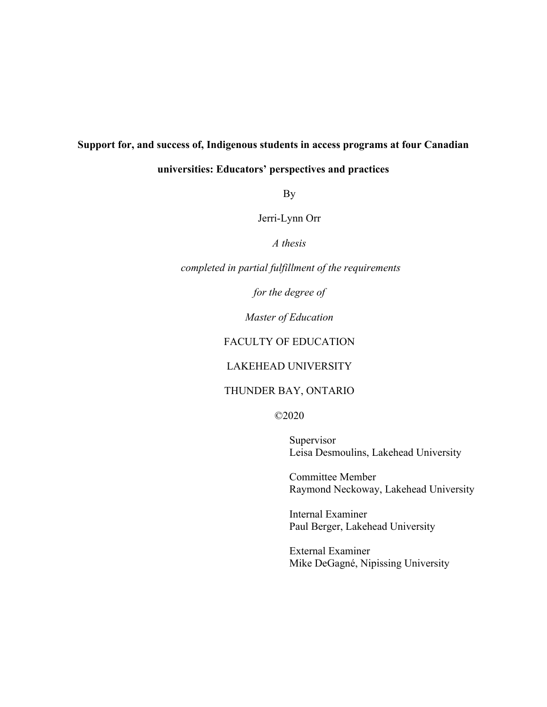# **Support for, and success of, Indigenous students in access programs at four Canadian**

# **universities: Educators' perspectives and practices**

By

Jerri-Lynn Orr

*A thesis*

*completed in partial fulfillment of the requirements*

*for the degree of* 

*Master of Education*

## FACULTY OF EDUCATION

## LAKEHEAD UNIVERSITY

# THUNDER BAY, ONTARIO

©2020

Supervisor Leisa Desmoulins, Lakehead University

Committee Member Raymond Neckoway, Lakehead University

Internal Examiner Paul Berger, Lakehead University

External Examiner Mike DeGagné, Nipissing University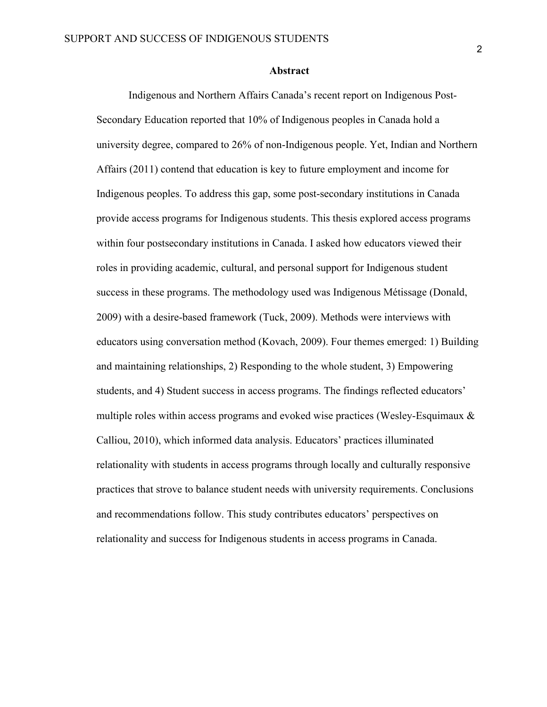#### **Abstract**

Indigenous and Northern Affairs Canada's recent report on Indigenous Post-Secondary Education reported that 10% of Indigenous peoples in Canada hold a university degree, compared to 26% of non-Indigenous people. Yet, Indian and Northern Affairs (2011) contend that education is key to future employment and income for Indigenous peoples. To address this gap, some post-secondary institutions in Canada provide access programs for Indigenous students. This thesis explored access programs within four postsecondary institutions in Canada. I asked how educators viewed their roles in providing academic, cultural, and personal support for Indigenous student success in these programs. The methodology used was Indigenous Métissage (Donald, 2009) with a desire-based framework (Tuck, 2009). Methods were interviews with educators using conversation method (Kovach, 2009). Four themes emerged: 1) Building and maintaining relationships, 2) Responding to the whole student, 3) Empowering students, and 4) Student success in access programs. The findings reflected educators' multiple roles within access programs and evoked wise practices (Wesley-Esquimaux  $\&$ Calliou, 2010), which informed data analysis. Educators' practices illuminated relationality with students in access programs through locally and culturally responsive practices that strove to balance student needs with university requirements. Conclusions and recommendations follow. This study contributes educators' perspectives on relationality and success for Indigenous students in access programs in Canada.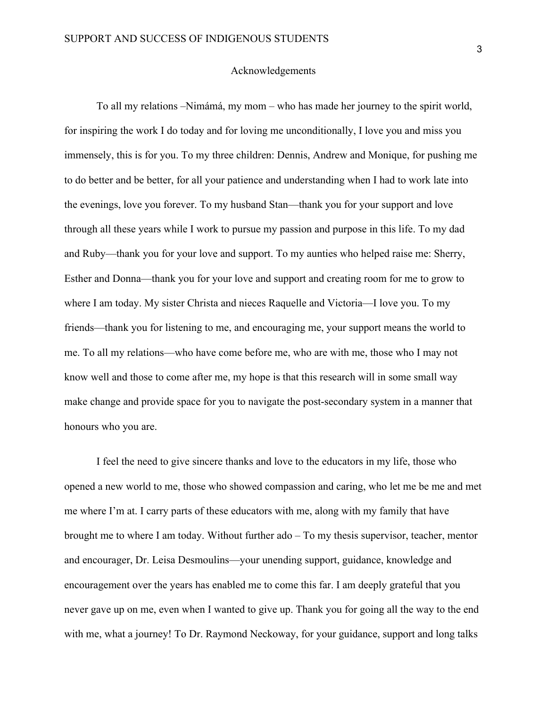#### Acknowledgements

To all my relations –Nimámá, my mom – who has made her journey to the spirit world, for inspiring the work I do today and for loving me unconditionally, I love you and miss you immensely, this is for you. To my three children: Dennis, Andrew and Monique, for pushing me to do better and be better, for all your patience and understanding when I had to work late into the evenings, love you forever. To my husband Stan—thank you for your support and love through all these years while I work to pursue my passion and purpose in this life. To my dad and Ruby—thank you for your love and support. To my aunties who helped raise me: Sherry, Esther and Donna—thank you for your love and support and creating room for me to grow to where I am today. My sister Christa and nieces Raquelle and Victoria—I love you. To my friends—thank you for listening to me, and encouraging me, your support means the world to me. To all my relations—who have come before me, who are with me, those who I may not know well and those to come after me, my hope is that this research will in some small way make change and provide space for you to navigate the post-secondary system in a manner that honours who you are.

I feel the need to give sincere thanks and love to the educators in my life, those who opened a new world to me, those who showed compassion and caring, who let me be me and met me where I'm at. I carry parts of these educators with me, along with my family that have brought me to where I am today. Without further ado – To my thesis supervisor, teacher, mentor and encourager, Dr. Leisa Desmoulins—your unending support, guidance, knowledge and encouragement over the years has enabled me to come this far. I am deeply grateful that you never gave up on me, even when I wanted to give up. Thank you for going all the way to the end with me, what a journey! To Dr. Raymond Neckoway, for your guidance, support and long talks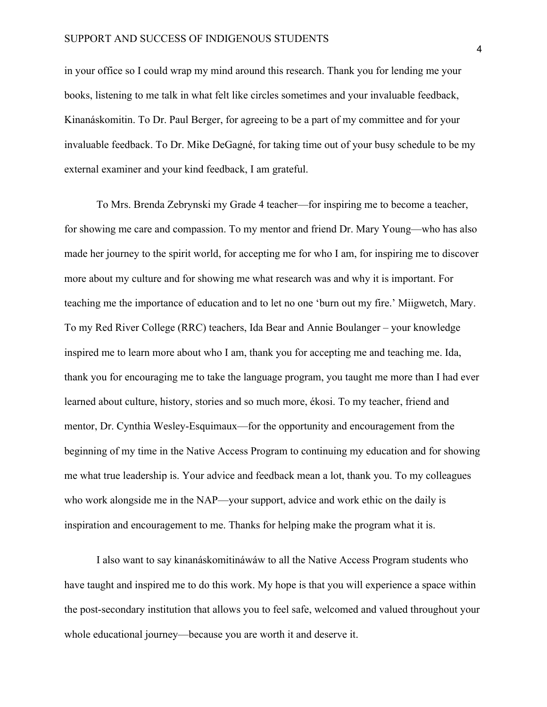in your office so I could wrap my mind around this research. Thank you for lending me your books, listening to me talk in what felt like circles sometimes and your invaluable feedback, Kinanáskomitin. To Dr. Paul Berger, for agreeing to be a part of my committee and for your invaluable feedback. To Dr. Mike DeGagné, for taking time out of your busy schedule to be my external examiner and your kind feedback, I am grateful.

To Mrs. Brenda Zebrynski my Grade 4 teacher—for inspiring me to become a teacher, for showing me care and compassion. To my mentor and friend Dr. Mary Young—who has also made her journey to the spirit world, for accepting me for who I am, for inspiring me to discover more about my culture and for showing me what research was and why it is important. For teaching me the importance of education and to let no one 'burn out my fire.' Miigwetch, Mary. To my Red River College (RRC) teachers, Ida Bear and Annie Boulanger – your knowledge inspired me to learn more about who I am, thank you for accepting me and teaching me. Ida, thank you for encouraging me to take the language program, you taught me more than I had ever learned about culture, history, stories and so much more, ékosi. To my teacher, friend and mentor, Dr. Cynthia Wesley-Esquimaux—for the opportunity and encouragement from the beginning of my time in the Native Access Program to continuing my education and for showing me what true leadership is. Your advice and feedback mean a lot, thank you. To my colleagues who work alongside me in the NAP—your support, advice and work ethic on the daily is inspiration and encouragement to me. Thanks for helping make the program what it is.

I also want to say kinanáskomitináwáw to all the Native Access Program students who have taught and inspired me to do this work. My hope is that you will experience a space within the post-secondary institution that allows you to feel safe, welcomed and valued throughout your whole educational journey—because you are worth it and deserve it.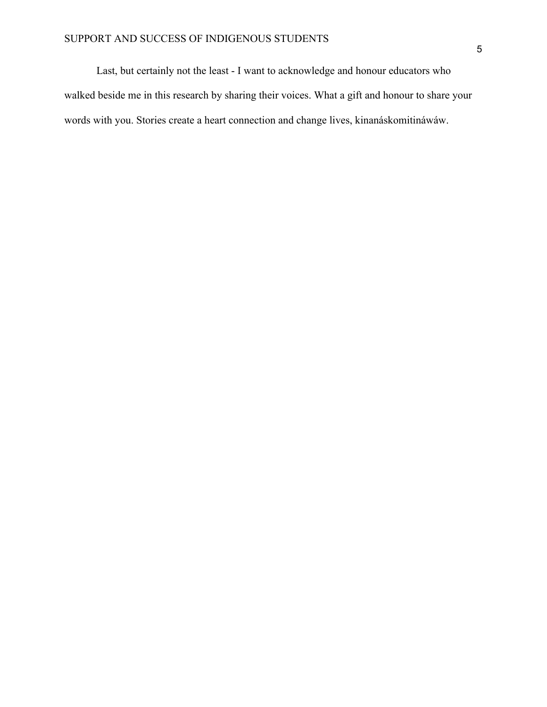Last, but certainly not the least - I want to acknowledge and honour educators who walked beside me in this research by sharing their voices. What a gift and honour to share your words with you. Stories create a heart connection and change lives, kinanáskomitináwáw.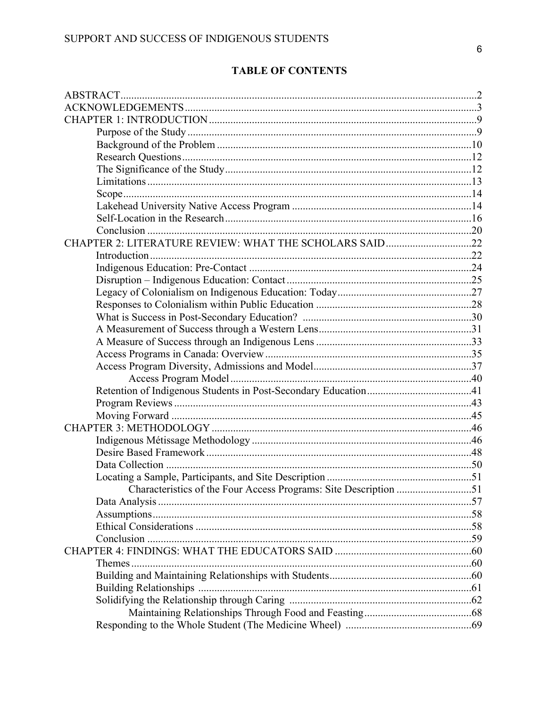# **TABLE OF CONTENTS**

| CHAPTER 2: LITERATURE REVIEW: WHAT THE SCHOLARS SAID22           |  |
|------------------------------------------------------------------|--|
|                                                                  |  |
|                                                                  |  |
|                                                                  |  |
|                                                                  |  |
|                                                                  |  |
|                                                                  |  |
|                                                                  |  |
|                                                                  |  |
|                                                                  |  |
|                                                                  |  |
|                                                                  |  |
|                                                                  |  |
|                                                                  |  |
|                                                                  |  |
|                                                                  |  |
|                                                                  |  |
|                                                                  |  |
|                                                                  |  |
|                                                                  |  |
| Characteristics of the Four Access Programs: Site Description 51 |  |
|                                                                  |  |
|                                                                  |  |
|                                                                  |  |
|                                                                  |  |
|                                                                  |  |
|                                                                  |  |
|                                                                  |  |
|                                                                  |  |
|                                                                  |  |
|                                                                  |  |
|                                                                  |  |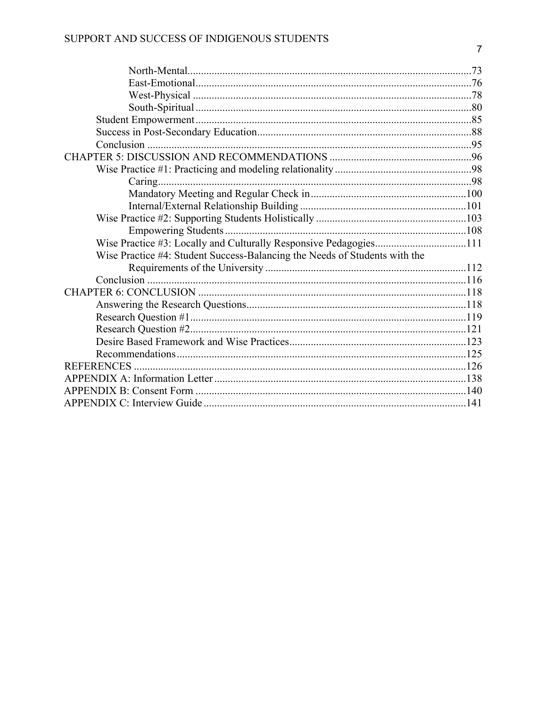| Wise Practice #4: Student Success-Balancing the Needs of Students with the |  |
|----------------------------------------------------------------------------|--|
|                                                                            |  |
|                                                                            |  |
|                                                                            |  |
|                                                                            |  |
|                                                                            |  |
|                                                                            |  |
|                                                                            |  |
|                                                                            |  |
|                                                                            |  |
|                                                                            |  |
|                                                                            |  |
|                                                                            |  |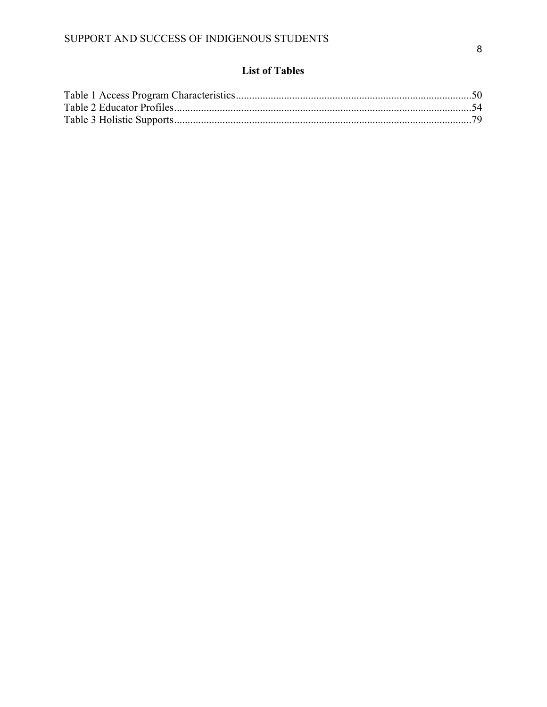# **List of Tables**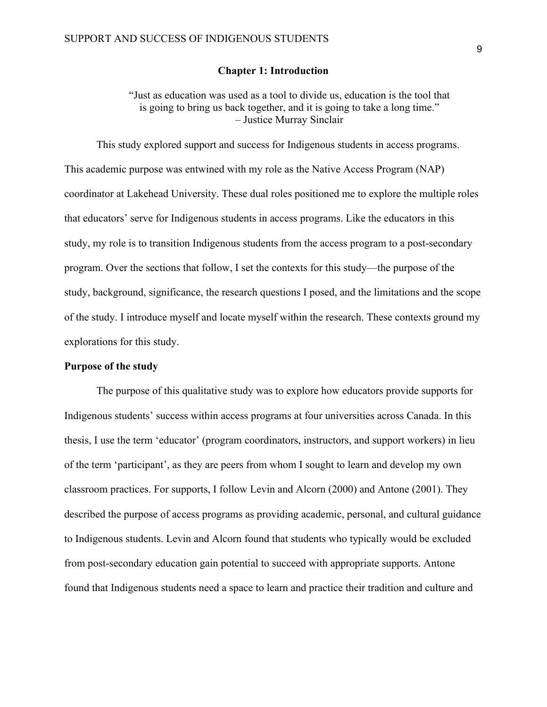#### **Chapter 1: Introduction**

"Just as education was used as a tool to divide us, education is the tool that is going to bring us back together, and it is going to take a long time." – Justice Murray Sinclair

This study explored support and success for Indigenous students in access programs. This academic purpose was entwined with my role as the Native Access Program (NAP) coordinator at Lakehead University. These dual roles positioned me to explore the multiple roles that educators' serve for Indigenous students in access programs. Like the educators in this study, my role is to transition Indigenous students from the access program to a post-secondary program. Over the sections that follow, I set the contexts for this study—the purpose of the study, background, significance, the research questions I posed, and the limitations and the scope of the study. I introduce myself and locate myself within the research. These contexts ground my explorations for this study.

#### **Purpose of the study**

The purpose of this qualitative study was to explore how educators provide supports for Indigenous students' success within access programs at four universities across Canada. In this thesis, I use the term 'educator' (program coordinators, instructors, and support workers) in lieu of the term 'participant', as they are peers from whom I sought to learn and develop my own classroom practices. For supports, I follow Levin and Alcorn (2000) and Antone (2001). They described the purpose of access programs as providing academic, personal, and cultural guidance to Indigenous students. Levin and Alcorn found that students who typically would be excluded from post-secondary education gain potential to succeed with appropriate supports. Antone found that Indigenous students need a space to learn and practice their tradition and culture and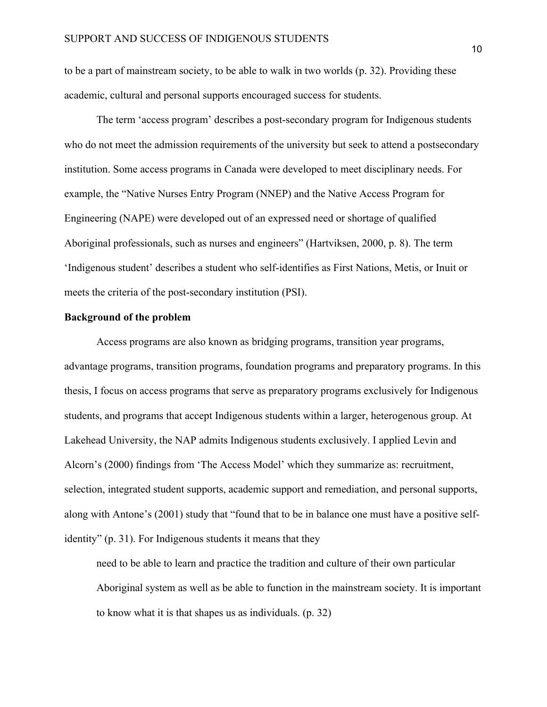to be a part of mainstream society, to be able to walk in two worlds (p. 32). Providing these academic, cultural and personal supports encouraged success for students.

The term 'access program' describes a post-secondary program for Indigenous students who do not meet the admission requirements of the university but seek to attend a postsecondary institution. Some access programs in Canada were developed to meet disciplinary needs. For example, the "Native Nurses Entry Program (NNEP) and the Native Access Program for Engineering (NAPE) were developed out of an expressed need or shortage of qualified Aboriginal professionals, such as nurses and engineers" (Hartviksen, 2000, p. 8). The term 'Indigenous student' describes a student who self-identifies as First Nations, Metis, or Inuit or meets the criteria of the post-secondary institution (PSI).

#### **Background of the problem**

Access programs are also known as bridging programs, transition year programs, advantage programs, transition programs, foundation programs and preparatory programs. In this thesis, I focus on access programs that serve as preparatory programs exclusively for Indigenous students, and programs that accept Indigenous students within a larger, heterogenous group. At Lakehead University, the NAP admits Indigenous students exclusively. I applied Levin and Alcorn's (2000) findings from 'The Access Model' which they summarize as: recruitment, selection, integrated student supports, academic support and remediation, and personal supports, along with Antone's (2001) study that "found that to be in balance one must have a positive selfidentity" (p. 31). For Indigenous students it means that they

need to be able to learn and practice the tradition and culture of their own particular Aboriginal system as well as be able to function in the mainstream society. It is important to know what it is that shapes us as individuals. (p. 32)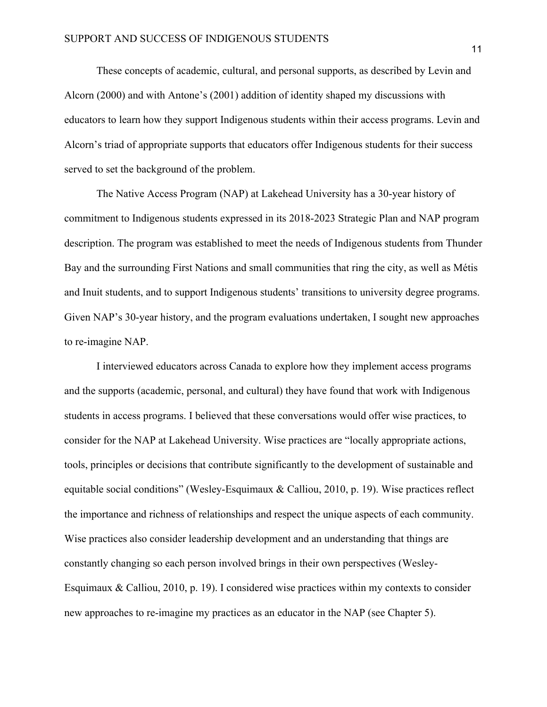These concepts of academic, cultural, and personal supports, as described by Levin and Alcorn (2000) and with Antone's (2001) addition of identity shaped my discussions with educators to learn how they support Indigenous students within their access programs. Levin and Alcorn's triad of appropriate supports that educators offer Indigenous students for their success served to set the background of the problem.

The Native Access Program (NAP) at Lakehead University has a 30-year history of commitment to Indigenous students expressed in its 2018-2023 Strategic Plan and NAP program description. The program was established to meet the needs of Indigenous students from Thunder Bay and the surrounding First Nations and small communities that ring the city, as well as Métis and Inuit students, and to support Indigenous students' transitions to university degree programs. Given NAP's 30-year history, and the program evaluations undertaken, I sought new approaches to re-imagine NAP.

I interviewed educators across Canada to explore how they implement access programs and the supports (academic, personal, and cultural) they have found that work with Indigenous students in access programs. I believed that these conversations would offer wise practices, to consider for the NAP at Lakehead University. Wise practices are "locally appropriate actions, tools, principles or decisions that contribute significantly to the development of sustainable and equitable social conditions" (Wesley-Esquimaux & Calliou, 2010, p. 19). Wise practices reflect the importance and richness of relationships and respect the unique aspects of each community. Wise practices also consider leadership development and an understanding that things are constantly changing so each person involved brings in their own perspectives (Wesley-Esquimaux & Calliou, 2010, p. 19). I considered wise practices within my contexts to consider new approaches to re-imagine my practices as an educator in the NAP (see Chapter 5).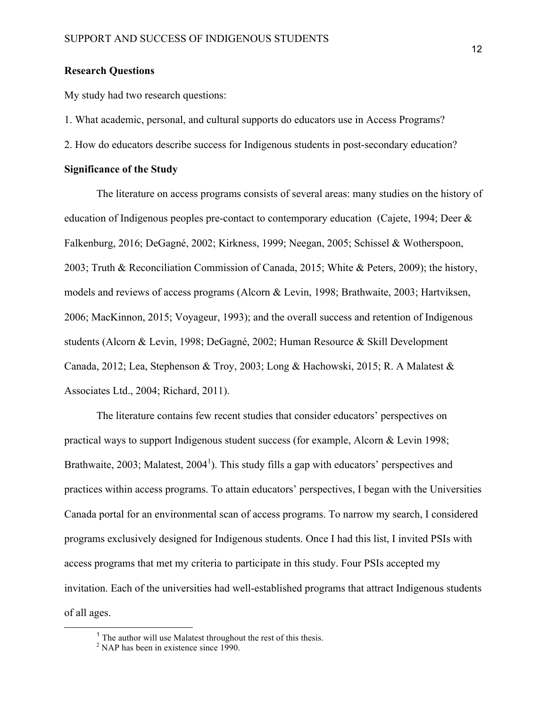#### **Research Questions**

My study had two research questions:

1. What academic, personal, and cultural supports do educators use in Access Programs?

2. How do educators describe success for Indigenous students in post-secondary education?

#### **Significance of the Study**

The literature on access programs consists of several areas: many studies on the history of education of Indigenous peoples pre-contact to contemporary education (Cajete, 1994; Deer & Falkenburg, 2016; DeGagné, 2002; Kirkness, 1999; Neegan, 2005; Schissel & Wotherspoon, 2003; Truth & Reconciliation Commission of Canada, 2015; White & Peters, 2009); the history, models and reviews of access programs (Alcorn & Levin, 1998; Brathwaite, 2003; Hartviksen, 2006; MacKinnon, 2015; Voyageur, 1993); and the overall success and retention of Indigenous students (Alcorn & Levin, 1998; DeGagné, 2002; Human Resource & Skill Development Canada, 2012; Lea, Stephenson & Troy, 2003; Long & Hachowski, 2015; R. A Malatest & Associates Ltd., 2004; Richard, 2011).

The literature contains few recent studies that consider educators' perspectives on practical ways to support Indigenous student success (for example, Alcorn & Levin 1998; Brathwaite, 2003; Malatest, 2004<sup>1</sup>). This study fills a gap with educators' perspectives and practices within access programs. To attain educators' perspectives, I began with the Universities Canada portal for an environmental scan of access programs. To narrow my search, I considered programs exclusively designed for Indigenous students. Once I had this list, I invited PSIs with access programs that met my criteria to participate in this study. Four PSIs accepted my invitation. Each of the universities had well-established programs that attract Indigenous students of all ages.

<sup>&</sup>lt;sup>1</sup> The author will use Malatest throughout the rest of this thesis.

 $2^2$  NAP has been in existence since 1990.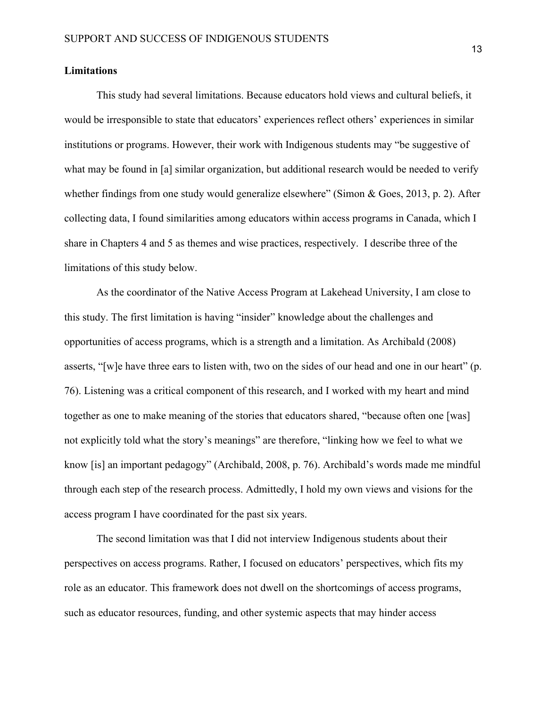#### **Limitations**

This study had several limitations. Because educators hold views and cultural beliefs, it would be irresponsible to state that educators' experiences reflect others' experiences in similar institutions or programs. However, their work with Indigenous students may "be suggestive of what may be found in [a] similar organization, but additional research would be needed to verify whether findings from one study would generalize elsewhere" (Simon  $\&$  Goes, 2013, p. 2). After collecting data, I found similarities among educators within access programs in Canada, which I share in Chapters 4 and 5 as themes and wise practices, respectively. I describe three of the limitations of this study below.

 As the coordinator of the Native Access Program at Lakehead University, I am close to this study. The first limitation is having "insider" knowledge about the challenges and opportunities of access programs, which is a strength and a limitation. As Archibald (2008) asserts, "[w]e have three ears to listen with, two on the sides of our head and one in our heart" (p. 76). Listening was a critical component of this research, and I worked with my heart and mind together as one to make meaning of the stories that educators shared, "because often one [was] not explicitly told what the story's meanings" are therefore, "linking how we feel to what we know [is] an important pedagogy" (Archibald, 2008, p. 76). Archibald's words made me mindful through each step of the research process. Admittedly, I hold my own views and visions for the access program I have coordinated for the past six years.

The second limitation was that I did not interview Indigenous students about their perspectives on access programs. Rather, I focused on educators' perspectives, which fits my role as an educator. This framework does not dwell on the shortcomings of access programs, such as educator resources, funding, and other systemic aspects that may hinder access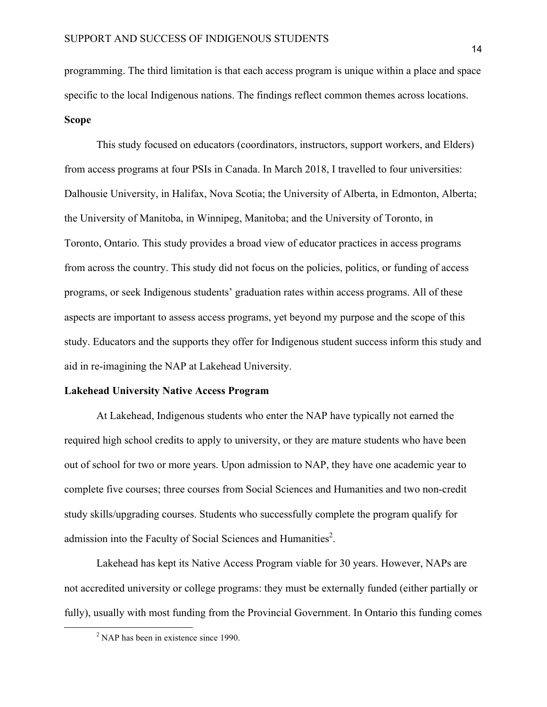programming. The third limitation is that each access program is unique within a place and space specific to the local Indigenous nations. The findings reflect common themes across locations. **Scope**

This study focused on educators (coordinators, instructors, support workers, and Elders) from access programs at four PSIs in Canada. In March 2018, I travelled to four universities: Dalhousie University, in Halifax, Nova Scotia; the University of Alberta, in Edmonton, Alberta; the University of Manitoba, in Winnipeg, Manitoba; and the University of Toronto, in Toronto, Ontario. This study provides a broad view of educator practices in access programs from across the country. This study did not focus on the policies, politics, or funding of access programs, or seek Indigenous students' graduation rates within access programs. All of these aspects are important to assess access programs, yet beyond my purpose and the scope of this study. Educators and the supports they offer for Indigenous student success inform this study and aid in re-imagining the NAP at Lakehead University.

#### **Lakehead University Native Access Program**

At Lakehead, Indigenous students who enter the NAP have typically not earned the required high school credits to apply to university, or they are mature students who have been out of school for two or more years. Upon admission to NAP, they have one academic year to complete five courses; three courses from Social Sciences and Humanities and two non-credit study skills/upgrading courses. Students who successfully complete the program qualify for admission into the Faculty of Social Sciences and Humanities $2$ .

Lakehead has kept its Native Access Program viable for 30 years. However, NAPs are not accredited university or college programs: they must be externally funded (either partially or fully), usually with most funding from the Provincial Government. In Ontario this funding comes

 $2$  NAP has been in existence since 1990.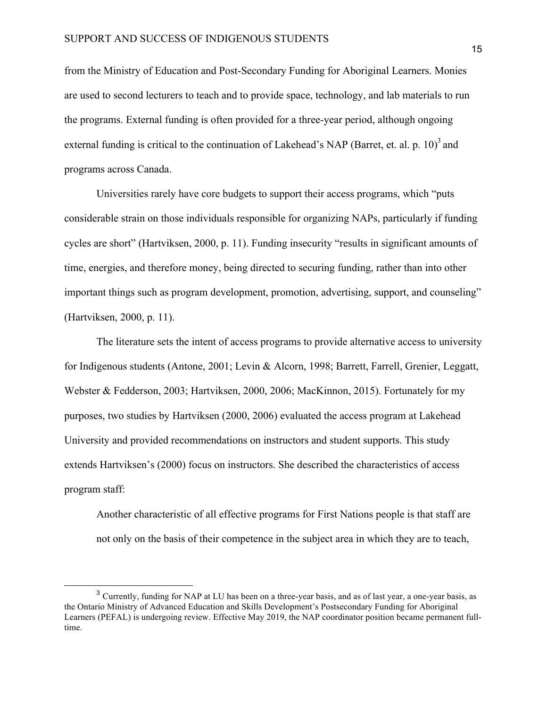from the Ministry of Education and Post-Secondary Funding for Aboriginal Learners. Monies are used to second lecturers to teach and to provide space, technology, and lab materials to run the programs. External funding is often provided for a three-year period, although ongoing external funding is critical to the continuation of Lakehead's NAP (Barret, et. al. p. 10)<sup>3</sup> and programs across Canada.

Universities rarely have core budgets to support their access programs, which "puts considerable strain on those individuals responsible for organizing NAPs, particularly if funding cycles are short" (Hartviksen, 2000, p. 11). Funding insecurity "results in significant amounts of time, energies, and therefore money, being directed to securing funding, rather than into other important things such as program development, promotion, advertising, support, and counseling" (Hartviksen, 2000, p. 11).

The literature sets the intent of access programs to provide alternative access to university for Indigenous students (Antone, 2001; Levin & Alcorn, 1998; Barrett, Farrell, Grenier, Leggatt, Webster & Fedderson, 2003; Hartviksen, 2000, 2006; MacKinnon, 2015). Fortunately for my purposes, two studies by Hartviksen (2000, 2006) evaluated the access program at Lakehead University and provided recommendations on instructors and student supports. This study extends Hartviksen's (2000) focus on instructors. She described the characteristics of access program staff:

Another characteristic of all effective programs for First Nations people is that staff are not only on the basis of their competence in the subject area in which they are to teach,

 <sup>3</sup> Currently, funding for NAP at LU has been on a three-year basis, and as of last year, a one-year basis, as the Ontario Ministry of Advanced Education and Skills Development's Postsecondary Funding for Aboriginal Learners (PEFAL) is undergoing review. Effective May 2019, the NAP coordinator position became permanent fulltime.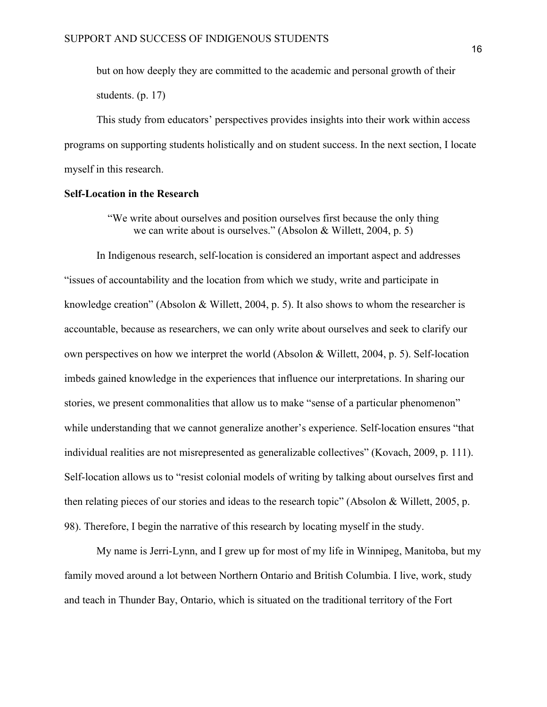but on how deeply they are committed to the academic and personal growth of their students. (p. 17)

This study from educators' perspectives provides insights into their work within access programs on supporting students holistically and on student success. In the next section, I locate myself in this research.

#### **Self-Location in the Research**

"We write about ourselves and position ourselves first because the only thing we can write about is ourselves." (Absolon & Willett, 2004, p. 5)

In Indigenous research, self-location is considered an important aspect and addresses "issues of accountability and the location from which we study, write and participate in knowledge creation" (Absolon & Willett, 2004, p. 5). It also shows to whom the researcher is accountable, because as researchers, we can only write about ourselves and seek to clarify our own perspectives on how we interpret the world (Absolon & Willett, 2004, p. 5). Self-location imbeds gained knowledge in the experiences that influence our interpretations. In sharing our stories, we present commonalities that allow us to make "sense of a particular phenomenon" while understanding that we cannot generalize another's experience. Self-location ensures "that individual realities are not misrepresented as generalizable collectives" (Kovach, 2009, p. 111). Self-location allows us to "resist colonial models of writing by talking about ourselves first and then relating pieces of our stories and ideas to the research topic" (Absolon & Willett, 2005, p. 98). Therefore, I begin the narrative of this research by locating myself in the study.

My name is Jerri-Lynn, and I grew up for most of my life in Winnipeg, Manitoba, but my family moved around a lot between Northern Ontario and British Columbia. I live, work, study and teach in Thunder Bay, Ontario, which is situated on the traditional territory of the Fort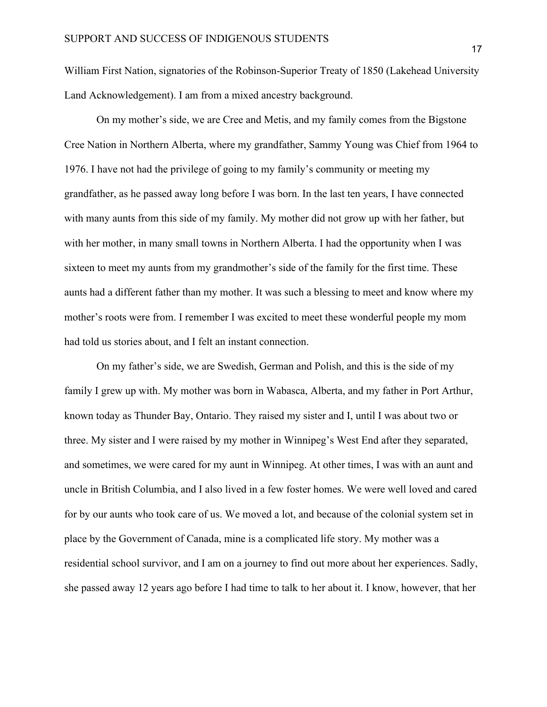William First Nation, signatories of the Robinson-Superior Treaty of 1850 (Lakehead University Land Acknowledgement). I am from a mixed ancestry background.

On my mother's side, we are Cree and Metis, and my family comes from the Bigstone Cree Nation in Northern Alberta, where my grandfather, Sammy Young was Chief from 1964 to 1976. I have not had the privilege of going to my family's community or meeting my grandfather, as he passed away long before I was born. In the last ten years, I have connected with many aunts from this side of my family. My mother did not grow up with her father, but with her mother, in many small towns in Northern Alberta. I had the opportunity when I was sixteen to meet my aunts from my grandmother's side of the family for the first time. These aunts had a different father than my mother. It was such a blessing to meet and know where my mother's roots were from. I remember I was excited to meet these wonderful people my mom had told us stories about, and I felt an instant connection.

On my father's side, we are Swedish, German and Polish, and this is the side of my family I grew up with. My mother was born in Wabasca, Alberta, and my father in Port Arthur, known today as Thunder Bay, Ontario. They raised my sister and I, until I was about two or three. My sister and I were raised by my mother in Winnipeg's West End after they separated, and sometimes, we were cared for my aunt in Winnipeg. At other times, I was with an aunt and uncle in British Columbia, and I also lived in a few foster homes. We were well loved and cared for by our aunts who took care of us. We moved a lot, and because of the colonial system set in place by the Government of Canada, mine is a complicated life story. My mother was a residential school survivor, and I am on a journey to find out more about her experiences. Sadly, she passed away 12 years ago before I had time to talk to her about it. I know, however, that her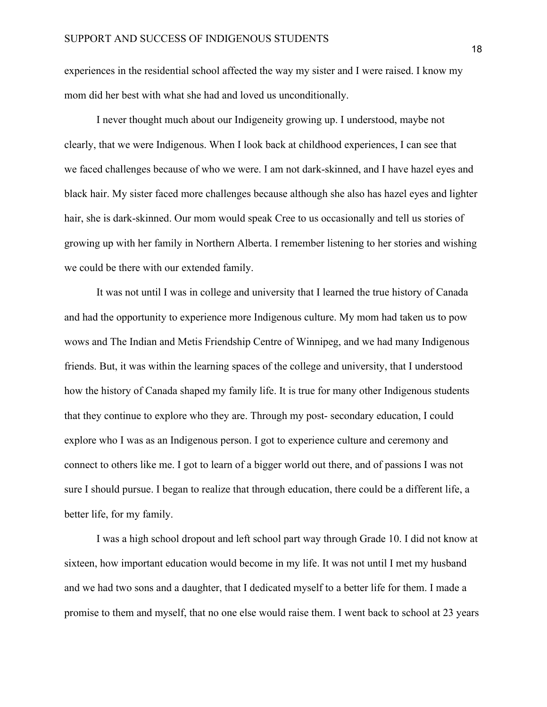experiences in the residential school affected the way my sister and I were raised. I know my mom did her best with what she had and loved us unconditionally.

I never thought much about our Indigeneity growing up. I understood, maybe not clearly, that we were Indigenous. When I look back at childhood experiences, I can see that we faced challenges because of who we were. I am not dark-skinned, and I have hazel eyes and black hair. My sister faced more challenges because although she also has hazel eyes and lighter hair, she is dark-skinned. Our mom would speak Cree to us occasionally and tell us stories of growing up with her family in Northern Alberta. I remember listening to her stories and wishing we could be there with our extended family.

It was not until I was in college and university that I learned the true history of Canada and had the opportunity to experience more Indigenous culture. My mom had taken us to pow wows and The Indian and Metis Friendship Centre of Winnipeg, and we had many Indigenous friends. But, it was within the learning spaces of the college and university, that I understood how the history of Canada shaped my family life. It is true for many other Indigenous students that they continue to explore who they are. Through my post- secondary education, I could explore who I was as an Indigenous person. I got to experience culture and ceremony and connect to others like me. I got to learn of a bigger world out there, and of passions I was not sure I should pursue. I began to realize that through education, there could be a different life, a better life, for my family.

I was a high school dropout and left school part way through Grade 10. I did not know at sixteen, how important education would become in my life. It was not until I met my husband and we had two sons and a daughter, that I dedicated myself to a better life for them. I made a promise to them and myself, that no one else would raise them. I went back to school at 23 years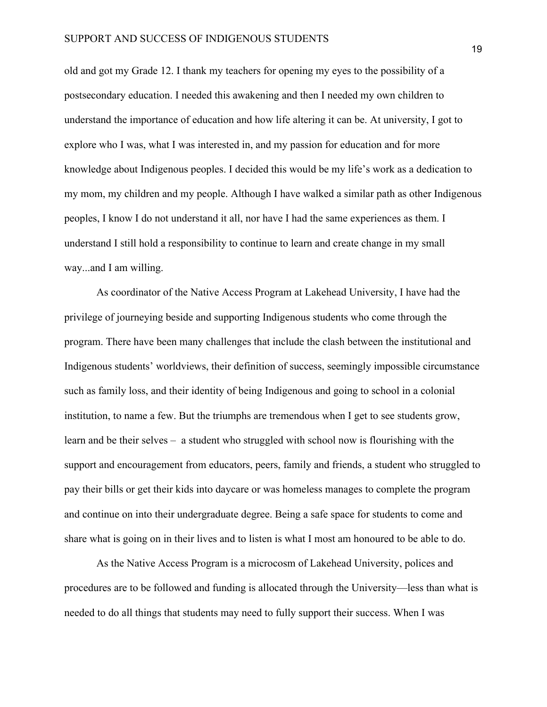old and got my Grade 12. I thank my teachers for opening my eyes to the possibility of a postsecondary education. I needed this awakening and then I needed my own children to understand the importance of education and how life altering it can be. At university, I got to explore who I was, what I was interested in, and my passion for education and for more knowledge about Indigenous peoples. I decided this would be my life's work as a dedication to my mom, my children and my people. Although I have walked a similar path as other Indigenous peoples, I know I do not understand it all, nor have I had the same experiences as them. I understand I still hold a responsibility to continue to learn and create change in my small way...and I am willing.

As coordinator of the Native Access Program at Lakehead University, I have had the privilege of journeying beside and supporting Indigenous students who come through the program. There have been many challenges that include the clash between the institutional and Indigenous students' worldviews, their definition of success, seemingly impossible circumstance such as family loss, and their identity of being Indigenous and going to school in a colonial institution, to name a few. But the triumphs are tremendous when I get to see students grow, learn and be their selves – a student who struggled with school now is flourishing with the support and encouragement from educators, peers, family and friends, a student who struggled to pay their bills or get their kids into daycare or was homeless manages to complete the program and continue on into their undergraduate degree. Being a safe space for students to come and share what is going on in their lives and to listen is what I most am honoured to be able to do.

As the Native Access Program is a microcosm of Lakehead University, polices and procedures are to be followed and funding is allocated through the University—less than what is needed to do all things that students may need to fully support their success. When I was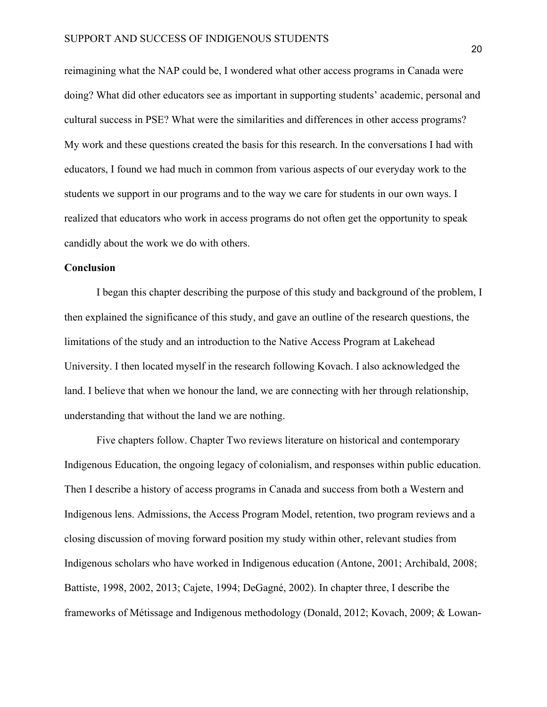reimagining what the NAP could be, I wondered what other access programs in Canada were doing? What did other educators see as important in supporting students' academic, personal and cultural success in PSE? What were the similarities and differences in other access programs? My work and these questions created the basis for this research. In the conversations I had with educators, I found we had much in common from various aspects of our everyday work to the students we support in our programs and to the way we care for students in our own ways. I realized that educators who work in access programs do not often get the opportunity to speak candidly about the work we do with others.

#### **Conclusion**

 I began this chapter describing the purpose of this study and background of the problem, I then explained the significance of this study, and gave an outline of the research questions, the limitations of the study and an introduction to the Native Access Program at Lakehead University. I then located myself in the research following Kovach. I also acknowledged the land. I believe that when we honour the land, we are connecting with her through relationship, understanding that without the land we are nothing.

Five chapters follow. Chapter Two reviews literature on historical and contemporary Indigenous Education, the ongoing legacy of colonialism, and responses within public education. Then I describe a history of access programs in Canada and success from both a Western and Indigenous lens. Admissions, the Access Program Model, retention, two program reviews and a closing discussion of moving forward position my study within other, relevant studies from Indigenous scholars who have worked in Indigenous education (Antone, 2001; Archibald, 2008; Battiste, 1998, 2002, 2013; Cajete, 1994; DeGagné, 2002). In chapter three, I describe the frameworks of Métissage and Indigenous methodology (Donald, 2012; Kovach, 2009; & Lowan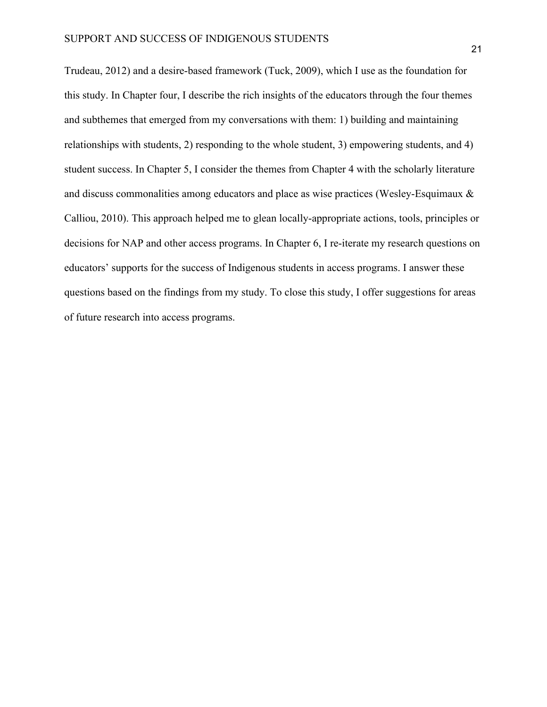Trudeau, 2012) and a desire-based framework (Tuck, 2009), which I use as the foundation for this study. In Chapter four, I describe the rich insights of the educators through the four themes and subthemes that emerged from my conversations with them: 1) building and maintaining relationships with students, 2) responding to the whole student, 3) empowering students, and 4) student success. In Chapter 5, I consider the themes from Chapter 4 with the scholarly literature and discuss commonalities among educators and place as wise practices (Wesley-Esquimaux & Calliou, 2010). This approach helped me to glean locally-appropriate actions, tools, principles or decisions for NAP and other access programs. In Chapter 6, I re-iterate my research questions on educators' supports for the success of Indigenous students in access programs. I answer these questions based on the findings from my study. To close this study, I offer suggestions for areas of future research into access programs.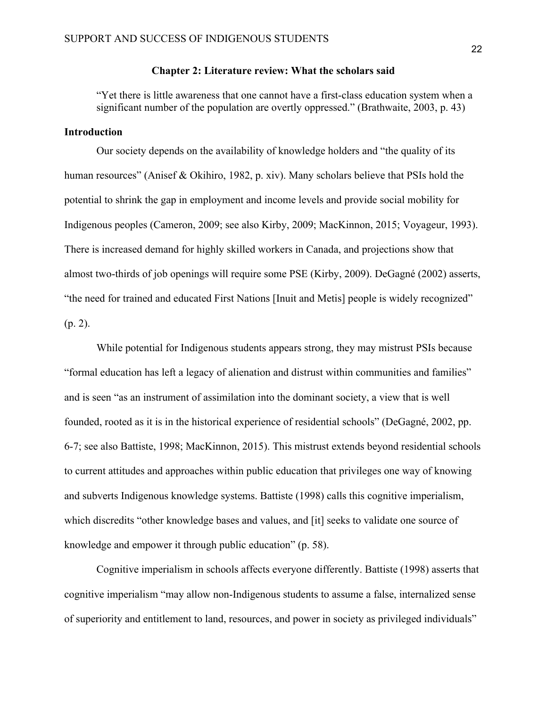#### **Chapter 2: Literature review: What the scholars said**

"Yet there is little awareness that one cannot have a first-class education system when a significant number of the population are overtly oppressed." (Brathwaite, 2003, p. 43)

#### **Introduction**

Our society depends on the availability of knowledge holders and "the quality of its human resources" (Anisef & Okihiro, 1982, p. xiv). Many scholars believe that PSIs hold the potential to shrink the gap in employment and income levels and provide social mobility for Indigenous peoples (Cameron, 2009; see also Kirby, 2009; MacKinnon, 2015; Voyageur, 1993). There is increased demand for highly skilled workers in Canada, and projections show that almost two-thirds of job openings will require some PSE (Kirby, 2009). DeGagné (2002) asserts, "the need for trained and educated First Nations [Inuit and Metis] people is widely recognized" (p. 2).

While potential for Indigenous students appears strong, they may mistrust PSIs because "formal education has left a legacy of alienation and distrust within communities and families" and is seen "as an instrument of assimilation into the dominant society, a view that is well founded, rooted as it is in the historical experience of residential schools" (DeGagné, 2002, pp. 6-7; see also Battiste, 1998; MacKinnon, 2015). This mistrust extends beyond residential schools to current attitudes and approaches within public education that privileges one way of knowing and subverts Indigenous knowledge systems. Battiste (1998) calls this cognitive imperialism, which discredits "other knowledge bases and values, and [it] seeks to validate one source of knowledge and empower it through public education" (p. 58).

Cognitive imperialism in schools affects everyone differently. Battiste (1998) asserts that cognitive imperialism "may allow non-Indigenous students to assume a false, internalized sense of superiority and entitlement to land, resources, and power in society as privileged individuals"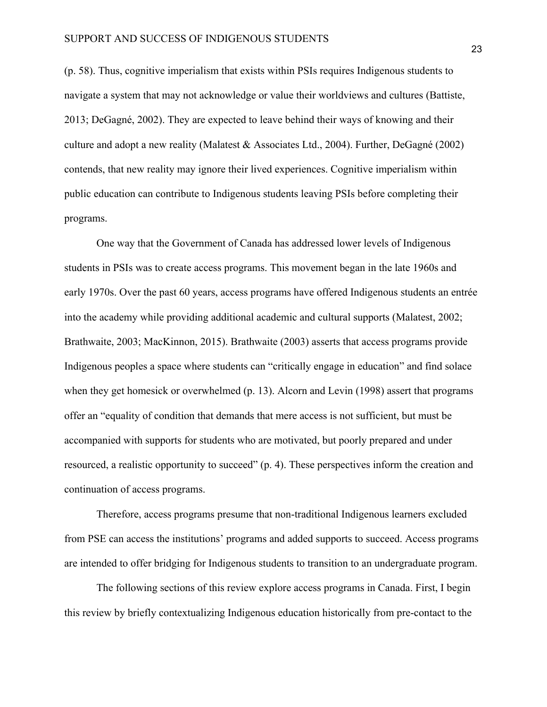(p. 58). Thus, cognitive imperialism that exists within PSIs requires Indigenous students to navigate a system that may not acknowledge or value their worldviews and cultures (Battiste, 2013; DeGagné, 2002). They are expected to leave behind their ways of knowing and their culture and adopt a new reality (Malatest & Associates Ltd., 2004). Further, DeGagné (2002) contends, that new reality may ignore their lived experiences. Cognitive imperialism within public education can contribute to Indigenous students leaving PSIs before completing their programs.

One way that the Government of Canada has addressed lower levels of Indigenous students in PSIs was to create access programs. This movement began in the late 1960s and early 1970s. Over the past 60 years, access programs have offered Indigenous students an entrée into the academy while providing additional academic and cultural supports (Malatest, 2002; Brathwaite, 2003; MacKinnon, 2015). Brathwaite (2003) asserts that access programs provide Indigenous peoples a space where students can "critically engage in education" and find solace when they get homesick or overwhelmed (p. 13). Alcorn and Levin (1998) assert that programs offer an "equality of condition that demands that mere access is not sufficient, but must be accompanied with supports for students who are motivated, but poorly prepared and under resourced, a realistic opportunity to succeed" (p. 4). These perspectives inform the creation and continuation of access programs.

Therefore, access programs presume that non-traditional Indigenous learners excluded from PSE can access the institutions' programs and added supports to succeed. Access programs are intended to offer bridging for Indigenous students to transition to an undergraduate program.

The following sections of this review explore access programs in Canada. First, I begin this review by briefly contextualizing Indigenous education historically from pre-contact to the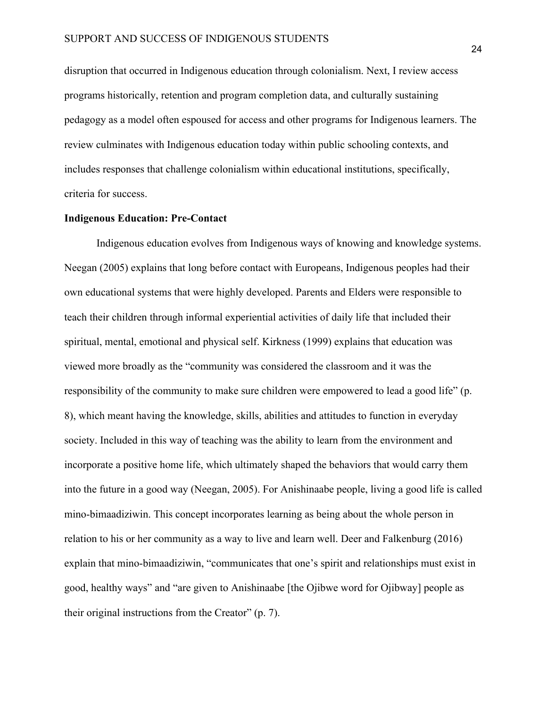disruption that occurred in Indigenous education through colonialism. Next, I review access programs historically, retention and program completion data, and culturally sustaining pedagogy as a model often espoused for access and other programs for Indigenous learners. The review culminates with Indigenous education today within public schooling contexts, and includes responses that challenge colonialism within educational institutions, specifically, criteria for success.

# **Indigenous Education: Pre-Contact**

Indigenous education evolves from Indigenous ways of knowing and knowledge systems. Neegan (2005) explains that long before contact with Europeans, Indigenous peoples had their own educational systems that were highly developed. Parents and Elders were responsible to teach their children through informal experiential activities of daily life that included their spiritual, mental, emotional and physical self. Kirkness (1999) explains that education was viewed more broadly as the "community was considered the classroom and it was the responsibility of the community to make sure children were empowered to lead a good life" (p. 8), which meant having the knowledge, skills, abilities and attitudes to function in everyday society. Included in this way of teaching was the ability to learn from the environment and incorporate a positive home life, which ultimately shaped the behaviors that would carry them into the future in a good way (Neegan, 2005). For Anishinaabe people, living a good life is called mino-bimaadiziwin. This concept incorporates learning as being about the whole person in relation to his or her community as a way to live and learn well. Deer and Falkenburg (2016) explain that mino-bimaadiziwin, "communicates that one's spirit and relationships must exist in good, healthy ways" and "are given to Anishinaabe [the Ojibwe word for Ojibway] people as their original instructions from the Creator" (p. 7).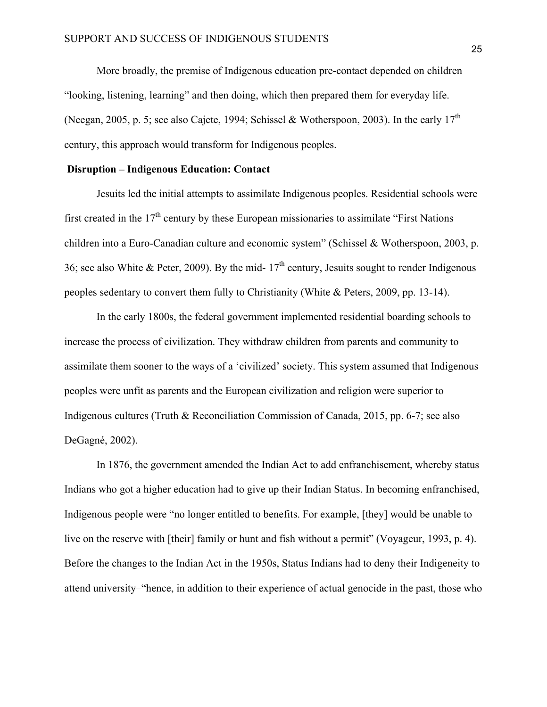More broadly, the premise of Indigenous education pre-contact depended on children "looking, listening, learning" and then doing, which then prepared them for everyday life. (Neegan, 2005, p. 5; see also Cajete, 1994; Schissel & Wotherspoon, 2003). In the early  $17<sup>th</sup>$ century, this approach would transform for Indigenous peoples.

## **Disruption – Indigenous Education: Contact**

Jesuits led the initial attempts to assimilate Indigenous peoples. Residential schools were first created in the  $17<sup>th</sup>$  century by these European missionaries to assimilate "First Nations" children into a Euro-Canadian culture and economic system" (Schissel & Wotherspoon, 2003, p. 36; see also White & Peter, 2009). By the mid-  $17<sup>th</sup>$  century, Jesuits sought to render Indigenous peoples sedentary to convert them fully to Christianity (White & Peters, 2009, pp. 13-14).

In the early 1800s, the federal government implemented residential boarding schools to increase the process of civilization. They withdraw children from parents and community to assimilate them sooner to the ways of a 'civilized' society. This system assumed that Indigenous peoples were unfit as parents and the European civilization and religion were superior to Indigenous cultures (Truth & Reconciliation Commission of Canada, 2015, pp. 6-7; see also DeGagné, 2002).

In 1876, the government amended the Indian Act to add enfranchisement, whereby status Indians who got a higher education had to give up their Indian Status. In becoming enfranchised, Indigenous people were "no longer entitled to benefits. For example, [they] would be unable to live on the reserve with [their] family or hunt and fish without a permit" (Voyageur, 1993, p. 4). Before the changes to the Indian Act in the 1950s, Status Indians had to deny their Indigeneity to attend university–"hence, in addition to their experience of actual genocide in the past, those who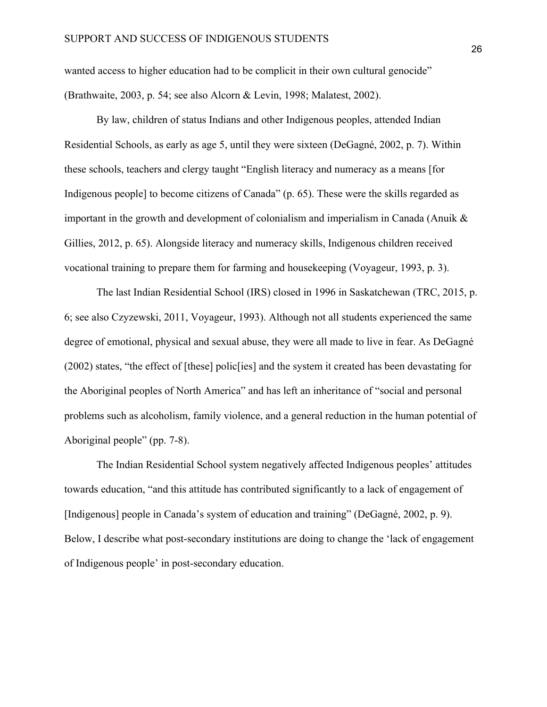wanted access to higher education had to be complicit in their own cultural genocide" (Brathwaite, 2003, p. 54; see also Alcorn & Levin, 1998; Malatest, 2002).

By law, children of status Indians and other Indigenous peoples, attended Indian Residential Schools, as early as age 5, until they were sixteen (DeGagné, 2002, p. 7). Within these schools, teachers and clergy taught "English literacy and numeracy as a means [for Indigenous people] to become citizens of Canada" (p. 65). These were the skills regarded as important in the growth and development of colonialism and imperialism in Canada (Anuik & Gillies, 2012, p. 65). Alongside literacy and numeracy skills, Indigenous children received vocational training to prepare them for farming and housekeeping (Voyageur, 1993, p. 3).

The last Indian Residential School (IRS) closed in 1996 in Saskatchewan (TRC, 2015, p. 6; see also Czyzewski, 2011, Voyageur, 1993). Although not all students experienced the same degree of emotional, physical and sexual abuse, they were all made to live in fear. As DeGagné (2002) states, "the effect of [these] polic[ies] and the system it created has been devastating for the Aboriginal peoples of North America" and has left an inheritance of "social and personal problems such as alcoholism, family violence, and a general reduction in the human potential of Aboriginal people" (pp. 7-8).

The Indian Residential School system negatively affected Indigenous peoples' attitudes towards education, "and this attitude has contributed significantly to a lack of engagement of [Indigenous] people in Canada's system of education and training" (DeGagné, 2002, p. 9). Below, I describe what post-secondary institutions are doing to change the 'lack of engagement of Indigenous people' in post-secondary education.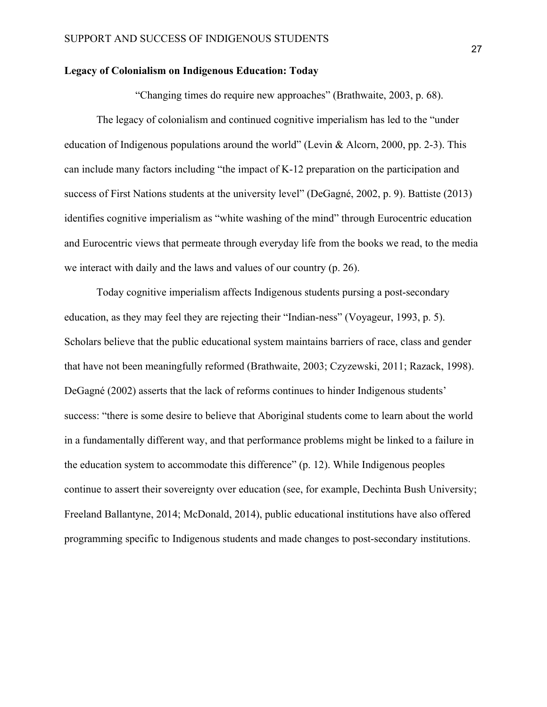#### **Legacy of Colonialism on Indigenous Education: Today**

"Changing times do require new approaches" (Brathwaite, 2003, p. 68).

The legacy of colonialism and continued cognitive imperialism has led to the "under education of Indigenous populations around the world" (Levin & Alcorn, 2000, pp. 2-3). This can include many factors including "the impact of K-12 preparation on the participation and success of First Nations students at the university level" (DeGagné, 2002, p. 9). Battiste (2013) identifies cognitive imperialism as "white washing of the mind" through Eurocentric education and Eurocentric views that permeate through everyday life from the books we read, to the media we interact with daily and the laws and values of our country (p. 26).

Today cognitive imperialism affects Indigenous students pursing a post-secondary education, as they may feel they are rejecting their "Indian-ness" (Voyageur, 1993, p. 5). Scholars believe that the public educational system maintains barriers of race, class and gender that have not been meaningfully reformed (Brathwaite, 2003; Czyzewski, 2011; Razack, 1998). DeGagné (2002) asserts that the lack of reforms continues to hinder Indigenous students' success: "there is some desire to believe that Aboriginal students come to learn about the world in a fundamentally different way, and that performance problems might be linked to a failure in the education system to accommodate this difference" (p. 12). While Indigenous peoples continue to assert their sovereignty over education (see, for example, Dechinta Bush University; Freeland Ballantyne, 2014; McDonald, 2014), public educational institutions have also offered programming specific to Indigenous students and made changes to post-secondary institutions.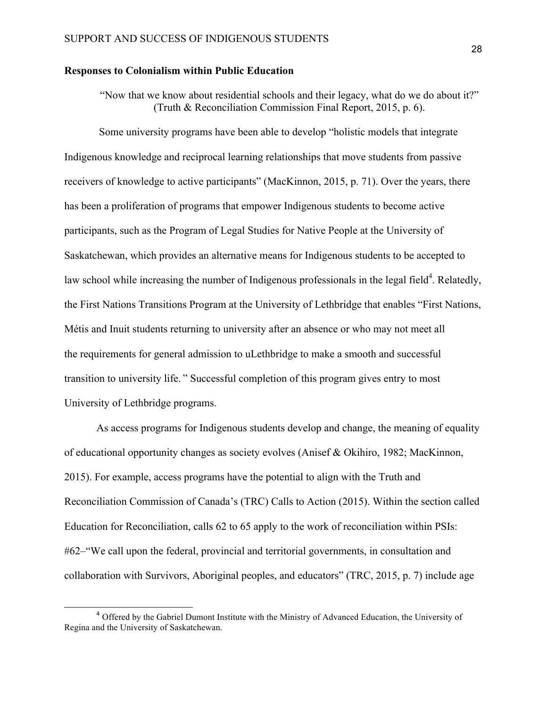#### **Responses to Colonialism within Public Education**

"Now that we know about residential schools and their legacy, what do we do about it?" (Truth & Reconciliation Commission Final Report, 2015, p. 6).

Some university programs have been able to develop "holistic models that integrate Indigenous knowledge and reciprocal learning relationships that move students from passive receivers of knowledge to active participants" (MacKinnon, 2015, p. 71). Over the years, there has been a proliferation of programs that empower Indigenous students to become active participants, such as the Program of Legal Studies for Native People at the University of Saskatchewan, which provides an alternative means for Indigenous students to be accepted to law school while increasing the number of Indigenous professionals in the legal field<sup>4</sup>. Relatedly, the First Nations Transitions Program at the University of Lethbridge that enables "First Nations, Métis and Inuit students returning to university after an absence or who may not meet all the requirements for general admission to uLethbridge to make a smooth and successful transition to university life. " Successful completion of this program gives entry to most University of Lethbridge programs.

As access programs for Indigenous students develop and change, the meaning of equality of educational opportunity changes as society evolves (Anisef & Okihiro, 1982; MacKinnon, 2015). For example, access programs have the potential to align with the Truth and Reconciliation Commission of Canada's (TRC) Calls to Action (2015). Within the section called Education for Reconciliation, calls 62 to 65 apply to the work of reconciliation within PSIs: #62–"We call upon the federal, provincial and territorial governments, in consultation and collaboration with Survivors, Aboriginal peoples, and educators" (TRC, 2015, p. 7) include age

<sup>&</sup>lt;sup>4</sup> Offered by the Gabriel Dumont Institute with the Ministry of Advanced Education, the University of Regina and the University of Saskatchewan.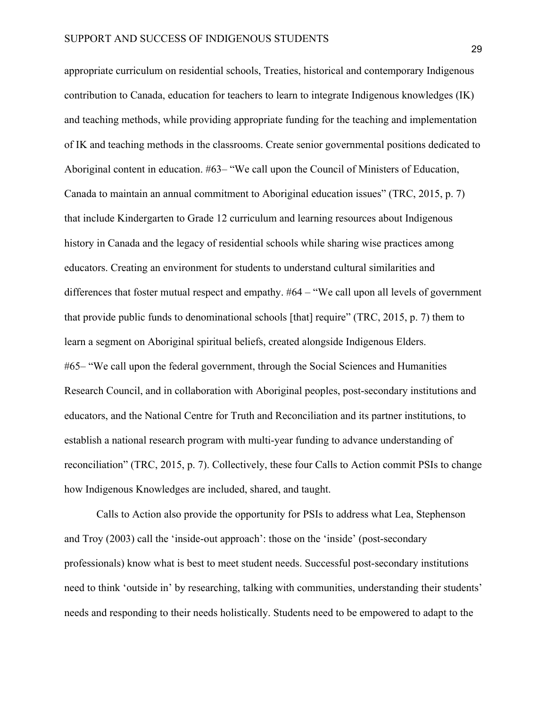appropriate curriculum on residential schools, Treaties, historical and contemporary Indigenous contribution to Canada, education for teachers to learn to integrate Indigenous knowledges (IK) and teaching methods, while providing appropriate funding for the teaching and implementation of IK and teaching methods in the classrooms. Create senior governmental positions dedicated to Aboriginal content in education. #63– "We call upon the Council of Ministers of Education, Canada to maintain an annual commitment to Aboriginal education issues" (TRC, 2015, p. 7) that include Kindergarten to Grade 12 curriculum and learning resources about Indigenous history in Canada and the legacy of residential schools while sharing wise practices among educators. Creating an environment for students to understand cultural similarities and differences that foster mutual respect and empathy. #64 – "We call upon all levels of government that provide public funds to denominational schools [that] require" (TRC, 2015, p. 7) them to learn a segment on Aboriginal spiritual beliefs, created alongside Indigenous Elders. #65– "We call upon the federal government, through the Social Sciences and Humanities Research Council, and in collaboration with Aboriginal peoples, post-secondary institutions and educators, and the National Centre for Truth and Reconciliation and its partner institutions, to establish a national research program with multi-year funding to advance understanding of reconciliation" (TRC, 2015, p. 7). Collectively, these four Calls to Action commit PSIs to change how Indigenous Knowledges are included, shared, and taught.

Calls to Action also provide the opportunity for PSIs to address what Lea, Stephenson and Troy (2003) call the 'inside-out approach': those on the 'inside' (post-secondary professionals) know what is best to meet student needs. Successful post-secondary institutions need to think 'outside in' by researching, talking with communities, understanding their students' needs and responding to their needs holistically. Students need to be empowered to adapt to the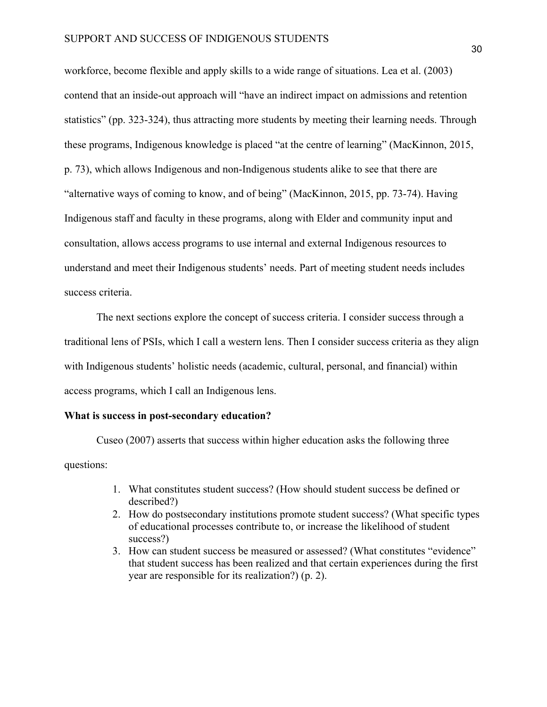workforce, become flexible and apply skills to a wide range of situations. Lea et al. (2003) contend that an inside-out approach will "have an indirect impact on admissions and retention statistics" (pp. 323-324), thus attracting more students by meeting their learning needs. Through these programs, Indigenous knowledge is placed "at the centre of learning" (MacKinnon, 2015, p. 73), which allows Indigenous and non-Indigenous students alike to see that there are "alternative ways of coming to know, and of being" (MacKinnon, 2015, pp. 73-74). Having Indigenous staff and faculty in these programs, along with Elder and community input and consultation, allows access programs to use internal and external Indigenous resources to understand and meet their Indigenous students' needs. Part of meeting student needs includes success criteria.

The next sections explore the concept of success criteria. I consider success through a traditional lens of PSIs, which I call a western lens. Then I consider success criteria as they align with Indigenous students' holistic needs (academic, cultural, personal, and financial) within access programs, which I call an Indigenous lens.

#### **What is success in post-secondary education?**

Cuseo (2007) asserts that success within higher education asks the following three questions:

- 1. What constitutes student success? (How should student success be defined or described?)
- 2. How do postsecondary institutions promote student success? (What specific types of educational processes contribute to, or increase the likelihood of student success?)
- 3. How can student success be measured or assessed? (What constitutes "evidence" that student success has been realized and that certain experiences during the first year are responsible for its realization?) (p. 2).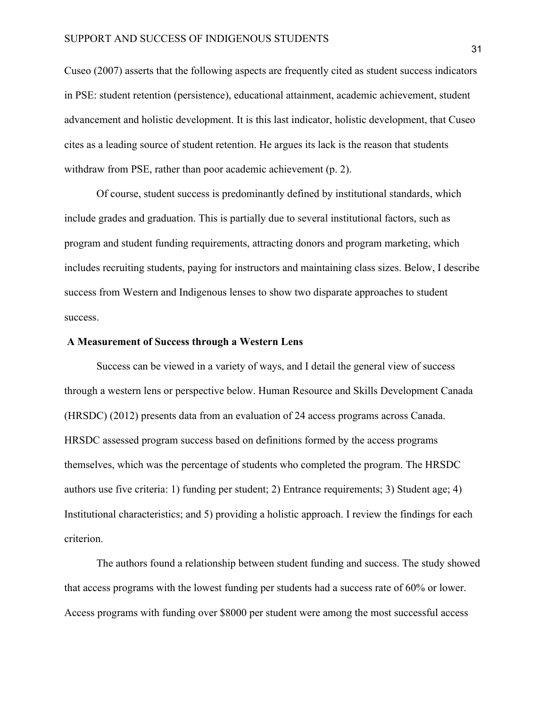Cuseo (2007) asserts that the following aspects are frequently cited as student success indicators in PSE: student retention (persistence), educational attainment, academic achievement, student advancement and holistic development. It is this last indicator, holistic development, that Cuseo cites as a leading source of student retention. He argues its lack is the reason that students withdraw from PSE, rather than poor academic achievement (p. 2).

Of course, student success is predominantly defined by institutional standards, which include grades and graduation. This is partially due to several institutional factors, such as program and student funding requirements, attracting donors and program marketing, which includes recruiting students, paying for instructors and maintaining class sizes. Below, I describe success from Western and Indigenous lenses to show two disparate approaches to student success.

#### **A Measurement of Success through a Western Lens**

Success can be viewed in a variety of ways, and I detail the general view of success through a western lens or perspective below. Human Resource and Skills Development Canada (HRSDC) (2012) presents data from an evaluation of 24 access programs across Canada. HRSDC assessed program success based on definitions formed by the access programs themselves, which was the percentage of students who completed the program. The HRSDC authors use five criteria: 1) funding per student; 2) Entrance requirements; 3) Student age; 4) Institutional characteristics; and 5) providing a holistic approach. I review the findings for each criterion.

The authors found a relationship between student funding and success. The study showed that access programs with the lowest funding per students had a success rate of 60% or lower. Access programs with funding over \$8000 per student were among the most successful access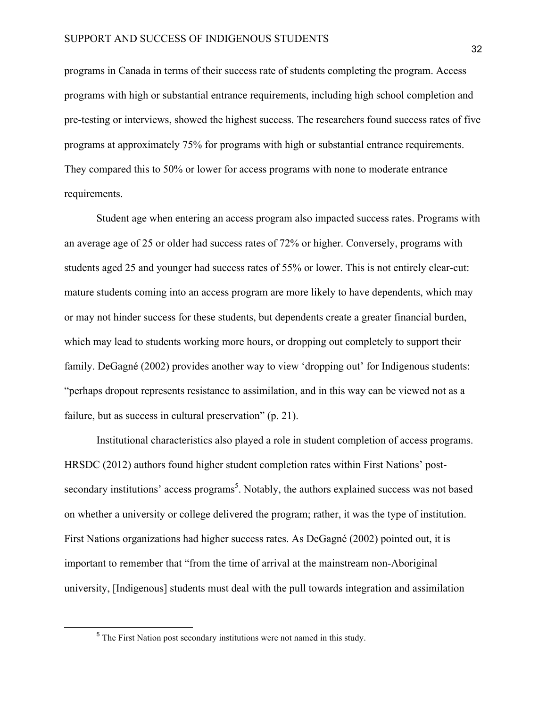programs in Canada in terms of their success rate of students completing the program. Access programs with high or substantial entrance requirements, including high school completion and pre-testing or interviews, showed the highest success. The researchers found success rates of five programs at approximately 75% for programs with high or substantial entrance requirements. They compared this to 50% or lower for access programs with none to moderate entrance requirements.

Student age when entering an access program also impacted success rates. Programs with an average age of 25 or older had success rates of 72% or higher. Conversely, programs with students aged 25 and younger had success rates of 55% or lower. This is not entirely clear-cut: mature students coming into an access program are more likely to have dependents, which may or may not hinder success for these students, but dependents create a greater financial burden, which may lead to students working more hours, or dropping out completely to support their family. DeGagné (2002) provides another way to view 'dropping out' for Indigenous students: "perhaps dropout represents resistance to assimilation, and in this way can be viewed not as a failure, but as success in cultural preservation" (p. 21).

Institutional characteristics also played a role in student completion of access programs. HRSDC (2012) authors found higher student completion rates within First Nations' postsecondary institutions' access programs<sup>5</sup>. Notably, the authors explained success was not based on whether a university or college delivered the program; rather, it was the type of institution. First Nations organizations had higher success rates. As DeGagné (2002) pointed out, it is important to remember that "from the time of arrival at the mainstream non-Aboriginal university, [Indigenous] students must deal with the pull towards integration and assimilation

<sup>&</sup>lt;sup>5</sup> The First Nation post secondary institutions were not named in this study.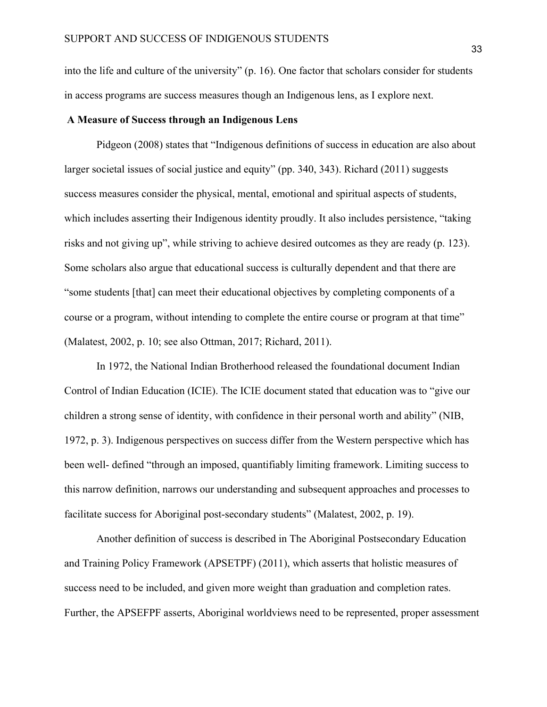into the life and culture of the university" (p. 16). One factor that scholars consider for students in access programs are success measures though an Indigenous lens, as I explore next.

#### **A Measure of Success through an Indigenous Lens**

Pidgeon (2008) states that "Indigenous definitions of success in education are also about larger societal issues of social justice and equity" (pp. 340, 343). Richard (2011) suggests success measures consider the physical, mental, emotional and spiritual aspects of students, which includes asserting their Indigenous identity proudly. It also includes persistence, "taking risks and not giving up", while striving to achieve desired outcomes as they are ready (p. 123). Some scholars also argue that educational success is culturally dependent and that there are "some students [that] can meet their educational objectives by completing components of a course or a program, without intending to complete the entire course or program at that time" (Malatest, 2002, p. 10; see also Ottman, 2017; Richard, 2011).

In 1972, the National Indian Brotherhood released the foundational document Indian Control of Indian Education (ICIE). The ICIE document stated that education was to "give our children a strong sense of identity, with confidence in their personal worth and ability" (NIB, 1972, p. 3). Indigenous perspectives on success differ from the Western perspective which has been well- defined "through an imposed, quantifiably limiting framework. Limiting success to this narrow definition, narrows our understanding and subsequent approaches and processes to facilitate success for Aboriginal post-secondary students" (Malatest, 2002, p. 19).

Another definition of success is described in The Aboriginal Postsecondary Education and Training Policy Framework (APSETPF) (2011), which asserts that holistic measures of success need to be included, and given more weight than graduation and completion rates. Further, the APSEFPF asserts, Aboriginal worldviews need to be represented, proper assessment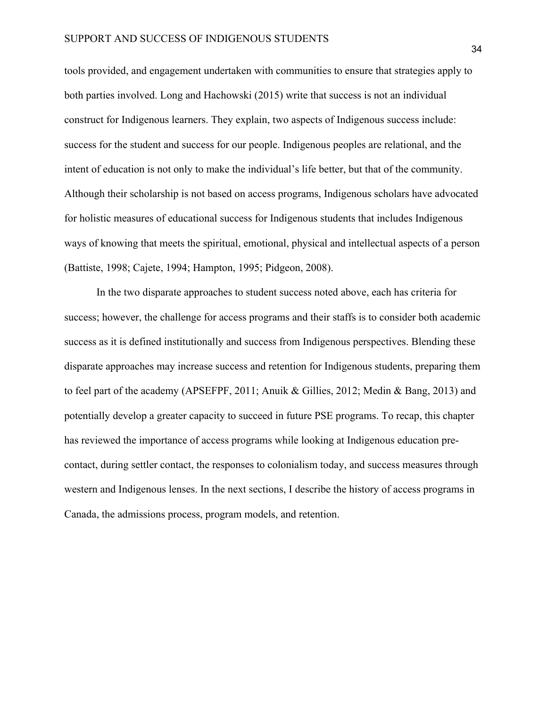tools provided, and engagement undertaken with communities to ensure that strategies apply to both parties involved. Long and Hachowski (2015) write that success is not an individual construct for Indigenous learners. They explain, two aspects of Indigenous success include: success for the student and success for our people. Indigenous peoples are relational, and the intent of education is not only to make the individual's life better, but that of the community. Although their scholarship is not based on access programs, Indigenous scholars have advocated for holistic measures of educational success for Indigenous students that includes Indigenous ways of knowing that meets the spiritual, emotional, physical and intellectual aspects of a person (Battiste, 1998; Cajete, 1994; Hampton, 1995; Pidgeon, 2008).

In the two disparate approaches to student success noted above, each has criteria for success; however, the challenge for access programs and their staffs is to consider both academic success as it is defined institutionally and success from Indigenous perspectives. Blending these disparate approaches may increase success and retention for Indigenous students, preparing them to feel part of the academy (APSEFPF, 2011; Anuik & Gillies, 2012; Medin & Bang, 2013) and potentially develop a greater capacity to succeed in future PSE programs. To recap, this chapter has reviewed the importance of access programs while looking at Indigenous education precontact, during settler contact, the responses to colonialism today, and success measures through western and Indigenous lenses. In the next sections, I describe the history of access programs in Canada, the admissions process, program models, and retention.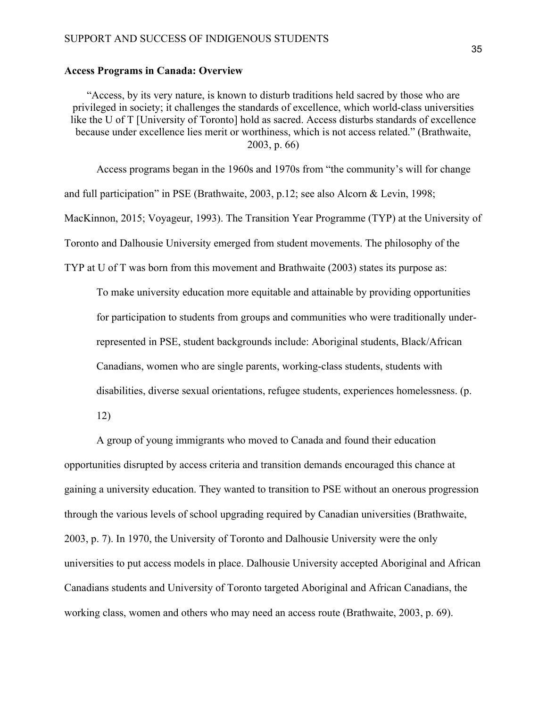#### **Access Programs in Canada: Overview**

"Access, by its very nature, is known to disturb traditions held sacred by those who are privileged in society; it challenges the standards of excellence, which world-class universities like the U of T [University of Toronto] hold as sacred. Access disturbs standards of excellence because under excellence lies merit or worthiness, which is not access related." (Brathwaite, 2003, p. 66)

Access programs began in the 1960s and 1970s from "the community's will for change and full participation" in PSE (Brathwaite, 2003, p.12; see also Alcorn & Levin, 1998; MacKinnon, 2015; Voyageur, 1993). The Transition Year Programme (TYP) at the University of Toronto and Dalhousie University emerged from student movements. The philosophy of the TYP at U of T was born from this movement and Brathwaite (2003) states its purpose as:

To make university education more equitable and attainable by providing opportunities for participation to students from groups and communities who were traditionally underrepresented in PSE, student backgrounds include: Aboriginal students, Black/African

Canadians, women who are single parents, working-class students, students with

disabilities, diverse sexual orientations, refugee students, experiences homelessness. (p.

12)

A group of young immigrants who moved to Canada and found their education opportunities disrupted by access criteria and transition demands encouraged this chance at gaining a university education. They wanted to transition to PSE without an onerous progression through the various levels of school upgrading required by Canadian universities (Brathwaite, 2003, p. 7). In 1970, the University of Toronto and Dalhousie University were the only universities to put access models in place. Dalhousie University accepted Aboriginal and African Canadians students and University of Toronto targeted Aboriginal and African Canadians, the working class, women and others who may need an access route (Brathwaite, 2003, p. 69).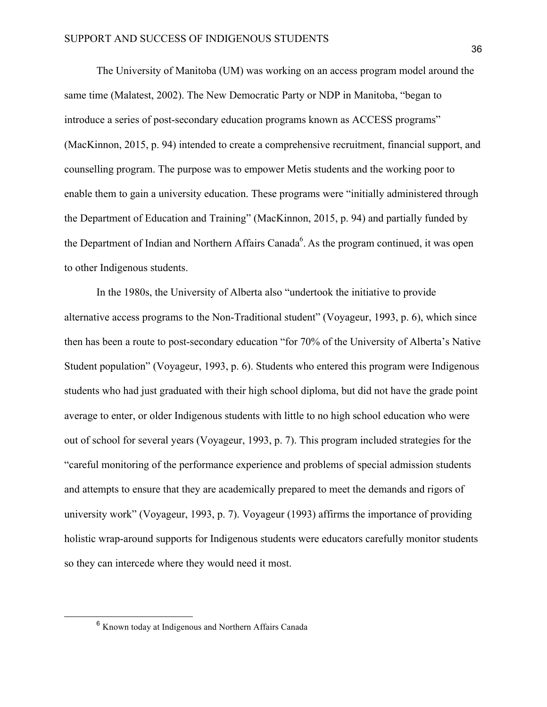The University of Manitoba (UM) was working on an access program model around the same time (Malatest, 2002). The New Democratic Party or NDP in Manitoba, "began to introduce a series of post-secondary education programs known as ACCESS programs" (MacKinnon, 2015, p. 94) intended to create a comprehensive recruitment, financial support, and counselling program. The purpose was to empower Metis students and the working poor to enable them to gain a university education. These programs were "initially administered through the Department of Education and Training" (MacKinnon, 2015, p. 94) and partially funded by the Department of Indian and Northern Affairs Canada<sup>6</sup>. As the program continued, it was open to other Indigenous students.

In the 1980s, the University of Alberta also "undertook the initiative to provide alternative access programs to the Non-Traditional student" (Voyageur, 1993, p. 6), which since then has been a route to post-secondary education "for 70% of the University of Alberta's Native Student population" (Voyageur, 1993, p. 6). Students who entered this program were Indigenous students who had just graduated with their high school diploma, but did not have the grade point average to enter, or older Indigenous students with little to no high school education who were out of school for several years (Voyageur, 1993, p. 7). This program included strategies for the "careful monitoring of the performance experience and problems of special admission students and attempts to ensure that they are academically prepared to meet the demands and rigors of university work" (Voyageur, 1993, p. 7). Voyageur (1993) affirms the importance of providing holistic wrap-around supports for Indigenous students were educators carefully monitor students so they can intercede where they would need it most.

 <sup>6</sup> Known today at Indigenous and Northern Affairs Canada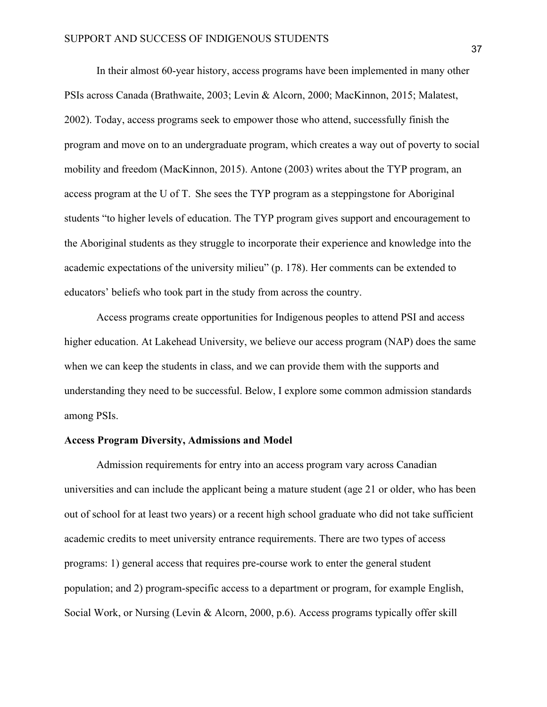In their almost 60-year history, access programs have been implemented in many other PSIs across Canada (Brathwaite, 2003; Levin & Alcorn, 2000; MacKinnon, 2015; Malatest, 2002). Today, access programs seek to empower those who attend, successfully finish the program and move on to an undergraduate program, which creates a way out of poverty to social mobility and freedom (MacKinnon, 2015). Antone (2003) writes about the TYP program, an access program at the U of T. She sees the TYP program as a steppingstone for Aboriginal students "to higher levels of education. The TYP program gives support and encouragement to the Aboriginal students as they struggle to incorporate their experience and knowledge into the academic expectations of the university milieu" (p. 178). Her comments can be extended to educators' beliefs who took part in the study from across the country.

Access programs create opportunities for Indigenous peoples to attend PSI and access higher education. At Lakehead University, we believe our access program (NAP) does the same when we can keep the students in class, and we can provide them with the supports and understanding they need to be successful. Below, I explore some common admission standards among PSIs.

### **Access Program Diversity, Admissions and Model**

Admission requirements for entry into an access program vary across Canadian universities and can include the applicant being a mature student (age 21 or older, who has been out of school for at least two years) or a recent high school graduate who did not take sufficient academic credits to meet university entrance requirements. There are two types of access programs: 1) general access that requires pre-course work to enter the general student population; and 2) program-specific access to a department or program, for example English, Social Work, or Nursing (Levin & Alcorn, 2000, p.6). Access programs typically offer skill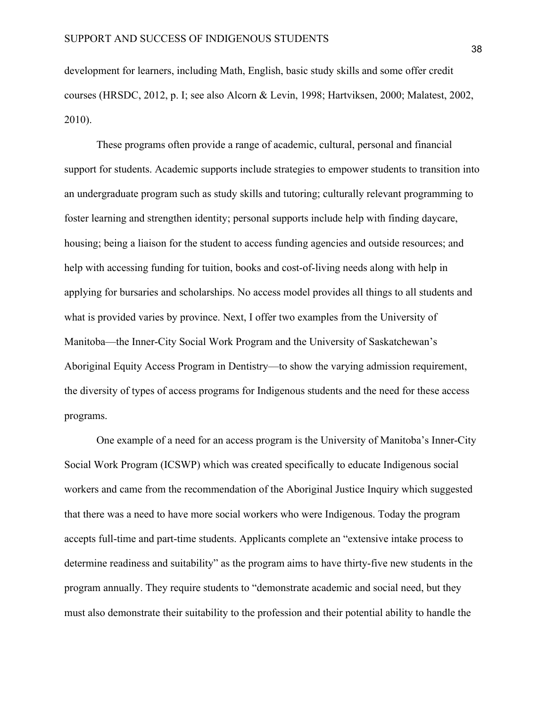development for learners, including Math, English, basic study skills and some offer credit courses (HRSDC, 2012, p. I; see also Alcorn & Levin, 1998; Hartviksen, 2000; Malatest, 2002, 2010).

These programs often provide a range of academic, cultural, personal and financial support for students. Academic supports include strategies to empower students to transition into an undergraduate program such as study skills and tutoring; culturally relevant programming to foster learning and strengthen identity; personal supports include help with finding daycare, housing; being a liaison for the student to access funding agencies and outside resources; and help with accessing funding for tuition, books and cost-of-living needs along with help in applying for bursaries and scholarships. No access model provides all things to all students and what is provided varies by province. Next, I offer two examples from the University of Manitoba—the Inner-City Social Work Program and the University of Saskatchewan's Aboriginal Equity Access Program in Dentistry—to show the varying admission requirement, the diversity of types of access programs for Indigenous students and the need for these access programs.

One example of a need for an access program is the University of Manitoba's Inner-City Social Work Program (ICSWP) which was created specifically to educate Indigenous social workers and came from the recommendation of the Aboriginal Justice Inquiry which suggested that there was a need to have more social workers who were Indigenous. Today the program accepts full-time and part-time students. Applicants complete an "extensive intake process to determine readiness and suitability" as the program aims to have thirty-five new students in the program annually. They require students to "demonstrate academic and social need, but they must also demonstrate their suitability to the profession and their potential ability to handle the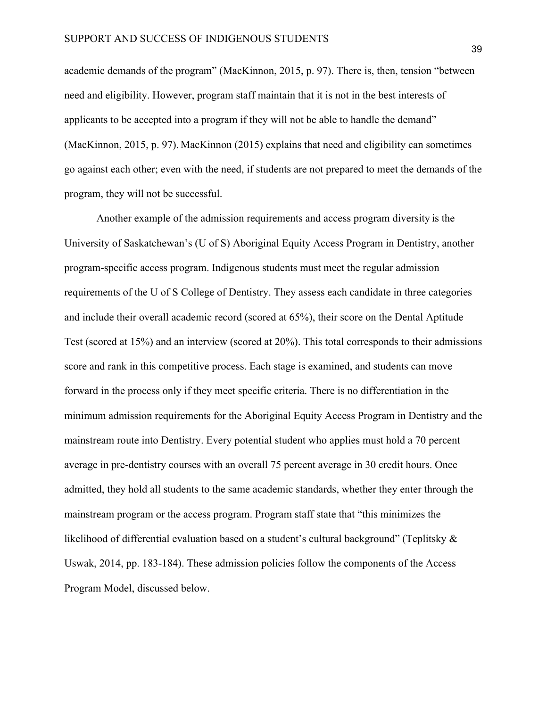academic demands of the program" (MacKinnon, 2015, p. 97). There is, then, tension "between need and eligibility. However, program staff maintain that it is not in the best interests of applicants to be accepted into a program if they will not be able to handle the demand" (MacKinnon, 2015, p. 97). MacKinnon (2015) explains that need and eligibility can sometimes go against each other; even with the need, if students are not prepared to meet the demands of the program, they will not be successful.

Another example of the admission requirements and access program diversity is the University of Saskatchewan's (U of S) Aboriginal Equity Access Program in Dentistry, another program-specific access program. Indigenous students must meet the regular admission requirements of the U of S College of Dentistry. They assess each candidate in three categories and include their overall academic record (scored at 65%), their score on the Dental Aptitude Test (scored at 15%) and an interview (scored at 20%). This total corresponds to their admissions score and rank in this competitive process. Each stage is examined, and students can move forward in the process only if they meet specific criteria. There is no differentiation in the minimum admission requirements for the Aboriginal Equity Access Program in Dentistry and the mainstream route into Dentistry. Every potential student who applies must hold a 70 percent average in pre-dentistry courses with an overall 75 percent average in 30 credit hours. Once admitted, they hold all students to the same academic standards, whether they enter through the mainstream program or the access program. Program staff state that "this minimizes the likelihood of differential evaluation based on a student's cultural background" (Teplitsky & Uswak, 2014, pp. 183-184). These admission policies follow the components of the Access Program Model, discussed below.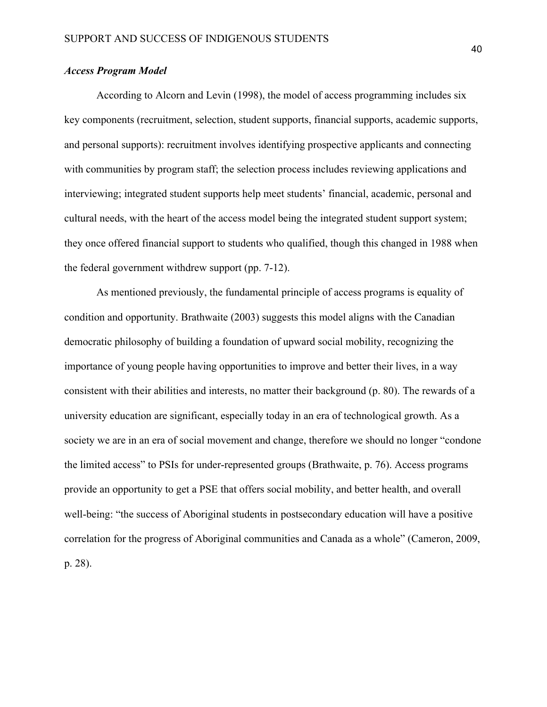## *Access Program Model*

According to Alcorn and Levin (1998), the model of access programming includes six key components (recruitment, selection, student supports, financial supports, academic supports, and personal supports): recruitment involves identifying prospective applicants and connecting with communities by program staff; the selection process includes reviewing applications and interviewing; integrated student supports help meet students' financial, academic, personal and cultural needs, with the heart of the access model being the integrated student support system; they once offered financial support to students who qualified, though this changed in 1988 when the federal government withdrew support (pp. 7-12).

As mentioned previously, the fundamental principle of access programs is equality of condition and opportunity. Brathwaite (2003) suggests this model aligns with the Canadian democratic philosophy of building a foundation of upward social mobility, recognizing the importance of young people having opportunities to improve and better their lives, in a way consistent with their abilities and interests, no matter their background (p. 80). The rewards of a university education are significant, especially today in an era of technological growth. As a society we are in an era of social movement and change, therefore we should no longer "condone the limited access" to PSIs for under-represented groups (Brathwaite, p. 76). Access programs provide an opportunity to get a PSE that offers social mobility, and better health, and overall well-being: "the success of Aboriginal students in postsecondary education will have a positive correlation for the progress of Aboriginal communities and Canada as a whole" (Cameron, 2009, p. 28).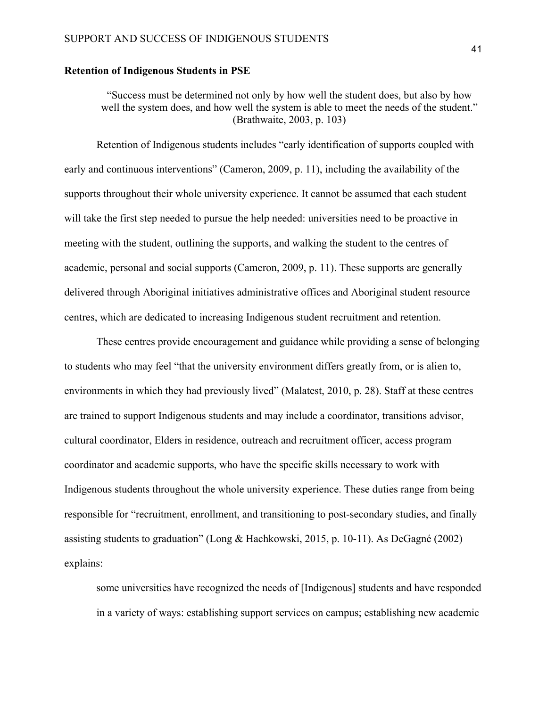### **Retention of Indigenous Students in PSE**

"Success must be determined not only by how well the student does, but also by how well the system does, and how well the system is able to meet the needs of the student." (Brathwaite, 2003, p. 103)

Retention of Indigenous students includes "early identification of supports coupled with early and continuous interventions" (Cameron, 2009, p. 11), including the availability of the supports throughout their whole university experience. It cannot be assumed that each student will take the first step needed to pursue the help needed: universities need to be proactive in meeting with the student, outlining the supports, and walking the student to the centres of academic, personal and social supports (Cameron, 2009, p. 11). These supports are generally delivered through Aboriginal initiatives administrative offices and Aboriginal student resource centres, which are dedicated to increasing Indigenous student recruitment and retention.

These centres provide encouragement and guidance while providing a sense of belonging to students who may feel "that the university environment differs greatly from, or is alien to, environments in which they had previously lived" (Malatest, 2010, p. 28). Staff at these centres are trained to support Indigenous students and may include a coordinator, transitions advisor, cultural coordinator, Elders in residence, outreach and recruitment officer, access program coordinator and academic supports, who have the specific skills necessary to work with Indigenous students throughout the whole university experience. These duties range from being responsible for "recruitment, enrollment, and transitioning to post-secondary studies, and finally assisting students to graduation" (Long & Hachkowski, 2015, p. 10-11). As DeGagné (2002) explains:

some universities have recognized the needs of [Indigenous] students and have responded in a variety of ways: establishing support services on campus; establishing new academic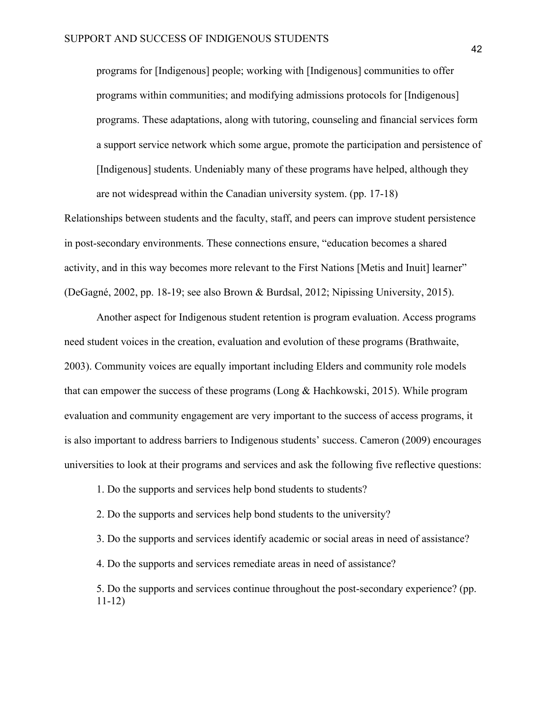programs for [Indigenous] people; working with [Indigenous] communities to offer programs within communities; and modifying admissions protocols for [Indigenous] programs. These adaptations, along with tutoring, counseling and financial services form a support service network which some argue, promote the participation and persistence of [Indigenous] students. Undeniably many of these programs have helped, although they are not widespread within the Canadian university system. (pp. 17-18)

Relationships between students and the faculty, staff, and peers can improve student persistence in post-secondary environments. These connections ensure, "education becomes a shared activity, and in this way becomes more relevant to the First Nations [Metis and Inuit] learner" (DeGagné, 2002, pp. 18-19; see also Brown & Burdsal, 2012; Nipissing University, 2015).

Another aspect for Indigenous student retention is program evaluation. Access programs need student voices in the creation, evaluation and evolution of these programs (Brathwaite, 2003). Community voices are equally important including Elders and community role models that can empower the success of these programs (Long & Hachkowski, 2015). While program evaluation and community engagement are very important to the success of access programs, it is also important to address barriers to Indigenous students' success. Cameron (2009) encourages universities to look at their programs and services and ask the following five reflective questions:

1. Do the supports and services help bond students to students?

2. Do the supports and services help bond students to the university?

3. Do the supports and services identify academic or social areas in need of assistance?

4. Do the supports and services remediate areas in need of assistance?

5. Do the supports and services continue throughout the post-secondary experience? (pp. 11-12)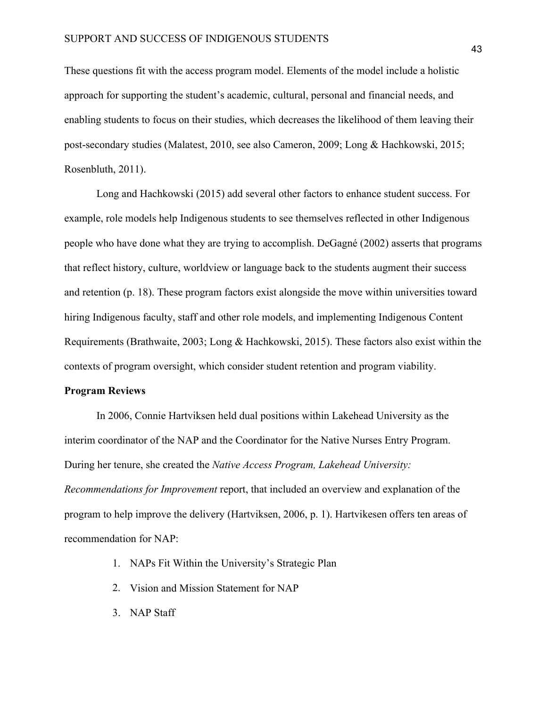These questions fit with the access program model. Elements of the model include a holistic approach for supporting the student's academic, cultural, personal and financial needs, and enabling students to focus on their studies, which decreases the likelihood of them leaving their post-secondary studies (Malatest, 2010, see also Cameron, 2009; Long & Hachkowski, 2015; Rosenbluth, 2011).

Long and Hachkowski (2015) add several other factors to enhance student success. For example, role models help Indigenous students to see themselves reflected in other Indigenous people who have done what they are trying to accomplish. DeGagné (2002) asserts that programs that reflect history, culture, worldview or language back to the students augment their success and retention (p. 18). These program factors exist alongside the move within universities toward hiring Indigenous faculty, staff and other role models, and implementing Indigenous Content Requirements (Brathwaite, 2003; Long & Hachkowski, 2015). These factors also exist within the contexts of program oversight, which consider student retention and program viability.

### **Program Reviews**

In 2006, Connie Hartviksen held dual positions within Lakehead University as the interim coordinator of the NAP and the Coordinator for the Native Nurses Entry Program. During her tenure, she created the *Native Access Program, Lakehead University: Recommendations for Improvement* report, that included an overview and explanation of the program to help improve the delivery (Hartviksen, 2006, p. 1). Hartvikesen offers ten areas of recommendation for NAP:

- 1. NAPs Fit Within the University's Strategic Plan
- 2. Vision and Mission Statement for NAP
- 3. NAP Staff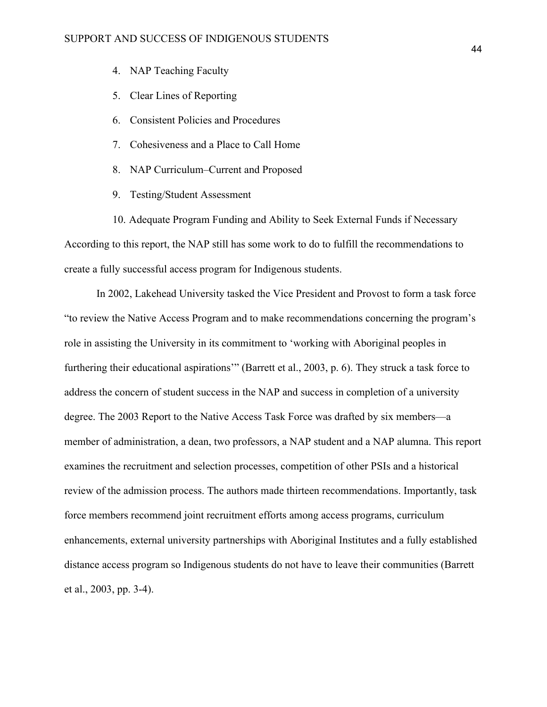- 4. NAP Teaching Faculty
- 5. Clear Lines of Reporting
- 6. Consistent Policies and Procedures
- 7. Cohesiveness and a Place to Call Home
- 8. NAP Curriculum–Current and Proposed
- 9. Testing/Student Assessment

10. Adequate Program Funding and Ability to Seek External Funds if Necessary According to this report, the NAP still has some work to do to fulfill the recommendations to create a fully successful access program for Indigenous students.

 In 2002, Lakehead University tasked the Vice President and Provost to form a task force "to review the Native Access Program and to make recommendations concerning the program's role in assisting the University in its commitment to 'working with Aboriginal peoples in furthering their educational aspirations'" (Barrett et al., 2003, p. 6). They struck a task force to address the concern of student success in the NAP and success in completion of a university degree. The 2003 Report to the Native Access Task Force was drafted by six members—a member of administration, a dean, two professors, a NAP student and a NAP alumna. This report examines the recruitment and selection processes, competition of other PSIs and a historical review of the admission process. The authors made thirteen recommendations. Importantly, task force members recommend joint recruitment efforts among access programs, curriculum enhancements, external university partnerships with Aboriginal Institutes and a fully established distance access program so Indigenous students do not have to leave their communities (Barrett et al., 2003, pp. 3-4).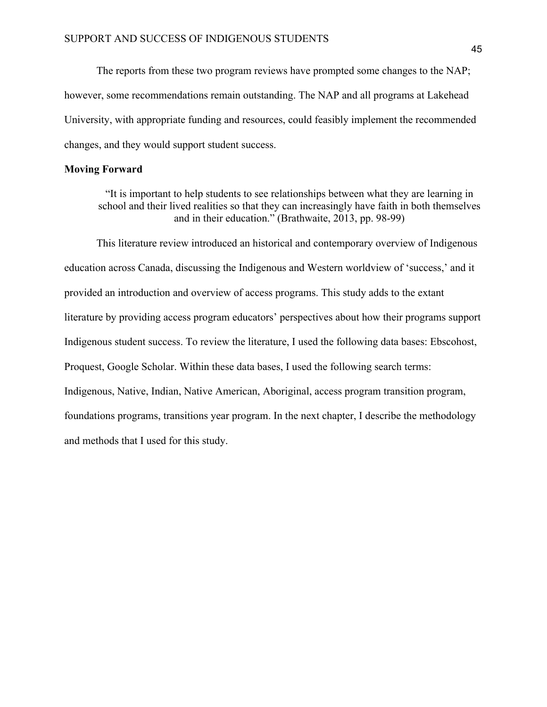The reports from these two program reviews have prompted some changes to the NAP; however, some recommendations remain outstanding. The NAP and all programs at Lakehead University, with appropriate funding and resources, could feasibly implement the recommended changes, and they would support student success.

### **Moving Forward**

"It is important to help students to see relationships between what they are learning in school and their lived realities so that they can increasingly have faith in both themselves and in their education." (Brathwaite, 2013, pp. 98-99)

 This literature review introduced an historical and contemporary overview of Indigenous education across Canada, discussing the Indigenous and Western worldview of 'success,' and it provided an introduction and overview of access programs. This study adds to the extant literature by providing access program educators' perspectives about how their programs support Indigenous student success. To review the literature, I used the following data bases: Ebscohost, Proquest, Google Scholar. Within these data bases, I used the following search terms: Indigenous, Native, Indian, Native American, Aboriginal, access program transition program, foundations programs, transitions year program. In the next chapter, I describe the methodology and methods that I used for this study.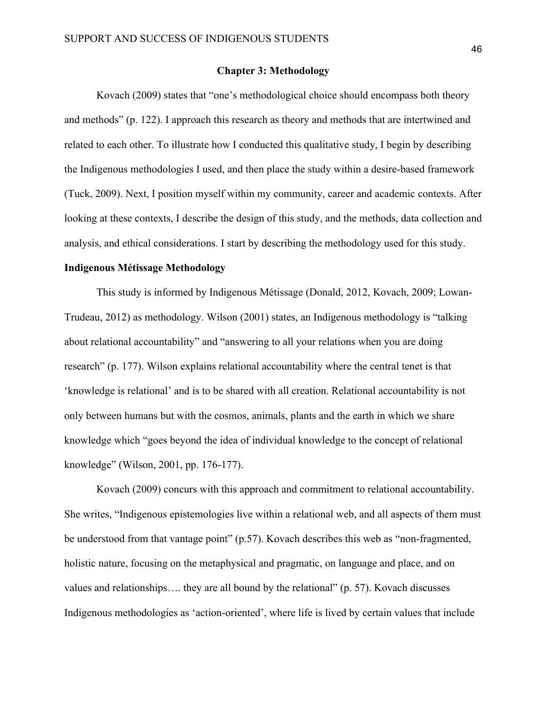### **Chapter 3: Methodology**

Kovach (2009) states that "one's methodological choice should encompass both theory and methods" (p. 122). I approach this research as theory and methods that are intertwined and related to each other. To illustrate how I conducted this qualitative study, I begin by describing the Indigenous methodologies I used, and then place the study within a desire-based framework (Tuck, 2009). Next, I position myself within my community, career and academic contexts. After looking at these contexts, I describe the design of this study, and the methods, data collection and analysis, and ethical considerations. I start by describing the methodology used for this study.

### **Indigenous Métissage Methodology**

This study is informed by Indigenous Métissage (Donald, 2012, Kovach, 2009; Lowan-Trudeau, 2012) as methodology. Wilson (2001) states, an Indigenous methodology is "talking about relational accountability" and "answering to all your relations when you are doing research" (p. 177). Wilson explains relational accountability where the central tenet is that 'knowledge is relational' and is to be shared with all creation. Relational accountability is not only between humans but with the cosmos, animals, plants and the earth in which we share knowledge which "goes beyond the idea of individual knowledge to the concept of relational knowledge" (Wilson, 2001, pp. 176-177).

Kovach (2009) concurs with this approach and commitment to relational accountability. She writes, "Indigenous epistemologies live within a relational web, and all aspects of them must be understood from that vantage point" (p.57). Kovach describes this web as "non-fragmented, holistic nature, focusing on the metaphysical and pragmatic, on language and place, and on values and relationships…. they are all bound by the relational" (p. 57). Kovach discusses Indigenous methodologies as 'action-oriented', where life is lived by certain values that include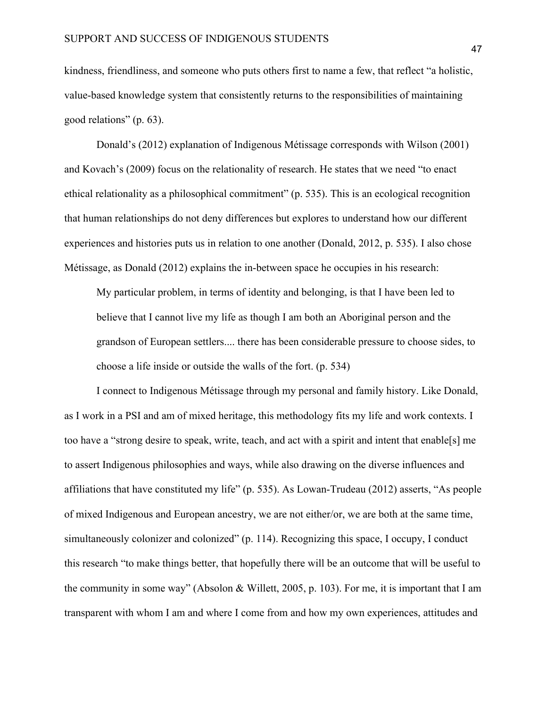kindness, friendliness, and someone who puts others first to name a few, that reflect "a holistic, value-based knowledge system that consistently returns to the responsibilities of maintaining good relations" (p. 63).

Donald's (2012) explanation of Indigenous Métissage corresponds with Wilson (2001) and Kovach's (2009) focus on the relationality of research. He states that we need "to enact ethical relationality as a philosophical commitment" (p. 535). This is an ecological recognition that human relationships do not deny differences but explores to understand how our different experiences and histories puts us in relation to one another (Donald, 2012, p. 535). I also chose Métissage, as Donald (2012) explains the in-between space he occupies in his research:

My particular problem, in terms of identity and belonging, is that I have been led to believe that I cannot live my life as though I am both an Aboriginal person and the grandson of European settlers.... there has been considerable pressure to choose sides, to choose a life inside or outside the walls of the fort. (p. 534)

I connect to Indigenous Métissage through my personal and family history. Like Donald, as I work in a PSI and am of mixed heritage, this methodology fits my life and work contexts. I too have a "strong desire to speak, write, teach, and act with a spirit and intent that enable[s] me to assert Indigenous philosophies and ways, while also drawing on the diverse influences and affiliations that have constituted my life" (p. 535). As Lowan-Trudeau (2012) asserts, "As people of mixed Indigenous and European ancestry, we are not either/or, we are both at the same time, simultaneously colonizer and colonized" (p. 114). Recognizing this space, I occupy, I conduct this research "to make things better, that hopefully there will be an outcome that will be useful to the community in some way" (Absolon & Willett, 2005, p. 103). For me, it is important that I am transparent with whom I am and where I come from and how my own experiences, attitudes and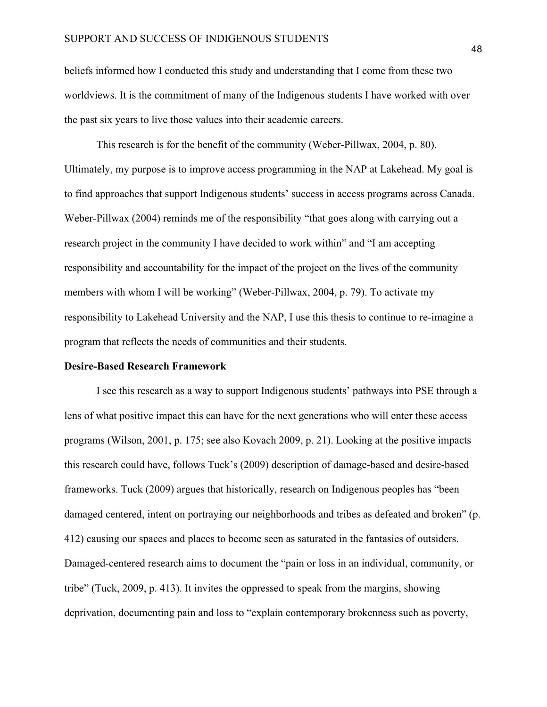beliefs informed how I conducted this study and understanding that I come from these two worldviews. It is the commitment of many of the Indigenous students I have worked with over the past six years to live those values into their academic careers.

This research is for the benefit of the community (Weber-Pillwax, 2004, p. 80). Ultimately, my purpose is to improve access programming in the NAP at Lakehead. My goal is to find approaches that support Indigenous students' success in access programs across Canada. Weber-Pillwax (2004) reminds me of the responsibility "that goes along with carrying out a research project in the community I have decided to work within" and "I am accepting responsibility and accountability for the impact of the project on the lives of the community members with whom I will be working" (Weber-Pillwax, 2004, p. 79). To activate my responsibility to Lakehead University and the NAP, I use this thesis to continue to re-imagine a program that reflects the needs of communities and their students.

#### **Desire-Based Research Framework**

I see this research as a way to support Indigenous students' pathways into PSE through a lens of what positive impact this can have for the next generations who will enter these access programs (Wilson, 2001, p. 175; see also Kovach 2009, p. 21). Looking at the positive impacts this research could have, follows Tuck's (2009) description of damage-based and desire-based frameworks. Tuck (2009) argues that historically, research on Indigenous peoples has "been damaged centered, intent on portraying our neighborhoods and tribes as defeated and broken" (p. 412) causing our spaces and places to become seen as saturated in the fantasies of outsiders. Damaged-centered research aims to document the "pain or loss in an individual, community, or tribe" (Tuck, 2009, p. 413). It invites the oppressed to speak from the margins, showing deprivation, documenting pain and loss to "explain contemporary brokenness such as poverty,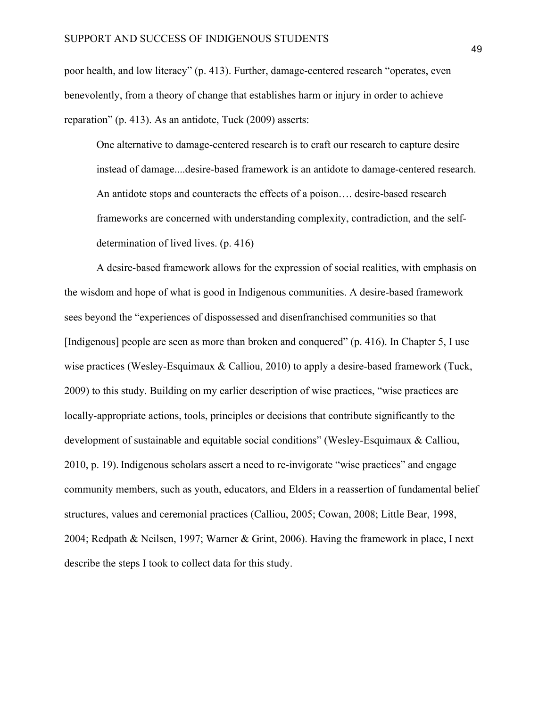poor health, and low literacy" (p. 413). Further, damage-centered research "operates, even benevolently, from a theory of change that establishes harm or injury in order to achieve reparation" (p. 413). As an antidote, Tuck (2009) asserts:

One alternative to damage-centered research is to craft our research to capture desire instead of damage....desire-based framework is an antidote to damage-centered research. An antidote stops and counteracts the effects of a poison…. desire-based research frameworks are concerned with understanding complexity, contradiction, and the selfdetermination of lived lives. (p. 416)

A desire-based framework allows for the expression of social realities, with emphasis on the wisdom and hope of what is good in Indigenous communities. A desire-based framework sees beyond the "experiences of dispossessed and disenfranchised communities so that [Indigenous] people are seen as more than broken and conquered" (p. 416). In Chapter 5, I use wise practices (Wesley-Esquimaux & Calliou, 2010) to apply a desire-based framework (Tuck, 2009) to this study. Building on my earlier description of wise practices, "wise practices are locally-appropriate actions, tools, principles or decisions that contribute significantly to the development of sustainable and equitable social conditions" (Wesley-Esquimaux & Calliou, 2010, p. 19). Indigenous scholars assert a need to re-invigorate "wise practices" and engage community members, such as youth, educators, and Elders in a reassertion of fundamental belief structures, values and ceremonial practices (Calliou, 2005; Cowan, 2008; Little Bear, 1998, 2004; Redpath & Neilsen, 1997; Warner & Grint, 2006). Having the framework in place, I next describe the steps I took to collect data for this study.

49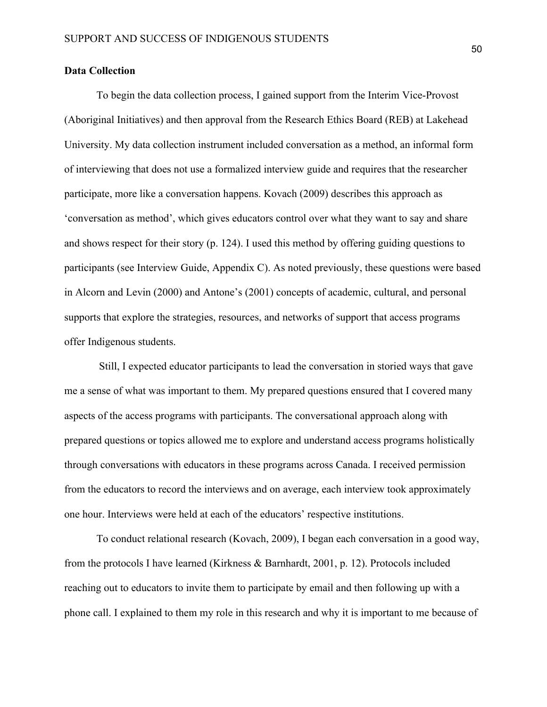## **Data Collection**

To begin the data collection process, I gained support from the Interim Vice-Provost (Aboriginal Initiatives) and then approval from the Research Ethics Board (REB) at Lakehead University. My data collection instrument included conversation as a method, an informal form of interviewing that does not use a formalized interview guide and requires that the researcher participate, more like a conversation happens. Kovach (2009) describes this approach as 'conversation as method', which gives educators control over what they want to say and share and shows respect for their story (p. 124). I used this method by offering guiding questions to participants (see Interview Guide, Appendix C). As noted previously, these questions were based in Alcorn and Levin (2000) and Antone's (2001) concepts of academic, cultural, and personal supports that explore the strategies, resources, and networks of support that access programs offer Indigenous students.

Still, I expected educator participants to lead the conversation in storied ways that gave me a sense of what was important to them. My prepared questions ensured that I covered many aspects of the access programs with participants. The conversational approach along with prepared questions or topics allowed me to explore and understand access programs holistically through conversations with educators in these programs across Canada. I received permission from the educators to record the interviews and on average, each interview took approximately one hour. Interviews were held at each of the educators' respective institutions.

To conduct relational research (Kovach, 2009), I began each conversation in a good way, from the protocols I have learned (Kirkness & Barnhardt, 2001, p. 12). Protocols included reaching out to educators to invite them to participate by email and then following up with a phone call. I explained to them my role in this research and why it is important to me because of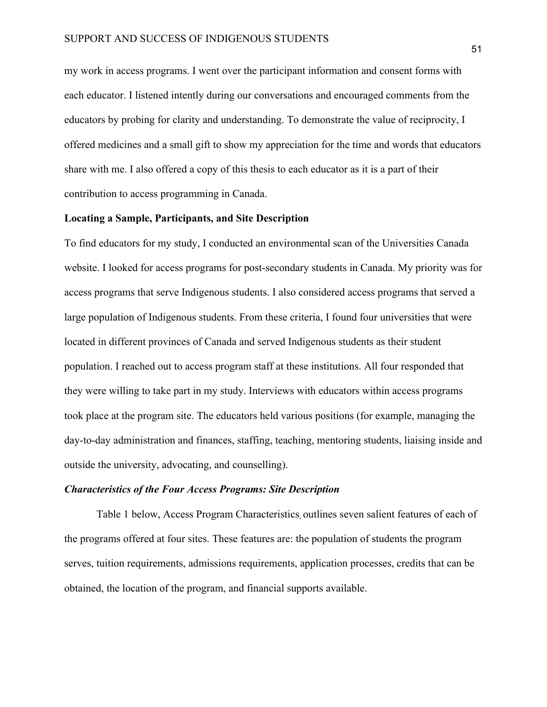my work in access programs. I went over the participant information and consent forms with each educator. I listened intently during our conversations and encouraged comments from the educators by probing for clarity and understanding. To demonstrate the value of reciprocity, I offered medicines and a small gift to show my appreciation for the time and words that educators share with me. I also offered a copy of this thesis to each educator as it is a part of their contribution to access programming in Canada.

## **Locating a Sample, Participants, and Site Description**

To find educators for my study, I conducted an environmental scan of the Universities Canada website. I looked for access programs for post-secondary students in Canada. My priority was for access programs that serve Indigenous students. I also considered access programs that served a large population of Indigenous students. From these criteria, I found four universities that were located in different provinces of Canada and served Indigenous students as their student population. I reached out to access program staff at these institutions. All four responded that they were willing to take part in my study. Interviews with educators within access programs took place at the program site. The educators held various positions (for example, managing the day-to-day administration and finances, staffing, teaching, mentoring students, liaising inside and outside the university, advocating, and counselling).

### *Characteristics of the Four Access Programs: Site Description*

Table 1 below, Access Program Characteristics, outlines seven salient features of each of the programs offered at four sites. These features are: the population of students the program serves, tuition requirements, admissions requirements, application processes, credits that can be obtained, the location of the program, and financial supports available.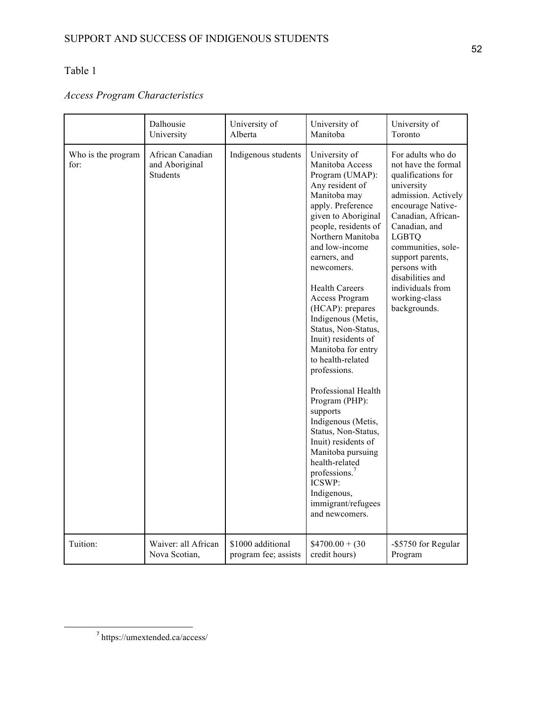## Table 1

# *Access Program Characteristics*

|                            | Dalhousie                                      | University of        | University of                                                                                                                                                                                                                                                                                                                                                                                                                                                                                                                                                                                                                                                                               | University of                                                                                                                                                                                                                                                                                                      |
|----------------------------|------------------------------------------------|----------------------|---------------------------------------------------------------------------------------------------------------------------------------------------------------------------------------------------------------------------------------------------------------------------------------------------------------------------------------------------------------------------------------------------------------------------------------------------------------------------------------------------------------------------------------------------------------------------------------------------------------------------------------------------------------------------------------------|--------------------------------------------------------------------------------------------------------------------------------------------------------------------------------------------------------------------------------------------------------------------------------------------------------------------|
|                            | University                                     | Alberta              | Manitoba                                                                                                                                                                                                                                                                                                                                                                                                                                                                                                                                                                                                                                                                                    | Toronto                                                                                                                                                                                                                                                                                                            |
| Who is the program<br>for: | African Canadian<br>and Aboriginal<br>Students | Indigenous students  | University of<br>Manitoba Access<br>Program (UMAP):<br>Any resident of<br>Manitoba may<br>apply. Preference<br>given to Aboriginal<br>people, residents of<br>Northern Manitoba<br>and low-income<br>earners, and<br>newcomers.<br><b>Health Careers</b><br>Access Program<br>(HCAP): prepares<br>Indigenous (Metis,<br>Status, Non-Status,<br>Inuit) residents of<br>Manitoba for entry<br>to health-related<br>professions.<br>Professional Health<br>Program (PHP):<br>supports<br>Indigenous (Metis,<br>Status, Non-Status,<br>Inuit) residents of<br>Manitoba pursuing<br>health-related<br>professions. <sup>7</sup><br>ICSWP:<br>Indigenous,<br>immigrant/refugees<br>and newcomers. | For adults who do<br>not have the formal<br>qualifications for<br>university<br>admission. Actively<br>encourage Native-<br>Canadian, African-<br>Canadian, and<br><b>LGBTQ</b><br>communities, sole-<br>support parents,<br>persons with<br>disabilities and<br>individuals from<br>working-class<br>backgrounds. |
| Tuition:                   | Waiver: all African                            | \$1000 additional    | $$4700.00 + (30$                                                                                                                                                                                                                                                                                                                                                                                                                                                                                                                                                                                                                                                                            | -\$5750 for Regular                                                                                                                                                                                                                                                                                                |
|                            | Nova Scotian,                                  | program fee; assists | credit hours)                                                                                                                                                                                                                                                                                                                                                                                                                                                                                                                                                                                                                                                                               | Program                                                                                                                                                                                                                                                                                                            |

<sup>7</sup> https://umextended.ca/access/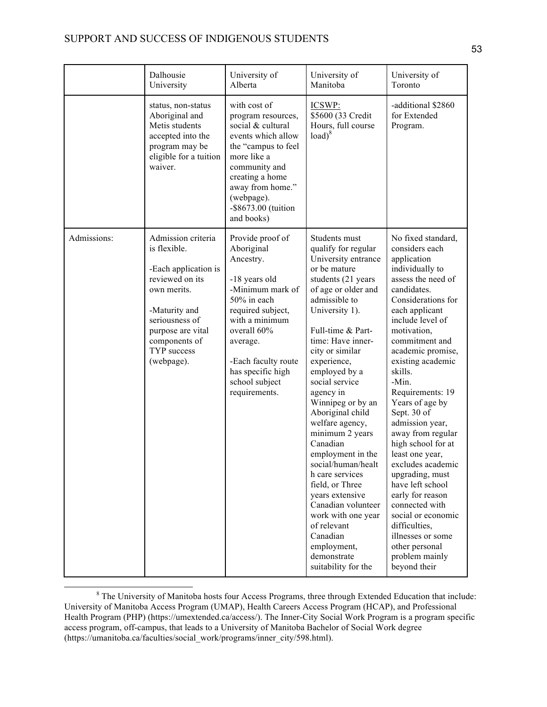## SUPPORT AND SUCCESS OF INDIGENOUS STUDENTS

|             | Dalhousie<br>University                                                                                                                                                                            | University of<br>Alberta                                                                                                                                                                                                                         | University of<br>Manitoba                                                                                                                                                                                                                                                                                                                                                                                                                                                                                                                                                                                          | University of<br>Toronto                                                                                                                                                                                                                                                                                                                                                                                                                                                                                                                                                                                                        |
|-------------|----------------------------------------------------------------------------------------------------------------------------------------------------------------------------------------------------|--------------------------------------------------------------------------------------------------------------------------------------------------------------------------------------------------------------------------------------------------|--------------------------------------------------------------------------------------------------------------------------------------------------------------------------------------------------------------------------------------------------------------------------------------------------------------------------------------------------------------------------------------------------------------------------------------------------------------------------------------------------------------------------------------------------------------------------------------------------------------------|---------------------------------------------------------------------------------------------------------------------------------------------------------------------------------------------------------------------------------------------------------------------------------------------------------------------------------------------------------------------------------------------------------------------------------------------------------------------------------------------------------------------------------------------------------------------------------------------------------------------------------|
|             | status, non-status<br>Aboriginal and<br>Metis students<br>accepted into the<br>program may be<br>eligible for a tuition<br>waiver.                                                                 | with cost of<br>program resources,<br>social & cultural<br>events which allow<br>the "campus to feel<br>more like a<br>community and<br>creating a home<br>away from home."<br>(webpage).<br>-\$8673.00 (tuition<br>and books)                   | ICSWP:<br>\$5600 (33 Credit<br>Hours, full course<br>$load)^8$                                                                                                                                                                                                                                                                                                                                                                                                                                                                                                                                                     | -additional \$2860<br>for Extended<br>Program.                                                                                                                                                                                                                                                                                                                                                                                                                                                                                                                                                                                  |
| Admissions: | Admission criteria<br>is flexible.<br>-Each application is<br>reviewed on its<br>own merits.<br>-Maturity and<br>seriousness of<br>purpose are vital<br>components of<br>TYP success<br>(webpage). | Provide proof of<br>Aboriginal<br>Ancestry.<br>-18 years old<br>-Minimum mark of<br>50% in each<br>required subject,<br>with a minimum<br>overall 60%<br>average.<br>-Each faculty route<br>has specific high<br>school subject<br>requirements. | Students must<br>qualify for regular<br>University entrance<br>or be mature<br>students (21 years<br>of age or older and<br>admissible to<br>University 1).<br>Full-time & Part-<br>time: Have inner-<br>city or similar<br>experience,<br>employed by a<br>social service<br>agency in<br>Winnipeg or by an<br>Aboriginal child<br>welfare agency,<br>minimum 2 years<br>Canadian<br>employment in the<br>social/human/healt<br>h care services<br>field, or Three<br>years extensive<br>Canadian volunteer<br>work with one year<br>of relevant<br>Canadian<br>employment,<br>demonstrate<br>suitability for the | No fixed standard,<br>considers each<br>application<br>individually to<br>assess the need of<br>candidates.<br>Considerations for<br>each applicant<br>include level of<br>motivation,<br>commitment and<br>academic promise,<br>existing academic<br>skills.<br>-Min.<br>Requirements: 19<br>Years of age by<br>Sept. 30 of<br>admission year,<br>away from regular<br>high school for at<br>least one year,<br>excludes academic<br>upgrading, must<br>have left school<br>early for reason<br>connected with<br>social or economic<br>difficulties,<br>illnesses or some<br>other personal<br>problem mainly<br>beyond their |

<sup>&</sup>lt;sup>8</sup> The University of Manitoba hosts four Access Programs, three through Extended Education that include: University of Manitoba Access Program (UMAP), Health Careers Access Program (HCAP), and Professional Health Program (PHP) (https://umextended.ca/access/). The Inner-City Social Work Program is a program specific access program, off-campus, that leads to a University of Manitoba Bachelor of Social Work degree (https://umanitoba.ca/faculties/social\_work/programs/inner\_city/598.html).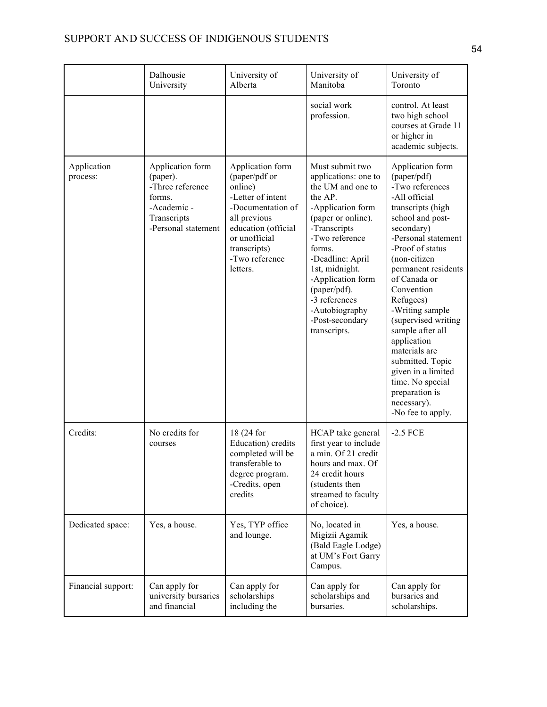|                         | Dalhousie<br>University                                                                                         | University of<br>Alberta                                                                                                                                                                     | University of<br>Manitoba                                                                                                                                                                                                                                                                                       | University of<br>Toronto                                                                                                                                                                                                                                                                                                                                                                                                                                                  |
|-------------------------|-----------------------------------------------------------------------------------------------------------------|----------------------------------------------------------------------------------------------------------------------------------------------------------------------------------------------|-----------------------------------------------------------------------------------------------------------------------------------------------------------------------------------------------------------------------------------------------------------------------------------------------------------------|---------------------------------------------------------------------------------------------------------------------------------------------------------------------------------------------------------------------------------------------------------------------------------------------------------------------------------------------------------------------------------------------------------------------------------------------------------------------------|
|                         |                                                                                                                 |                                                                                                                                                                                              | social work<br>profession.                                                                                                                                                                                                                                                                                      | control. At least<br>two high school<br>courses at Grade 11<br>or higher in<br>academic subjects.                                                                                                                                                                                                                                                                                                                                                                         |
| Application<br>process: | Application form<br>(paper).<br>-Three reference<br>forms.<br>-Academic -<br>Transcripts<br>-Personal statement | Application form<br>(paper/pdf or<br>online)<br>-Letter of intent<br>-Documentation of<br>all previous<br>education (official<br>or unofficial<br>transcripts)<br>-Two reference<br>letters. | Must submit two<br>applications: one to<br>the UM and one to<br>the AP.<br>-Application form<br>(paper or online).<br>-Transcripts<br>-Two reference<br>forms.<br>-Deadline: April<br>1st, midnight.<br>-Application form<br>(paper/pdf).<br>-3 references<br>-Autobiography<br>-Post-secondary<br>transcripts. | Application form<br>(paper/pdf)<br>-Two references<br>-All official<br>transcripts (high<br>school and post-<br>secondary)<br>-Personal statement<br>-Proof of status<br>(non-citizen<br>permanent residents<br>of Canada or<br>Convention<br>Refugees)<br>-Writing sample<br>(supervised writing<br>sample after all<br>application<br>materials are<br>submitted. Topic<br>given in a limited<br>time. No special<br>preparation is<br>necessary).<br>-No fee to apply. |
| Credits:                | No credits for<br>courses                                                                                       | 18 (24 for<br>Education) credits<br>completed will be<br>transferable to<br>degree program.<br>-Credits, open<br>credits                                                                     | HCAP take general<br>first year to include<br>a min. Of 21 credit<br>hours and max. Of<br>24 credit hours<br>(students then<br>streamed to faculty<br>of choice).                                                                                                                                               | $-2.5$ FCE                                                                                                                                                                                                                                                                                                                                                                                                                                                                |
| Dedicated space:        | Yes, a house.                                                                                                   | Yes, TYP office<br>and lounge.                                                                                                                                                               | No, located in<br>Migizii Agamik<br>(Bald Eagle Lodge)<br>at UM's Fort Garry<br>Campus.                                                                                                                                                                                                                         | Yes, a house.                                                                                                                                                                                                                                                                                                                                                                                                                                                             |
| Financial support:      | Can apply for<br>university bursaries<br>and financial                                                          | Can apply for<br>scholarships<br>including the                                                                                                                                               | Can apply for<br>scholarships and<br>bursaries.                                                                                                                                                                                                                                                                 | Can apply for<br>bursaries and<br>scholarships.                                                                                                                                                                                                                                                                                                                                                                                                                           |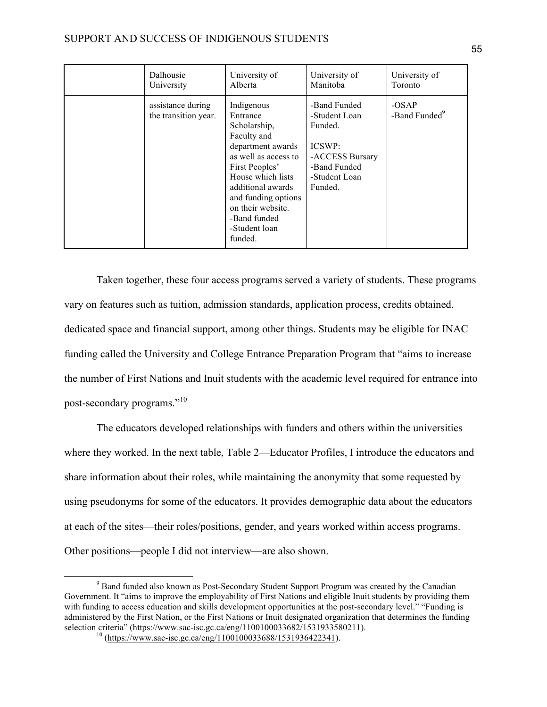| Dalhousie                                 | University of                                                                                                                                                                                                                                          | University of                                                                                                     | University of |
|-------------------------------------------|--------------------------------------------------------------------------------------------------------------------------------------------------------------------------------------------------------------------------------------------------------|-------------------------------------------------------------------------------------------------------------------|---------------|
| University                                | Alberta                                                                                                                                                                                                                                                | Manitoba                                                                                                          | Toronto       |
| assistance during<br>the transition year. | Indigenous<br>Entrance<br>Scholarship,<br>Faculty and<br>department awards<br>as well as access to<br>First Peoples'<br>House which lists<br>additional awards<br>and funding options<br>on their website.<br>-Band funded<br>-Student loan<br>funded. | -Band Funded<br>-Student Loan<br>Funded.<br>ICSWP:<br>-ACCESS Bursary<br>-Band Funded<br>-Student Loan<br>Funded. |               |

Taken together, these four access programs served a variety of students. These programs vary on features such as tuition, admission standards, application process, credits obtained, dedicated space and financial support, among other things. Students may be eligible for INAC funding called the University and College Entrance Preparation Program that "aims to increase the number of First Nations and Inuit students with the academic level required for entrance into post-secondary programs."<sup>10</sup>

The educators developed relationships with funders and others within the universities where they worked. In the next table, Table 2—Educator Profiles, I introduce the educators and share information about their roles, while maintaining the anonymity that some requested by using pseudonyms for some of the educators. It provides demographic data about the educators at each of the sites—their roles/positions, gender, and years worked within access programs. Other positions—people I did not interview—are also shown.

<sup>&</sup>lt;sup>9</sup> Band funded also known as Post-Secondary Student Support Program was created by the Canadian Government. It "aims to improve the employability of First Nations and eligible Inuit students by providing them with funding to access education and skills development opportunities at the post-secondary level." "Funding is administered by the First Nation, or the First Nations or Inuit designated organization that determines the funding selection criteria" (https://www.sac-isc.gc.ca/eng/1100100033682/1531933580211).<br><sup>10</sup> (https://www.sac-isc.gc.ca/eng/1100100033688/1531936422341).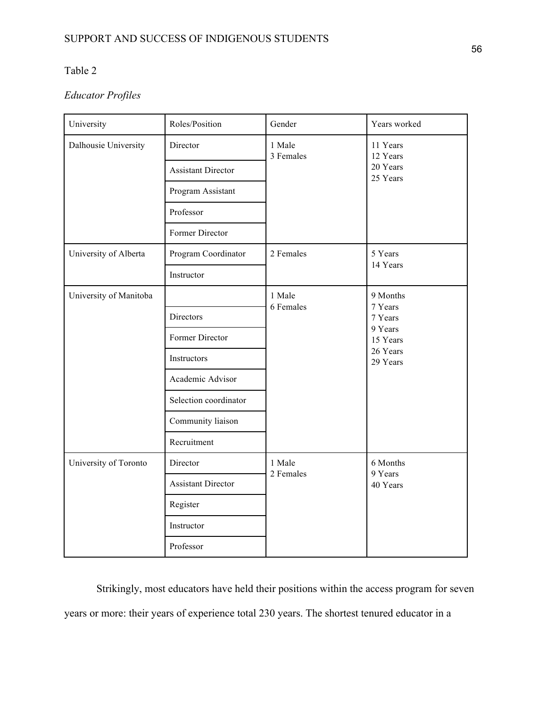## Table 2

## *Educator Profiles*

| University             | Roles/Position            | Gender              | Years worked                                                                  |
|------------------------|---------------------------|---------------------|-------------------------------------------------------------------------------|
| Dalhousie University   | Director                  | 1 Male<br>3 Females | 11 Years<br>12 Years<br>20 Years<br>25 Years                                  |
|                        | <b>Assistant Director</b> |                     |                                                                               |
|                        | Program Assistant         |                     |                                                                               |
|                        | Professor                 |                     |                                                                               |
|                        | Former Director           |                     |                                                                               |
| University of Alberta  | Program Coordinator       | 2 Females           | 5 Years<br>14 Years                                                           |
|                        | Instructor                |                     |                                                                               |
| University of Manitoba |                           | 1 Male<br>6 Females | 9 Months<br>7 Years<br>7 Years<br>9 Years<br>15 Years<br>26 Years<br>29 Years |
|                        | Directors                 |                     |                                                                               |
|                        | Former Director           |                     |                                                                               |
|                        | Instructors               |                     |                                                                               |
|                        | Academic Advisor          |                     |                                                                               |
|                        | Selection coordinator     |                     |                                                                               |
|                        | Community liaison         |                     |                                                                               |
|                        | Recruitment               |                     |                                                                               |
| University of Toronto  | Director                  | 1 Male<br>2 Females | 6 Months<br>9 Years<br>40 Years                                               |
|                        | <b>Assistant Director</b> |                     |                                                                               |
|                        | Register                  |                     |                                                                               |
|                        | Instructor                |                     |                                                                               |
|                        | Professor                 |                     |                                                                               |

Strikingly, most educators have held their positions within the access program for seven years or more: their years of experience total 230 years. The shortest tenured educator in a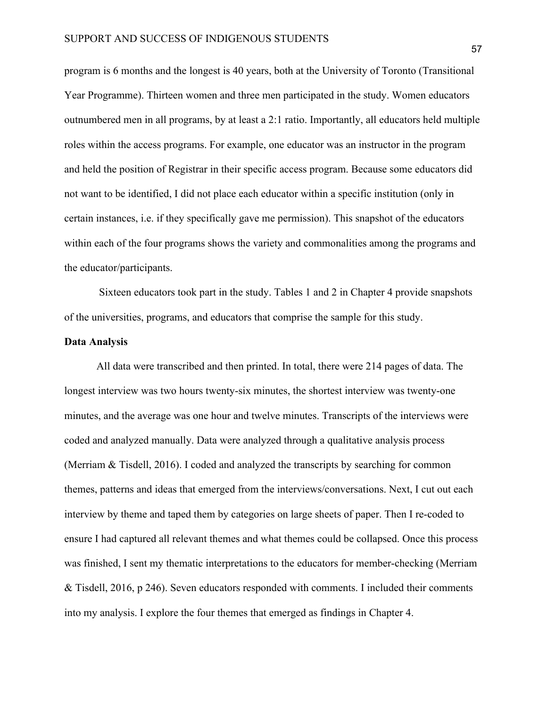program is 6 months and the longest is 40 years, both at the University of Toronto (Transitional Year Programme). Thirteen women and three men participated in the study. Women educators outnumbered men in all programs, by at least a 2:1 ratio. Importantly, all educators held multiple roles within the access programs. For example, one educator was an instructor in the program and held the position of Registrar in their specific access program. Because some educators did not want to be identified, I did not place each educator within a specific institution (only in certain instances, i.e. if they specifically gave me permission). This snapshot of the educators within each of the four programs shows the variety and commonalities among the programs and the educator/participants.

Sixteen educators took part in the study. Tables 1 and 2 in Chapter 4 provide snapshots of the universities, programs, and educators that comprise the sample for this study.

### **Data Analysis**

All data were transcribed and then printed. In total, there were 214 pages of data. The longest interview was two hours twenty-six minutes, the shortest interview was twenty-one minutes, and the average was one hour and twelve minutes. Transcripts of the interviews were coded and analyzed manually. Data were analyzed through a qualitative analysis process (Merriam & Tisdell, 2016). I coded and analyzed the transcripts by searching for common themes, patterns and ideas that emerged from the interviews/conversations. Next, I cut out each interview by theme and taped them by categories on large sheets of paper. Then I re-coded to ensure I had captured all relevant themes and what themes could be collapsed. Once this process was finished, I sent my thematic interpretations to the educators for member-checking (Merriam & Tisdell, 2016, p 246). Seven educators responded with comments. I included their comments into my analysis. I explore the four themes that emerged as findings in Chapter 4.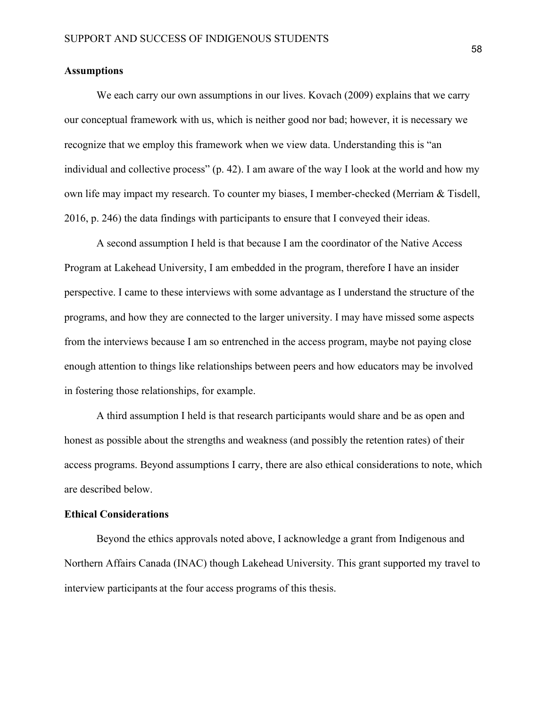### **Assumptions**

We each carry our own assumptions in our lives. Kovach (2009) explains that we carry our conceptual framework with us, which is neither good nor bad; however, it is necessary we recognize that we employ this framework when we view data. Understanding this is "an individual and collective process" (p. 42). I am aware of the way I look at the world and how my own life may impact my research. To counter my biases, I member-checked (Merriam & Tisdell, 2016, p. 246) the data findings with participants to ensure that I conveyed their ideas.

A second assumption I held is that because I am the coordinator of the Native Access Program at Lakehead University, I am embedded in the program, therefore I have an insider perspective. I came to these interviews with some advantage as I understand the structure of the programs, and how they are connected to the larger university. I may have missed some aspects from the interviews because I am so entrenched in the access program, maybe not paying close enough attention to things like relationships between peers and how educators may be involved in fostering those relationships, for example.

A third assumption I held is that research participants would share and be as open and honest as possible about the strengths and weakness (and possibly the retention rates) of their access programs. Beyond assumptions I carry, there are also ethical considerations to note, which are described below.

### **Ethical Considerations**

Beyond the ethics approvals noted above, I acknowledge a grant from Indigenous and Northern Affairs Canada (INAC) though Lakehead University. This grant supported my travel to interview participants at the four access programs of this thesis.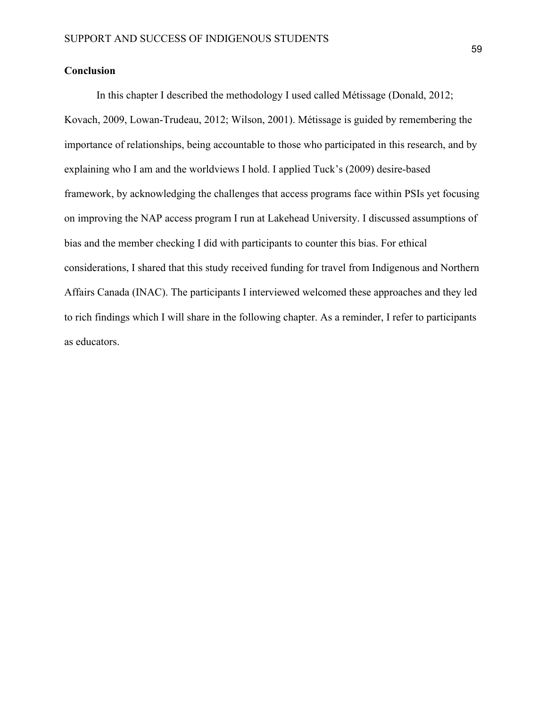## **Conclusion**

In this chapter I described the methodology I used called Métissage (Donald, 2012; Kovach, 2009, Lowan-Trudeau, 2012; Wilson, 2001). Métissage is guided by remembering the importance of relationships, being accountable to those who participated in this research, and by explaining who I am and the worldviews I hold. I applied Tuck's (2009) desire-based framework, by acknowledging the challenges that access programs face within PSIs yet focusing on improving the NAP access program I run at Lakehead University. I discussed assumptions of bias and the member checking I did with participants to counter this bias. For ethical considerations, I shared that this study received funding for travel from Indigenous and Northern Affairs Canada (INAC). The participants I interviewed welcomed these approaches and they led to rich findings which I will share in the following chapter. As a reminder, I refer to participants as educators.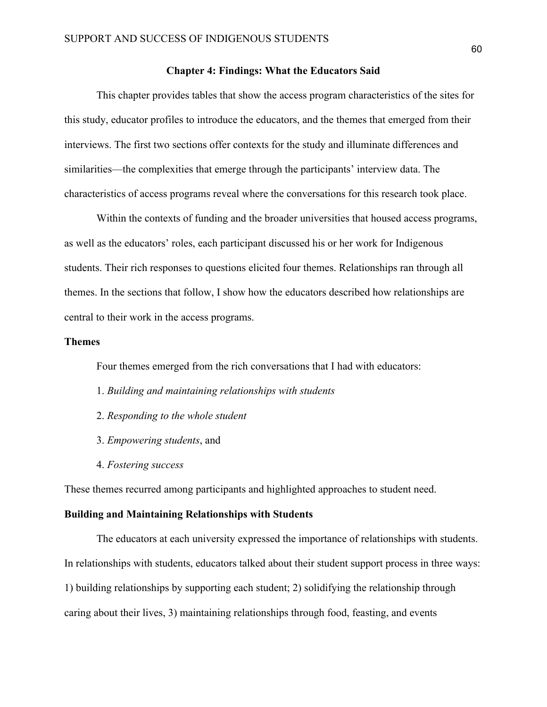### **Chapter 4: Findings: What the Educators Said**

This chapter provides tables that show the access program characteristics of the sites for this study, educator profiles to introduce the educators, and the themes that emerged from their interviews. The first two sections offer contexts for the study and illuminate differences and similarities—the complexities that emerge through the participants' interview data. The characteristics of access programs reveal where the conversations for this research took place.

Within the contexts of funding and the broader universities that housed access programs, as well as the educators' roles, each participant discussed his or her work for Indigenous students. Their rich responses to questions elicited four themes. Relationships ran through all themes. In the sections that follow, I show how the educators described how relationships are central to their work in the access programs.

### **Themes**

Four themes emerged from the rich conversations that I had with educators:

- 1. *Building and maintaining relationships with students*
- 2. *Responding to the whole student*
- 3. *Empowering students*, and
- 4. *Fostering success*

These themes recurred among participants and highlighted approaches to student need.

### **Building and Maintaining Relationships with Students**

The educators at each university expressed the importance of relationships with students. In relationships with students, educators talked about their student support process in three ways: 1) building relationships by supporting each student; 2) solidifying the relationship through caring about their lives, 3) maintaining relationships through food, feasting, and events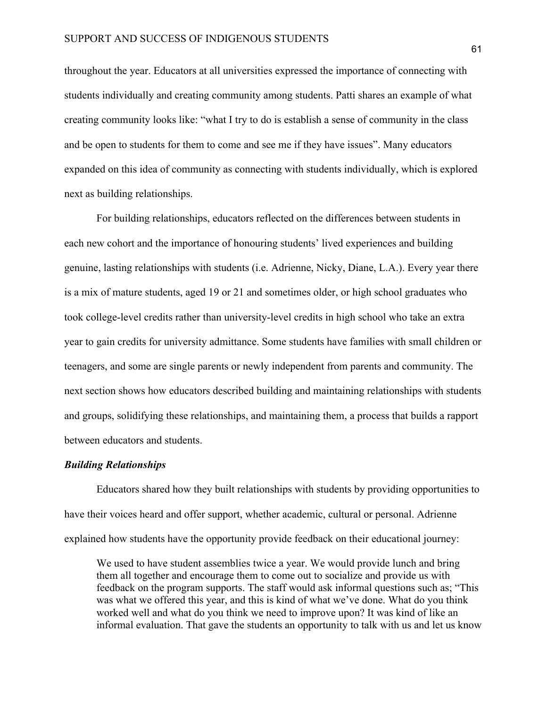throughout the year. Educators at all universities expressed the importance of connecting with students individually and creating community among students. Patti shares an example of what creating community looks like: "what I try to do is establish a sense of community in the class and be open to students for them to come and see me if they have issues". Many educators expanded on this idea of community as connecting with students individually, which is explored next as building relationships.

For building relationships, educators reflected on the differences between students in each new cohort and the importance of honouring students' lived experiences and building genuine, lasting relationships with students (i.e. Adrienne, Nicky, Diane, L.A.). Every year there is a mix of mature students, aged 19 or 21 and sometimes older, or high school graduates who took college-level credits rather than university-level credits in high school who take an extra year to gain credits for university admittance. Some students have families with small children or teenagers, and some are single parents or newly independent from parents and community. The next section shows how educators described building and maintaining relationships with students and groups, solidifying these relationships, and maintaining them, a process that builds a rapport between educators and students.

### *Building Relationships*

Educators shared how they built relationships with students by providing opportunities to have their voices heard and offer support, whether academic, cultural or personal. Adrienne explained how students have the opportunity provide feedback on their educational journey:

We used to have student assemblies twice a year. We would provide lunch and bring them all together and encourage them to come out to socialize and provide us with feedback on the program supports. The staff would ask informal questions such as; "This was what we offered this year, and this is kind of what we've done. What do you think worked well and what do you think we need to improve upon? It was kind of like an informal evaluation. That gave the students an opportunity to talk with us and let us know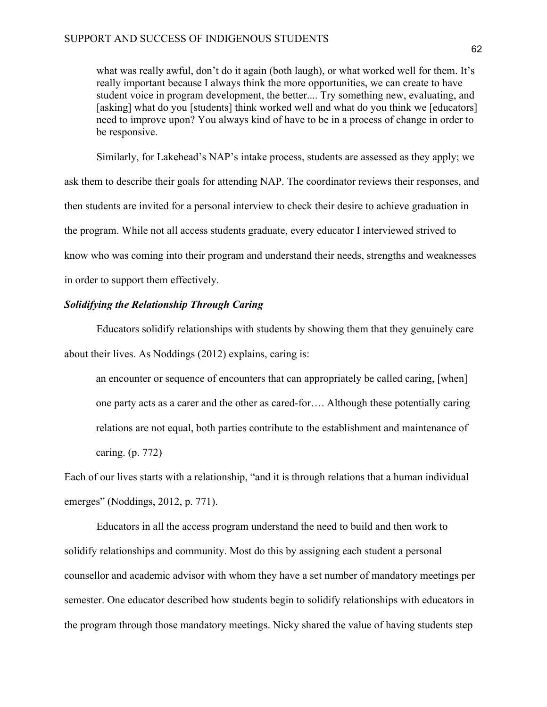what was really awful, don't do it again (both laugh), or what worked well for them. It's really important because I always think the more opportunities, we can create to have student voice in program development, the better.... Try something new, evaluating, and [asking] what do you [students] think worked well and what do you think we [educators] need to improve upon? You always kind of have to be in a process of change in order to be responsive.

Similarly, for Lakehead's NAP's intake process, students are assessed as they apply; we ask them to describe their goals for attending NAP. The coordinator reviews their responses, and then students are invited for a personal interview to check their desire to achieve graduation in the program. While not all access students graduate, every educator I interviewed strived to know who was coming into their program and understand their needs, strengths and weaknesses in order to support them effectively.

### *Solidifying the Relationship Through Caring*

Educators solidify relationships with students by showing them that they genuinely care about their lives. As Noddings (2012) explains, caring is:

an encounter or sequence of encounters that can appropriately be called caring, [when] one party acts as a carer and the other as cared-for…. Although these potentially caring relations are not equal, both parties contribute to the establishment and maintenance of caring. (p. 772)

Each of our lives starts with a relationship, "and it is through relations that a human individual emerges" (Noddings, 2012, p. 771).

Educators in all the access program understand the need to build and then work to solidify relationships and community. Most do this by assigning each student a personal counsellor and academic advisor with whom they have a set number of mandatory meetings per semester. One educator described how students begin to solidify relationships with educators in the program through those mandatory meetings. Nicky shared the value of having students step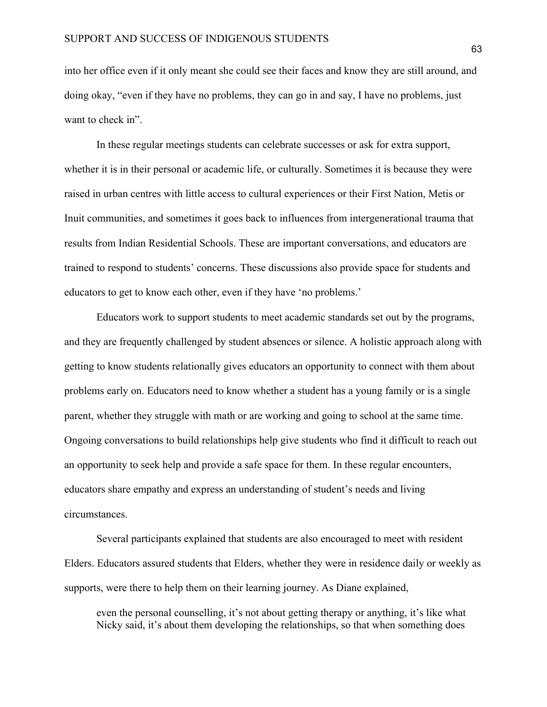into her office even if it only meant she could see their faces and know they are still around, and doing okay, "even if they have no problems, they can go in and say, I have no problems, just want to check in".

In these regular meetings students can celebrate successes or ask for extra support, whether it is in their personal or academic life, or culturally. Sometimes it is because they were raised in urban centres with little access to cultural experiences or their First Nation, Metis or Inuit communities, and sometimes it goes back to influences from intergenerational trauma that results from Indian Residential Schools. These are important conversations, and educators are trained to respond to students' concerns. These discussions also provide space for students and educators to get to know each other, even if they have 'no problems.'

Educators work to support students to meet academic standards set out by the programs, and they are frequently challenged by student absences or silence. A holistic approach along with getting to know students relationally gives educators an opportunity to connect with them about problems early on. Educators need to know whether a student has a young family or is a single parent, whether they struggle with math or are working and going to school at the same time. Ongoing conversations to build relationships help give students who find it difficult to reach out an opportunity to seek help and provide a safe space for them. In these regular encounters, educators share empathy and express an understanding of student's needs and living circumstances.

Several participants explained that students are also encouraged to meet with resident Elders. Educators assured students that Elders, whether they were in residence daily or weekly as supports, were there to help them on their learning journey. As Diane explained,

even the personal counselling, it's not about getting therapy or anything, it's like what Nicky said, it's about them developing the relationships, so that when something does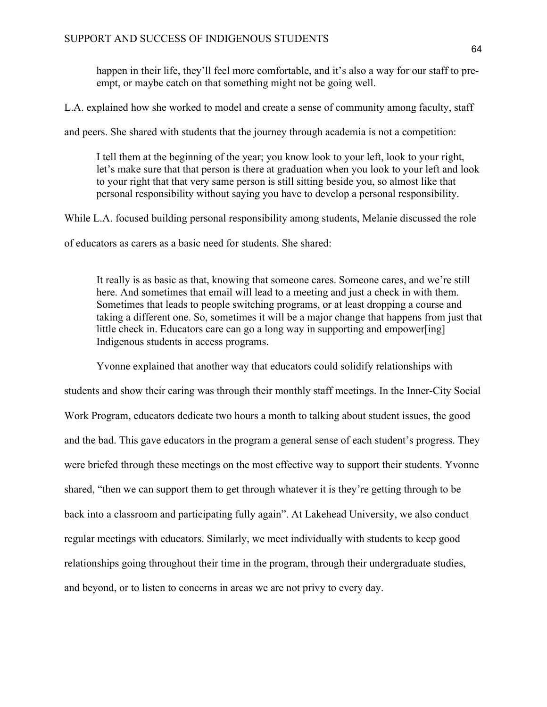happen in their life, they'll feel more comfortable, and it's also a way for our staff to preempt, or maybe catch on that something might not be going well.

L.A. explained how she worked to model and create a sense of community among faculty, staff

and peers. She shared with students that the journey through academia is not a competition:

I tell them at the beginning of the year; you know look to your left, look to your right, let's make sure that that person is there at graduation when you look to your left and look to your right that that very same person is still sitting beside you, so almost like that personal responsibility without saying you have to develop a personal responsibility.

While L.A. focused building personal responsibility among students, Melanie discussed the role

of educators as carers as a basic need for students. She shared:

It really is as basic as that, knowing that someone cares. Someone cares, and we're still here. And sometimes that email will lead to a meeting and just a check in with them. Sometimes that leads to people switching programs, or at least dropping a course and taking a different one. So, sometimes it will be a major change that happens from just that little check in. Educators care can go a long way in supporting and empower[ing] Indigenous students in access programs.

Yvonne explained that another way that educators could solidify relationships with students and show their caring was through their monthly staff meetings. In the Inner-City Social Work Program, educators dedicate two hours a month to talking about student issues, the good and the bad. This gave educators in the program a general sense of each student's progress. They were briefed through these meetings on the most effective way to support their students. Yvonne shared, "then we can support them to get through whatever it is they're getting through to be back into a classroom and participating fully again". At Lakehead University, we also conduct regular meetings with educators. Similarly, we meet individually with students to keep good relationships going throughout their time in the program, through their undergraduate studies, and beyond, or to listen to concerns in areas we are not privy to every day.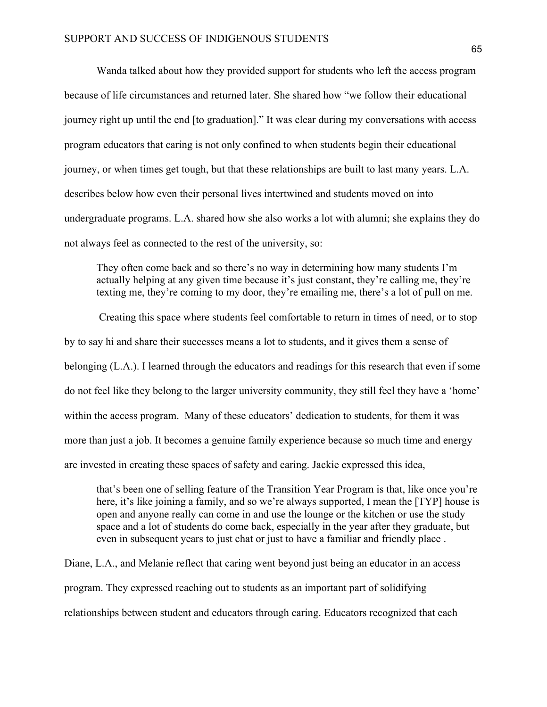Wanda talked about how they provided support for students who left the access program because of life circumstances and returned later. She shared how "we follow their educational journey right up until the end [to graduation]." It was clear during my conversations with access program educators that caring is not only confined to when students begin their educational journey, or when times get tough, but that these relationships are built to last many years. L.A. describes below how even their personal lives intertwined and students moved on into undergraduate programs. L.A. shared how she also works a lot with alumni; she explains they do not always feel as connected to the rest of the university, so:

They often come back and so there's no way in determining how many students I'm actually helping at any given time because it's just constant, they're calling me, they're texting me, they're coming to my door, they're emailing me, there's a lot of pull on me.

Creating this space where students feel comfortable to return in times of need, or to stop by to say hi and share their successes means a lot to students, and it gives them a sense of belonging (L.A.). I learned through the educators and readings for this research that even if some do not feel like they belong to the larger university community, they still feel they have a 'home' within the access program. Many of these educators' dedication to students, for them it was more than just a job. It becomes a genuine family experience because so much time and energy are invested in creating these spaces of safety and caring. Jackie expressed this idea,

that's been one of selling feature of the Transition Year Program is that, like once you're here, it's like joining a family, and so we're always supported, I mean the [TYP] house is open and anyone really can come in and use the lounge or the kitchen or use the study space and a lot of students do come back, especially in the year after they graduate, but even in subsequent years to just chat or just to have a familiar and friendly place .

Diane, L.A., and Melanie reflect that caring went beyond just being an educator in an access program. They expressed reaching out to students as an important part of solidifying relationships between student and educators through caring. Educators recognized that each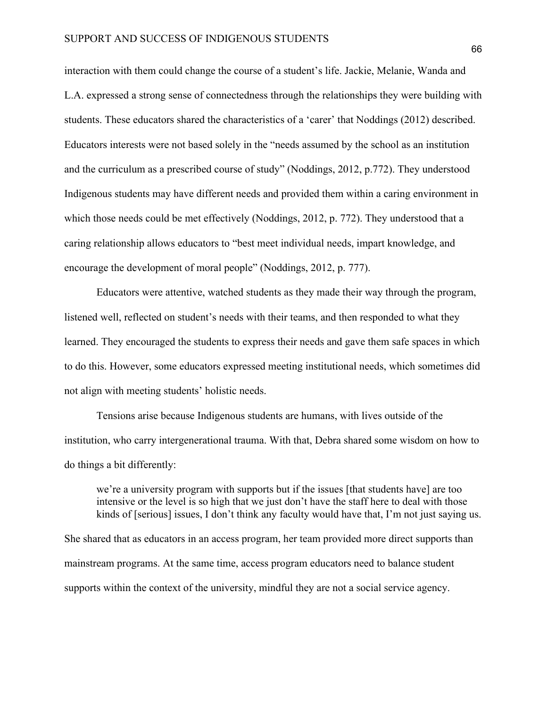interaction with them could change the course of a student's life. Jackie, Melanie, Wanda and L.A. expressed a strong sense of connectedness through the relationships they were building with students. These educators shared the characteristics of a 'carer' that Noddings (2012) described. Educators interests were not based solely in the "needs assumed by the school as an institution and the curriculum as a prescribed course of study" (Noddings, 2012, p.772). They understood Indigenous students may have different needs and provided them within a caring environment in which those needs could be met effectively (Noddings, 2012, p. 772). They understood that a caring relationship allows educators to "best meet individual needs, impart knowledge, and encourage the development of moral people" (Noddings, 2012, p. 777).

Educators were attentive, watched students as they made their way through the program, listened well, reflected on student's needs with their teams, and then responded to what they learned. They encouraged the students to express their needs and gave them safe spaces in which to do this. However, some educators expressed meeting institutional needs, which sometimes did not align with meeting students' holistic needs.

Tensions arise because Indigenous students are humans, with lives outside of the institution, who carry intergenerational trauma. With that, Debra shared some wisdom on how to do things a bit differently:

we're a university program with supports but if the issues [that students have] are too intensive or the level is so high that we just don't have the staff here to deal with those kinds of [serious] issues, I don't think any faculty would have that, I'm not just saying us.

She shared that as educators in an access program, her team provided more direct supports than mainstream programs. At the same time, access program educators need to balance student supports within the context of the university, mindful they are not a social service agency.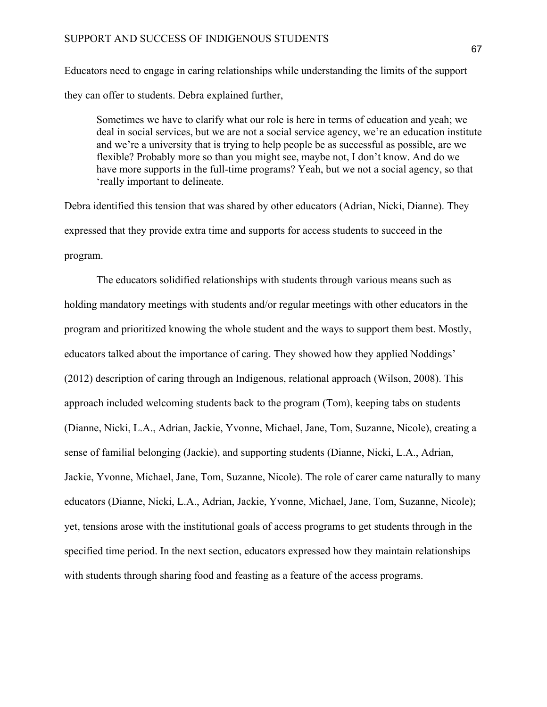Educators need to engage in caring relationships while understanding the limits of the support they can offer to students. Debra explained further,

Sometimes we have to clarify what our role is here in terms of education and yeah; we deal in social services, but we are not a social service agency, we're an education institute and we're a university that is trying to help people be as successful as possible, are we flexible? Probably more so than you might see, maybe not, I don't know. And do we have more supports in the full-time programs? Yeah, but we not a social agency, so that 'really important to delineate.

Debra identified this tension that was shared by other educators (Adrian, Nicki, Dianne). They expressed that they provide extra time and supports for access students to succeed in the program.

The educators solidified relationships with students through various means such as holding mandatory meetings with students and/or regular meetings with other educators in the program and prioritized knowing the whole student and the ways to support them best. Mostly, educators talked about the importance of caring. They showed how they applied Noddings' (2012) description of caring through an Indigenous, relational approach (Wilson, 2008). This approach included welcoming students back to the program (Tom), keeping tabs on students (Dianne, Nicki, L.A., Adrian, Jackie, Yvonne, Michael, Jane, Tom, Suzanne, Nicole), creating a sense of familial belonging (Jackie), and supporting students (Dianne, Nicki, L.A., Adrian, Jackie, Yvonne, Michael, Jane, Tom, Suzanne, Nicole). The role of carer came naturally to many educators (Dianne, Nicki, L.A., Adrian, Jackie, Yvonne, Michael, Jane, Tom, Suzanne, Nicole); yet, tensions arose with the institutional goals of access programs to get students through in the specified time period. In the next section, educators expressed how they maintain relationships with students through sharing food and feasting as a feature of the access programs.

67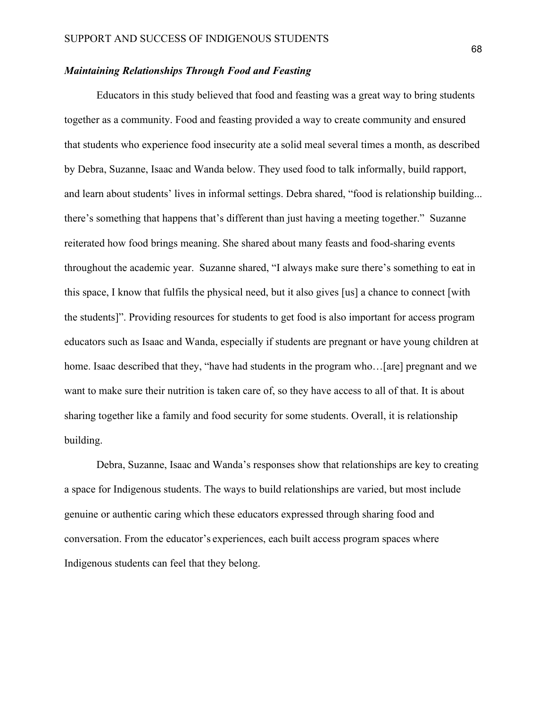## *Maintaining Relationships Through Food and Feasting*

Educators in this study believed that food and feasting was a great way to bring students together as a community. Food and feasting provided a way to create community and ensured that students who experience food insecurity ate a solid meal several times a month, as described by Debra, Suzanne, Isaac and Wanda below. They used food to talk informally, build rapport, and learn about students' lives in informal settings. Debra shared, "food is relationship building... there's something that happens that's different than just having a meeting together." Suzanne reiterated how food brings meaning. She shared about many feasts and food-sharing events throughout the academic year. Suzanne shared, "I always make sure there's something to eat in this space, I know that fulfils the physical need, but it also gives [us] a chance to connect [with the students]". Providing resources for students to get food is also important for access program educators such as Isaac and Wanda, especially if students are pregnant or have young children at home. Isaac described that they, "have had students in the program who...[are] pregnant and we want to make sure their nutrition is taken care of, so they have access to all of that. It is about sharing together like a family and food security for some students. Overall, it is relationship building.

Debra, Suzanne, Isaac and Wanda's responses show that relationships are key to creating a space for Indigenous students. The ways to build relationships are varied, but most include genuine or authentic caring which these educators expressed through sharing food and conversation. From the educator's experiences, each built access program spaces where Indigenous students can feel that they belong.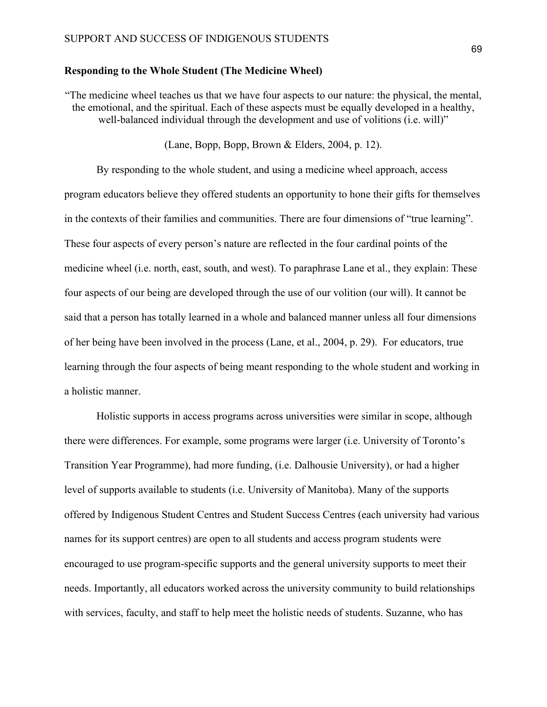### **Responding to the Whole Student (The Medicine Wheel)**

"The medicine wheel teaches us that we have four aspects to our nature: the physical, the mental, the emotional, and the spiritual. Each of these aspects must be equally developed in a healthy, well-balanced individual through the development and use of volitions (i.e. will)"

(Lane, Bopp, Bopp, Brown & Elders, 2004, p. 12).

By responding to the whole student, and using a medicine wheel approach, access program educators believe they offered students an opportunity to hone their gifts for themselves in the contexts of their families and communities. There are four dimensions of "true learning". These four aspects of every person's nature are reflected in the four cardinal points of the medicine wheel (i.e. north, east, south, and west). To paraphrase Lane et al., they explain: These four aspects of our being are developed through the use of our volition (our will). It cannot be said that a person has totally learned in a whole and balanced manner unless all four dimensions of her being have been involved in the process (Lane, et al., 2004, p. 29). For educators, true learning through the four aspects of being meant responding to the whole student and working in a holistic manner.

Holistic supports in access programs across universities were similar in scope, although there were differences. For example, some programs were larger (i.e. University of Toronto's Transition Year Programme), had more funding, (i.e. Dalhousie University), or had a higher level of supports available to students (i.e. University of Manitoba). Many of the supports offered by Indigenous Student Centres and Student Success Centres (each university had various names for its support centres) are open to all students and access program students were encouraged to use program-specific supports and the general university supports to meet their needs. Importantly, all educators worked across the university community to build relationships with services, faculty, and staff to help meet the holistic needs of students. Suzanne, who has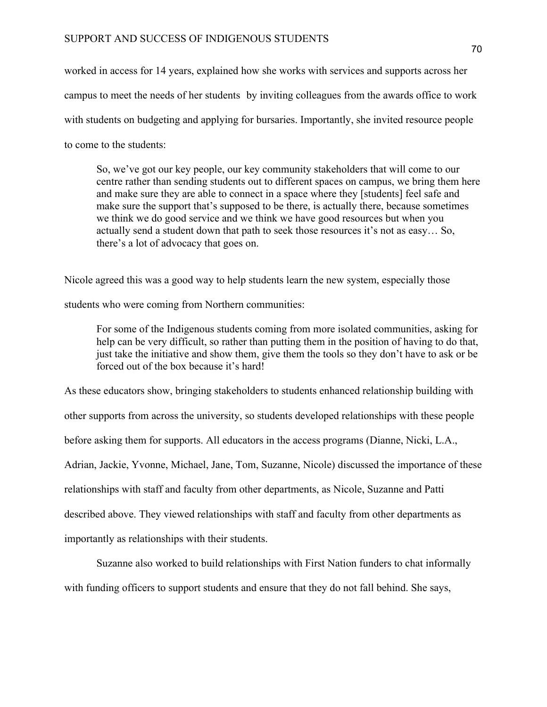worked in access for 14 years, explained how she works with services and supports across her campus to meet the needs of her students by inviting colleagues from the awards office to work with students on budgeting and applying for bursaries. Importantly, she invited resource people to come to the students:

So, we've got our key people, our key community stakeholders that will come to our centre rather than sending students out to different spaces on campus, we bring them here and make sure they are able to connect in a space where they [students] feel safe and make sure the support that's supposed to be there, is actually there, because sometimes we think we do good service and we think we have good resources but when you actually send a student down that path to seek those resources it's not as easy… So, there's a lot of advocacy that goes on.

Nicole agreed this was a good way to help students learn the new system, especially those

students who were coming from Northern communities:

For some of the Indigenous students coming from more isolated communities, asking for help can be very difficult, so rather than putting them in the position of having to do that, just take the initiative and show them, give them the tools so they don't have to ask or be forced out of the box because it's hard!

As these educators show, bringing stakeholders to students enhanced relationship building with other supports from across the university, so students developed relationships with these people before asking them for supports. All educators in the access programs (Dianne, Nicki, L.A., Adrian, Jackie, Yvonne, Michael, Jane, Tom, Suzanne, Nicole) discussed the importance of these relationships with staff and faculty from other departments, as Nicole, Suzanne and Patti described above. They viewed relationships with staff and faculty from other departments as importantly as relationships with their students.

Suzanne also worked to build relationships with First Nation funders to chat informally with funding officers to support students and ensure that they do not fall behind. She says,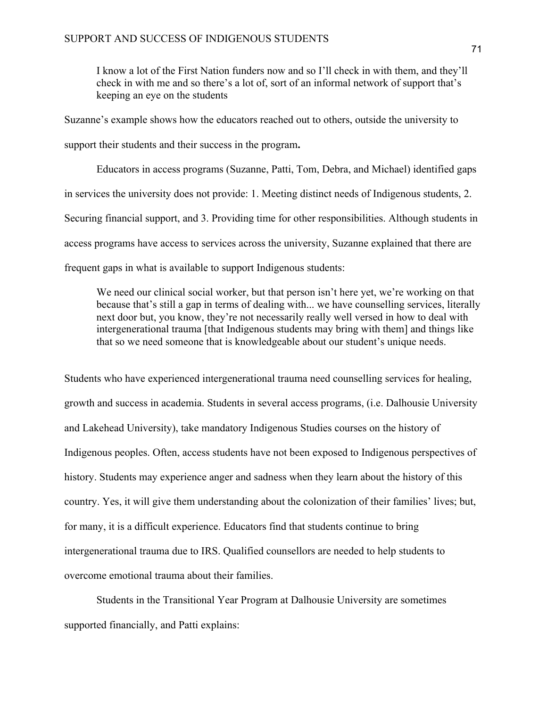I know a lot of the First Nation funders now and so I'll check in with them, and they'll check in with me and so there's a lot of, sort of an informal network of support that's keeping an eye on the students

Suzanne's example shows how the educators reached out to others, outside the university to support their students and their success in the program**.** 

Educators in access programs (Suzanne, Patti, Tom, Debra, and Michael) identified gaps in services the university does not provide: 1. Meeting distinct needs of Indigenous students, 2. Securing financial support, and 3. Providing time for other responsibilities. Although students in access programs have access to services across the university, Suzanne explained that there are frequent gaps in what is available to support Indigenous students:

We need our clinical social worker, but that person isn't here yet, we're working on that because that's still a gap in terms of dealing with... we have counselling services, literally next door but, you know, they're not necessarily really well versed in how to deal with intergenerational trauma [that Indigenous students may bring with them] and things like that so we need someone that is knowledgeable about our student's unique needs.

Students who have experienced intergenerational trauma need counselling services for healing, growth and success in academia. Students in several access programs, (i.e. Dalhousie University and Lakehead University), take mandatory Indigenous Studies courses on the history of Indigenous peoples. Often, access students have not been exposed to Indigenous perspectives of history. Students may experience anger and sadness when they learn about the history of this country. Yes, it will give them understanding about the colonization of their families' lives; but, for many, it is a difficult experience. Educators find that students continue to bring intergenerational trauma due to IRS. Qualified counsellors are needed to help students to overcome emotional trauma about their families.

Students in the Transitional Year Program at Dalhousie University are sometimes supported financially, and Patti explains: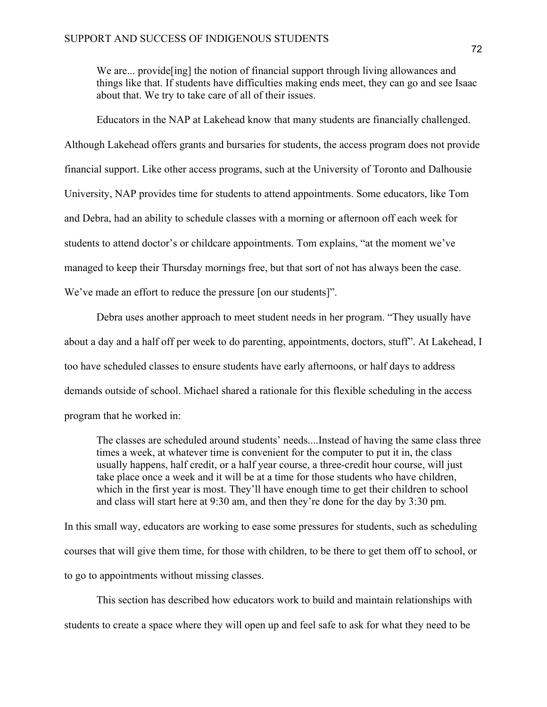We are... provide [ing] the notion of financial support through living allowances and things like that. If students have difficulties making ends meet, they can go and see Isaac about that. We try to take care of all of their issues.

Educators in the NAP at Lakehead know that many students are financially challenged. Although Lakehead offers grants and bursaries for students, the access program does not provide financial support. Like other access programs, such at the University of Toronto and Dalhousie University, NAP provides time for students to attend appointments. Some educators, like Tom and Debra, had an ability to schedule classes with a morning or afternoon off each week for students to attend doctor's or childcare appointments. Tom explains, "at the moment we've managed to keep their Thursday mornings free, but that sort of not has always been the case. We've made an effort to reduce the pressure [on our students]".

Debra uses another approach to meet student needs in her program. "They usually have about a day and a half off per week to do parenting, appointments, doctors, stuff". At Lakehead, I too have scheduled classes to ensure students have early afternoons, or half days to address demands outside of school. Michael shared a rationale for this flexible scheduling in the access program that he worked in:

The classes are scheduled around students' needs....Instead of having the same class three times a week, at whatever time is convenient for the computer to put it in, the class usually happens, half credit, or a half year course, a three-credit hour course, will just take place once a week and it will be at a time for those students who have children, which in the first year is most. They'll have enough time to get their children to school and class will start here at 9:30 am, and then they're done for the day by 3:30 pm.

In this small way, educators are working to ease some pressures for students, such as scheduling courses that will give them time, for those with children, to be there to get them off to school, or to go to appointments without missing classes.

This section has described how educators work to build and maintain relationships with students to create a space where they will open up and feel safe to ask for what they need to be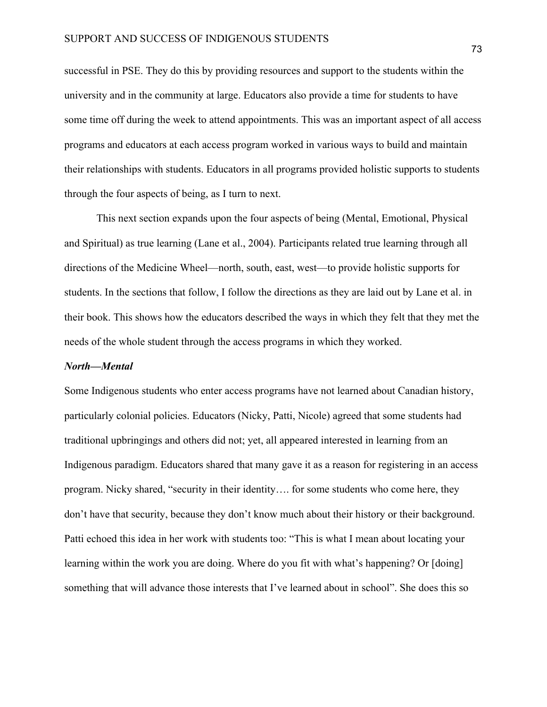successful in PSE. They do this by providing resources and support to the students within the university and in the community at large. Educators also provide a time for students to have some time off during the week to attend appointments. This was an important aspect of all access programs and educators at each access program worked in various ways to build and maintain their relationships with students. Educators in all programs provided holistic supports to students through the four aspects of being, as I turn to next.

This next section expands upon the four aspects of being (Mental, Emotional, Physical and Spiritual) as true learning (Lane et al., 2004). Participants related true learning through all directions of the Medicine Wheel—north, south, east, west—to provide holistic supports for students. In the sections that follow, I follow the directions as they are laid out by Lane et al. in their book. This shows how the educators described the ways in which they felt that they met the needs of the whole student through the access programs in which they worked.

#### *North—Mental*

Some Indigenous students who enter access programs have not learned about Canadian history, particularly colonial policies. Educators (Nicky, Patti, Nicole) agreed that some students had traditional upbringings and others did not; yet, all appeared interested in learning from an Indigenous paradigm. Educators shared that many gave it as a reason for registering in an access program. Nicky shared, "security in their identity…. for some students who come here, they don't have that security, because they don't know much about their history or their background. Patti echoed this idea in her work with students too: "This is what I mean about locating your learning within the work you are doing. Where do you fit with what's happening? Or [doing] something that will advance those interests that I've learned about in school". She does this so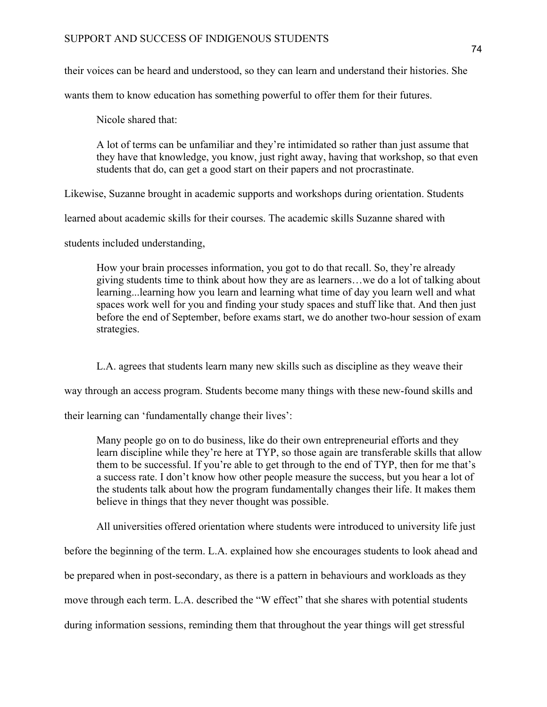# SUPPORT AND SUCCESS OF INDIGENOUS STUDENTS

their voices can be heard and understood, so they can learn and understand their histories. She

wants them to know education has something powerful to offer them for their futures.

Nicole shared that:

A lot of terms can be unfamiliar and they're intimidated so rather than just assume that they have that knowledge, you know, just right away, having that workshop, so that even students that do, can get a good start on their papers and not procrastinate.

Likewise, Suzanne brought in academic supports and workshops during orientation. Students

learned about academic skills for their courses. The academic skills Suzanne shared with

students included understanding,

How your brain processes information, you got to do that recall. So, they're already giving students time to think about how they are as learners…we do a lot of talking about learning...learning how you learn and learning what time of day you learn well and what spaces work well for you and finding your study spaces and stuff like that. And then just before the end of September, before exams start, we do another two-hour session of exam strategies.

L.A. agrees that students learn many new skills such as discipline as they weave their

way through an access program. Students become many things with these new-found skills and

their learning can 'fundamentally change their lives':

Many people go on to do business, like do their own entrepreneurial efforts and they learn discipline while they're here at TYP, so those again are transferable skills that allow them to be successful. If you're able to get through to the end of TYP, then for me that's a success rate. I don't know how other people measure the success, but you hear a lot of the students talk about how the program fundamentally changes their life. It makes them believe in things that they never thought was possible.

All universities offered orientation where students were introduced to university life just

before the beginning of the term. L.A. explained how she encourages students to look ahead and

be prepared when in post-secondary, as there is a pattern in behaviours and workloads as they

move through each term. L.A. described the "W effect" that she shares with potential students

during information sessions, reminding them that throughout the year things will get stressful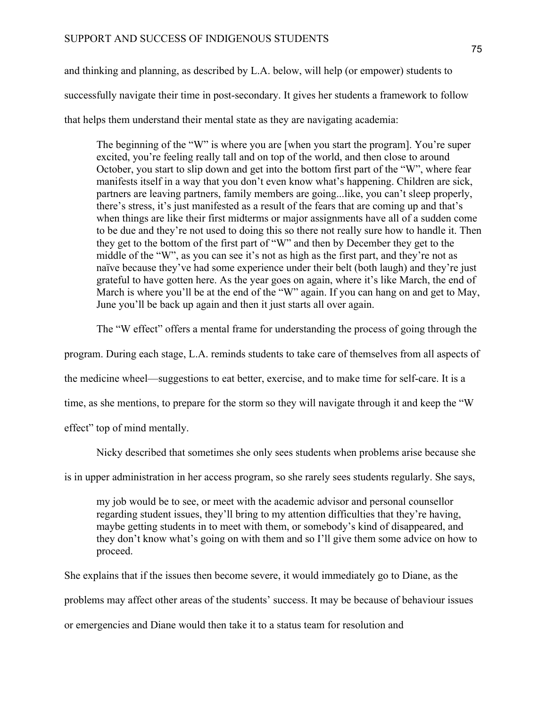and thinking and planning, as described by L.A. below, will help (or empower) students to successfully navigate their time in post-secondary. It gives her students a framework to follow that helps them understand their mental state as they are navigating academia:

The beginning of the "W" is where you are [when you start the program]. You're super excited, you're feeling really tall and on top of the world, and then close to around October, you start to slip down and get into the bottom first part of the "W", where fear manifests itself in a way that you don't even know what's happening. Children are sick, partners are leaving partners, family members are going...like, you can't sleep properly, there's stress, it's just manifested as a result of the fears that are coming up and that's when things are like their first midterms or major assignments have all of a sudden come to be due and they're not used to doing this so there not really sure how to handle it. Then they get to the bottom of the first part of "W" and then by December they get to the middle of the "W", as you can see it's not as high as the first part, and they're not as naïve because they've had some experience under their belt (both laugh) and they're just grateful to have gotten here. As the year goes on again, where it's like March, the end of March is where you'll be at the end of the "W" again. If you can hang on and get to May, June you'll be back up again and then it just starts all over again.

The "W effect" offers a mental frame for understanding the process of going through the

program. During each stage, L.A. reminds students to take care of themselves from all aspects of

the medicine wheel—suggestions to eat better, exercise, and to make time for self-care. It is a

time, as she mentions, to prepare for the storm so they will navigate through it and keep the "W

effect" top of mind mentally.

Nicky described that sometimes she only sees students when problems arise because she

is in upper administration in her access program, so she rarely sees students regularly. She says,

my job would be to see, or meet with the academic advisor and personal counsellor regarding student issues, they'll bring to my attention difficulties that they're having, maybe getting students in to meet with them, or somebody's kind of disappeared, and they don't know what's going on with them and so I'll give them some advice on how to proceed.

She explains that if the issues then become severe, it would immediately go to Diane, as the

problems may affect other areas of the students' success. It may be because of behaviour issues

or emergencies and Diane would then take it to a status team for resolution and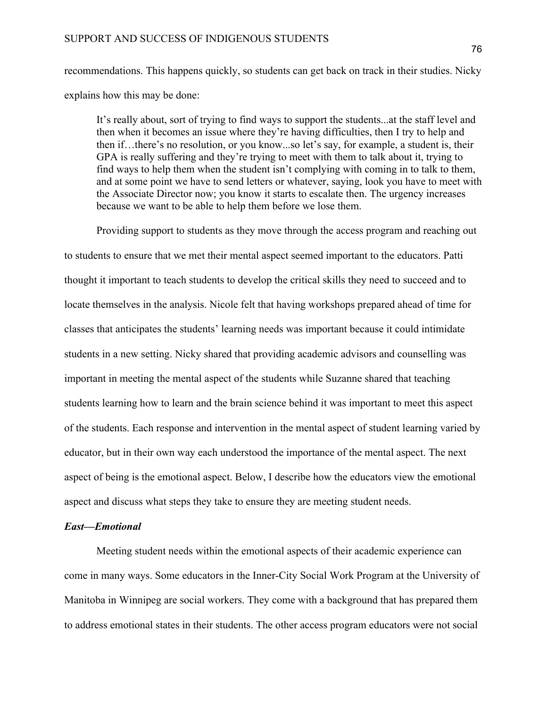recommendations. This happens quickly, so students can get back on track in their studies. Nicky explains how this may be done:

It's really about, sort of trying to find ways to support the students...at the staff level and then when it becomes an issue where they're having difficulties, then I try to help and then if…there's no resolution, or you know...so let's say, for example, a student is, their GPA is really suffering and they're trying to meet with them to talk about it, trying to find ways to help them when the student isn't complying with coming in to talk to them, and at some point we have to send letters or whatever, saying, look you have to meet with the Associate Director now; you know it starts to escalate then. The urgency increases because we want to be able to help them before we lose them.

Providing support to students as they move through the access program and reaching out

to students to ensure that we met their mental aspect seemed important to the educators. Patti thought it important to teach students to develop the critical skills they need to succeed and to locate themselves in the analysis. Nicole felt that having workshops prepared ahead of time for classes that anticipates the students' learning needs was important because it could intimidate students in a new setting. Nicky shared that providing academic advisors and counselling was important in meeting the mental aspect of the students while Suzanne shared that teaching students learning how to learn and the brain science behind it was important to meet this aspect of the students. Each response and intervention in the mental aspect of student learning varied by educator, but in their own way each understood the importance of the mental aspect. The next aspect of being is the emotional aspect. Below, I describe how the educators view the emotional aspect and discuss what steps they take to ensure they are meeting student needs.

#### *East—Emotional*

Meeting student needs within the emotional aspects of their academic experience can come in many ways. Some educators in the Inner-City Social Work Program at the University of Manitoba in Winnipeg are social workers. They come with a background that has prepared them to address emotional states in their students. The other access program educators were not social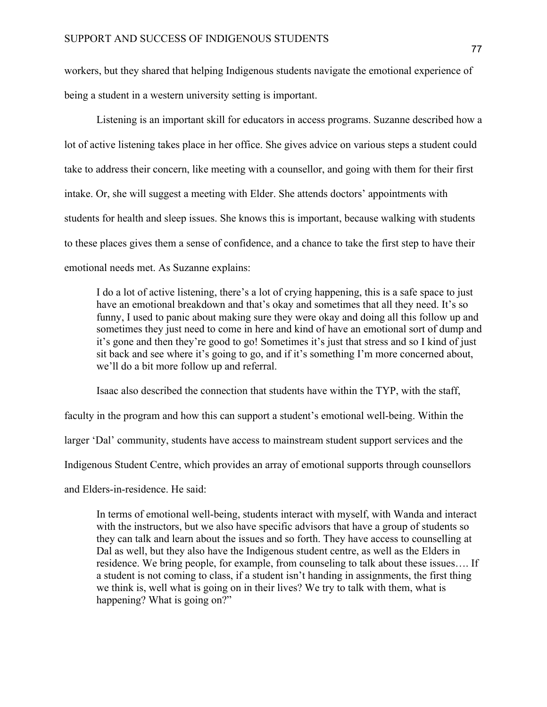workers, but they shared that helping Indigenous students navigate the emotional experience of being a student in a western university setting is important.

Listening is an important skill for educators in access programs. Suzanne described how a lot of active listening takes place in her office. She gives advice on various steps a student could take to address their concern, like meeting with a counsellor, and going with them for their first intake. Or, she will suggest a meeting with Elder. She attends doctors' appointments with students for health and sleep issues. She knows this is important, because walking with students to these places gives them a sense of confidence, and a chance to take the first step to have their emotional needs met. As Suzanne explains:

I do a lot of active listening, there's a lot of crying happening, this is a safe space to just have an emotional breakdown and that's okay and sometimes that all they need. It's so funny, I used to panic about making sure they were okay and doing all this follow up and sometimes they just need to come in here and kind of have an emotional sort of dump and it's gone and then they're good to go! Sometimes it's just that stress and so I kind of just sit back and see where it's going to go, and if it's something I'm more concerned about, we'll do a bit more follow up and referral.

Isaac also described the connection that students have within the TYP, with the staff,

faculty in the program and how this can support a student's emotional well-being. Within the

larger 'Dal' community, students have access to mainstream student support services and the

Indigenous Student Centre, which provides an array of emotional supports through counsellors

and Elders-in-residence. He said:

In terms of emotional well-being, students interact with myself, with Wanda and interact with the instructors, but we also have specific advisors that have a group of students so they can talk and learn about the issues and so forth. They have access to counselling at Dal as well, but they also have the Indigenous student centre, as well as the Elders in residence. We bring people, for example, from counseling to talk about these issues…. If a student is not coming to class, if a student isn't handing in assignments, the first thing we think is, well what is going on in their lives? We try to talk with them, what is happening? What is going on?"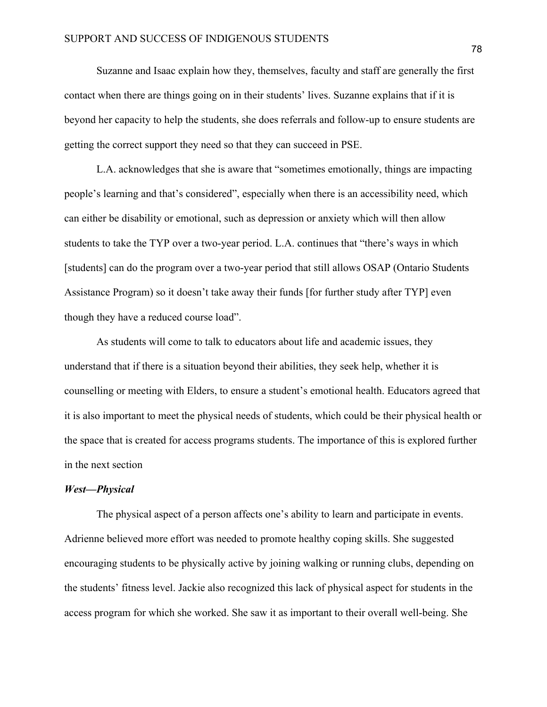Suzanne and Isaac explain how they, themselves, faculty and staff are generally the first contact when there are things going on in their students' lives. Suzanne explains that if it is beyond her capacity to help the students, she does referrals and follow-up to ensure students are getting the correct support they need so that they can succeed in PSE.

L.A. acknowledges that she is aware that "sometimes emotionally, things are impacting people's learning and that's considered", especially when there is an accessibility need, which can either be disability or emotional, such as depression or anxiety which will then allow students to take the TYP over a two-year period. L.A. continues that "there's ways in which [students] can do the program over a two-year period that still allows OSAP (Ontario Students Assistance Program) so it doesn't take away their funds [for further study after TYP] even though they have a reduced course load".

As students will come to talk to educators about life and academic issues, they understand that if there is a situation beyond their abilities, they seek help, whether it is counselling or meeting with Elders, to ensure a student's emotional health. Educators agreed that it is also important to meet the physical needs of students, which could be their physical health or the space that is created for access programs students. The importance of this is explored further in the next section

# *West—Physical*

The physical aspect of a person affects one's ability to learn and participate in events. Adrienne believed more effort was needed to promote healthy coping skills. She suggested encouraging students to be physically active by joining walking or running clubs, depending on the students' fitness level. Jackie also recognized this lack of physical aspect for students in the access program for which she worked. She saw it as important to their overall well-being. She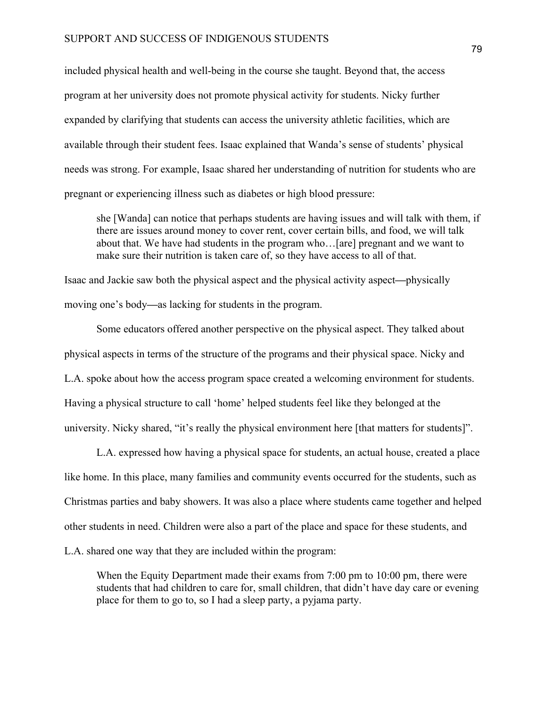included physical health and well-being in the course she taught. Beyond that, the access program at her university does not promote physical activity for students. Nicky further expanded by clarifying that students can access the university athletic facilities, which are available through their student fees. Isaac explained that Wanda's sense of students' physical needs was strong. For example, Isaac shared her understanding of nutrition for students who are pregnant or experiencing illness such as diabetes or high blood pressure:

she [Wanda] can notice that perhaps students are having issues and will talk with them, if there are issues around money to cover rent, cover certain bills, and food, we will talk about that. We have had students in the program who…[are] pregnant and we want to make sure their nutrition is taken care of, so they have access to all of that.

Isaac and Jackie saw both the physical aspect and the physical activity aspect*—*physically moving one's body*—*as lacking for students in the program.

Some educators offered another perspective on the physical aspect. They talked about physical aspects in terms of the structure of the programs and their physical space. Nicky and L.A. spoke about how the access program space created a welcoming environment for students. Having a physical structure to call 'home' helped students feel like they belonged at the university. Nicky shared, "it's really the physical environment here [that matters for students]".

L.A. expressed how having a physical space for students, an actual house, created a place like home. In this place, many families and community events occurred for the students, such as Christmas parties and baby showers. It was also a place where students came together and helped other students in need. Children were also a part of the place and space for these students, and L.A. shared one way that they are included within the program:

When the Equity Department made their exams from 7:00 pm to 10:00 pm, there were students that had children to care for, small children, that didn't have day care or evening place for them to go to, so I had a sleep party, a pyjama party.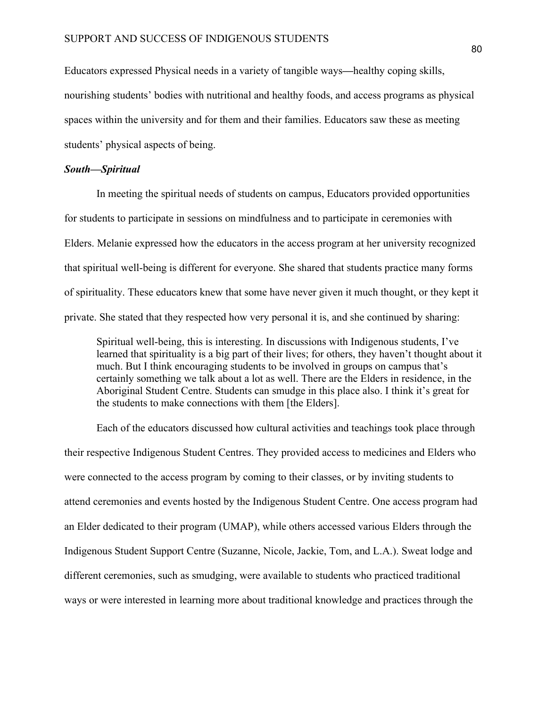Educators expressed Physical needs in a variety of tangible ways*—*healthy coping skills, nourishing students' bodies with nutritional and healthy foods, and access programs as physical spaces within the university and for them and their families. Educators saw these as meeting students' physical aspects of being.

#### *South—Spiritual*

In meeting the spiritual needs of students on campus, Educators provided opportunities for students to participate in sessions on mindfulness and to participate in ceremonies with Elders. Melanie expressed how the educators in the access program at her university recognized that spiritual well-being is different for everyone. She shared that students practice many forms of spirituality. These educators knew that some have never given it much thought, or they kept it private. She stated that they respected how very personal it is, and she continued by sharing:

Spiritual well-being, this is interesting. In discussions with Indigenous students, I've learned that spirituality is a big part of their lives; for others, they haven't thought about it much. But I think encouraging students to be involved in groups on campus that's certainly something we talk about a lot as well. There are the Elders in residence, in the Aboriginal Student Centre. Students can smudge in this place also. I think it's great for the students to make connections with them [the Elders].

Each of the educators discussed how cultural activities and teachings took place through their respective Indigenous Student Centres. They provided access to medicines and Elders who were connected to the access program by coming to their classes, or by inviting students to attend ceremonies and events hosted by the Indigenous Student Centre. One access program had an Elder dedicated to their program (UMAP), while others accessed various Elders through the Indigenous Student Support Centre (Suzanne, Nicole, Jackie, Tom, and L.A.). Sweat lodge and different ceremonies, such as smudging, were available to students who practiced traditional ways or were interested in learning more about traditional knowledge and practices through the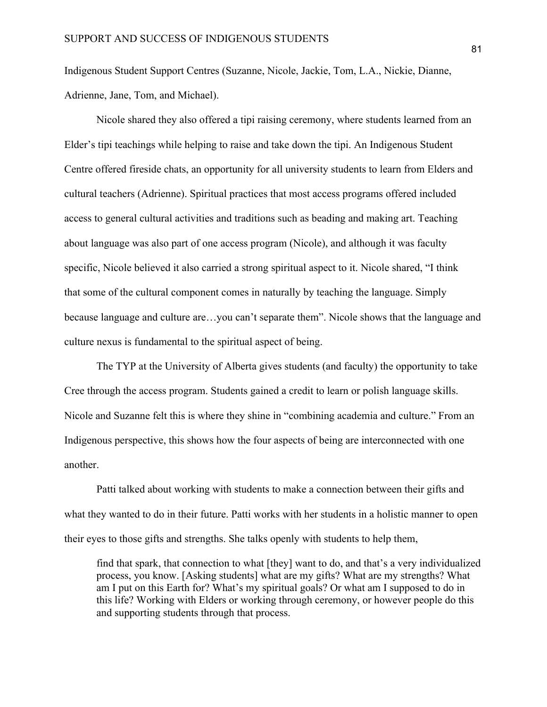Indigenous Student Support Centres (Suzanne, Nicole, Jackie, Tom, L.A., Nickie, Dianne, Adrienne, Jane, Tom, and Michael).

Nicole shared they also offered a tipi raising ceremony, where students learned from an Elder's tipi teachings while helping to raise and take down the tipi. An Indigenous Student Centre offered fireside chats, an opportunity for all university students to learn from Elders and cultural teachers (Adrienne). Spiritual practices that most access programs offered included access to general cultural activities and traditions such as beading and making art. Teaching about language was also part of one access program (Nicole), and although it was faculty specific, Nicole believed it also carried a strong spiritual aspect to it. Nicole shared, "I think that some of the cultural component comes in naturally by teaching the language. Simply because language and culture are…you can't separate them". Nicole shows that the language and culture nexus is fundamental to the spiritual aspect of being.

The TYP at the University of Alberta gives students (and faculty) the opportunity to take Cree through the access program. Students gained a credit to learn or polish language skills. Nicole and Suzanne felt this is where they shine in "combining academia and culture." From an Indigenous perspective, this shows how the four aspects of being are interconnected with one another.

Patti talked about working with students to make a connection between their gifts and what they wanted to do in their future. Patti works with her students in a holistic manner to open their eyes to those gifts and strengths. She talks openly with students to help them,

find that spark, that connection to what [they] want to do, and that's a very individualized process, you know. [Asking students] what are my gifts? What are my strengths? What am I put on this Earth for? What's my spiritual goals? Or what am I supposed to do in this life? Working with Elders or working through ceremony, or however people do this and supporting students through that process.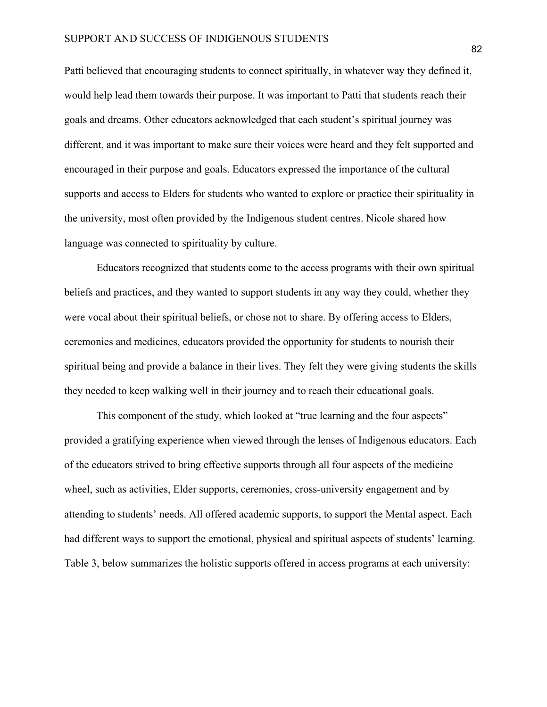Patti believed that encouraging students to connect spiritually, in whatever way they defined it, would help lead them towards their purpose. It was important to Patti that students reach their goals and dreams. Other educators acknowledged that each student's spiritual journey was different, and it was important to make sure their voices were heard and they felt supported and encouraged in their purpose and goals. Educators expressed the importance of the cultural supports and access to Elders for students who wanted to explore or practice their spirituality in the university, most often provided by the Indigenous student centres. Nicole shared how language was connected to spirituality by culture.

Educators recognized that students come to the access programs with their own spiritual beliefs and practices, and they wanted to support students in any way they could, whether they were vocal about their spiritual beliefs, or chose not to share. By offering access to Elders, ceremonies and medicines, educators provided the opportunity for students to nourish their spiritual being and provide a balance in their lives. They felt they were giving students the skills they needed to keep walking well in their journey and to reach their educational goals.

This component of the study, which looked at "true learning and the four aspects" provided a gratifying experience when viewed through the lenses of Indigenous educators. Each of the educators strived to bring effective supports through all four aspects of the medicine wheel, such as activities, Elder supports, ceremonies, cross-university engagement and by attending to students' needs. All offered academic supports, to support the Mental aspect. Each had different ways to support the emotional, physical and spiritual aspects of students' learning. Table 3, below summarizes the holistic supports offered in access programs at each university: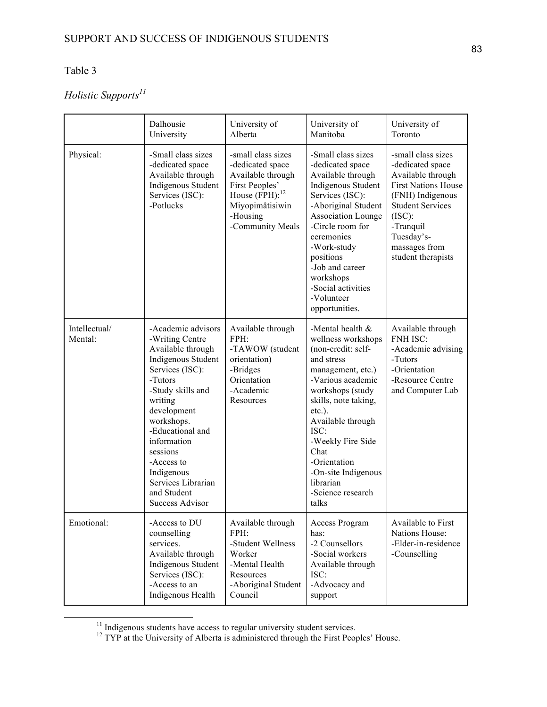# Table 3

# *Holistic Supports<sup>11</sup>*

|                          | Dalhousie<br>University                                                                                                                                                                                                                                                                                               | University of<br>Alberta                                                                                                                                | University of<br>Manitoba                                                                                                                                                                                                                                                                                                   | University of<br>Toronto                                                                                                                                                                                             |
|--------------------------|-----------------------------------------------------------------------------------------------------------------------------------------------------------------------------------------------------------------------------------------------------------------------------------------------------------------------|---------------------------------------------------------------------------------------------------------------------------------------------------------|-----------------------------------------------------------------------------------------------------------------------------------------------------------------------------------------------------------------------------------------------------------------------------------------------------------------------------|----------------------------------------------------------------------------------------------------------------------------------------------------------------------------------------------------------------------|
| Physical:                | -Small class sizes<br>-dedicated space<br>Available through<br>Indigenous Student<br>Services (ISC):<br>-Potlucks                                                                                                                                                                                                     | -small class sizes<br>-dedicated space<br>Available through<br>First Peoples'<br>House $(FPH):^{12}$<br>Miyopimâtisiwin<br>-Housing<br>-Community Meals | -Small class sizes<br>-dedicated space<br>Available through<br>Indigenous Student<br>Services (ISC):<br>-Aboriginal Student<br><b>Association Lounge</b><br>-Circle room for<br>ceremonies<br>-Work-study<br>positions<br>-Job and career<br>workshops<br>-Social activities<br>-Volunteer<br>opportunities.                | -small class sizes<br>-dedicated space<br>Available through<br><b>First Nations House</b><br>(FNH) Indigenous<br><b>Student Services</b><br>(ISC):<br>-Tranquil<br>Tuesday's-<br>massages from<br>student therapists |
| Intellectual/<br>Mental: | -Academic advisors<br>-Writing Centre<br>Available through<br>Indigenous Student<br>Services (ISC):<br>-Tutors<br>-Study skills and<br>writing<br>development<br>workshops.<br>-Educational and<br>information<br>sessions<br>-Access to<br>Indigenous<br>Services Librarian<br>and Student<br><b>Success Advisor</b> | Available through<br>FPH:<br>-TAWOW (student<br>orientation)<br>-Bridges<br>Orientation<br>-Academic<br>Resources                                       | -Mental health $&$<br>wellness workshops<br>(non-credit: self-<br>and stress<br>management, etc.)<br>-Various academic<br>workshops (study<br>skills, note taking,<br>$etc.$ ).<br>Available through<br>ISC:<br>-Weekly Fire Side<br>Chat<br>-Orientation<br>-On-site Indigenous<br>librarian<br>-Science research<br>talks | Available through<br><b>FNH ISC:</b><br>-Academic advising<br>-Tutors<br>-Orientation<br>-Resource Centre<br>and Computer Lab                                                                                        |
| Emotional:               | -Access to DU<br>counselling<br>services.<br>Available through<br>Indigenous Student<br>Services (ISC):<br>-Access to an<br>Indigenous Health                                                                                                                                                                         | Available through<br>FPH:<br>-Student Wellness<br>Worker<br>-Mental Health<br>Resources<br>-Aboriginal Student<br>Council                               | Access Program<br>has:<br>-2 Counsellors<br>-Social workers<br>Available through<br>ISC:<br>-Advocacy and<br>support                                                                                                                                                                                                        | Available to First<br>Nations House:<br>-Elder-in-residence<br>-Counselling                                                                                                                                          |

<sup>&</sup>lt;sup>11</sup> Indigenous students have access to regular university student services.<br><sup>12</sup> TYP at the University of Alberta is administered through the First Peoples' House.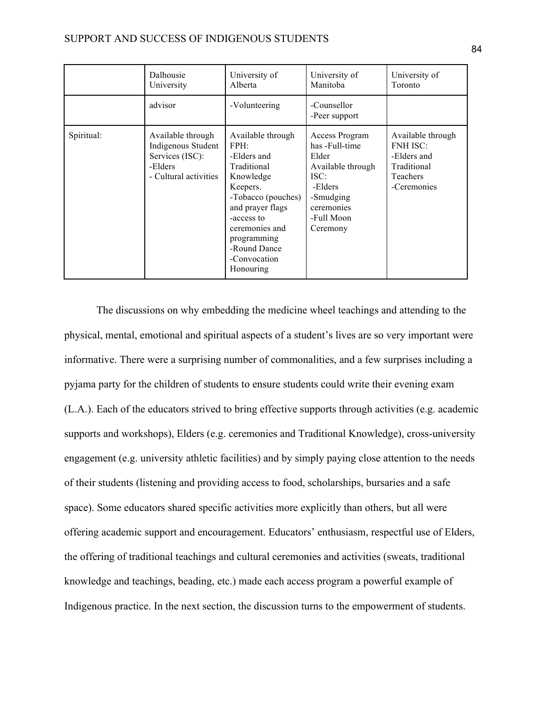|            | Dalhousie<br>University                                                                        | University of<br>Alberta                                                                                                                                                                                               | University of<br>Manitoba                                                                                                              | University of<br>Toronto                                                                      |
|------------|------------------------------------------------------------------------------------------------|------------------------------------------------------------------------------------------------------------------------------------------------------------------------------------------------------------------------|----------------------------------------------------------------------------------------------------------------------------------------|-----------------------------------------------------------------------------------------------|
|            | advisor                                                                                        | -Volunteering                                                                                                                                                                                                          | -Counsellor<br>-Peer support                                                                                                           |                                                                                               |
| Spiritual: | Available through<br>Indigenous Student<br>Services (ISC):<br>-Elders<br>- Cultural activities | Available through<br>FPH:<br>-Elders and<br>Traditional<br>Knowledge<br>Keepers.<br>-Tobacco (pouches)<br>and prayer flags<br>-access to<br>ceremonies and<br>programming<br>-Round Dance<br>-Convocation<br>Honouring | Access Program<br>has -Full-time<br>Elder<br>Available through<br>ISC:<br>-Elders<br>-Smudging<br>ceremonies<br>-Full Moon<br>Ceremony | Available through<br><b>FNH ISC:</b><br>-Elders and<br>Traditional<br>Teachers<br>-Ceremonies |

The discussions on why embedding the medicine wheel teachings and attending to the physical, mental, emotional and spiritual aspects of a student's lives are so very important were informative. There were a surprising number of commonalities, and a few surprises including a pyjama party for the children of students to ensure students could write their evening exam (L.A.). Each of the educators strived to bring effective supports through activities (e.g. academic supports and workshops), Elders (e.g. ceremonies and Traditional Knowledge), cross-university engagement (e.g. university athletic facilities) and by simply paying close attention to the needs of their students (listening and providing access to food, scholarships, bursaries and a safe space). Some educators shared specific activities more explicitly than others, but all were offering academic support and encouragement. Educators' enthusiasm, respectful use of Elders, the offering of traditional teachings and cultural ceremonies and activities (sweats, traditional knowledge and teachings, beading, etc.) made each access program a powerful example of Indigenous practice. In the next section, the discussion turns to the empowerment of students.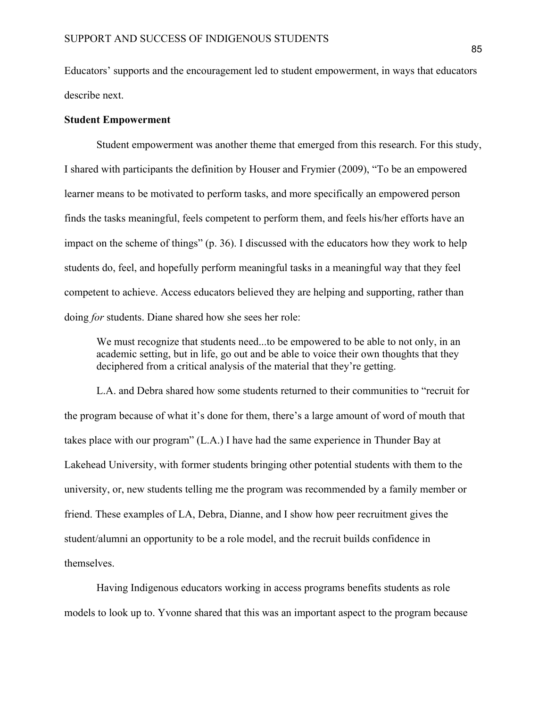Educators' supports and the encouragement led to student empowerment, in ways that educators describe next.

# **Student Empowerment**

Student empowerment was another theme that emerged from this research. For this study, I shared with participants the definition by Houser and Frymier (2009), "To be an empowered learner means to be motivated to perform tasks, and more specifically an empowered person finds the tasks meaningful, feels competent to perform them, and feels his/her efforts have an impact on the scheme of things" (p. 36). I discussed with the educators how they work to help students do, feel, and hopefully perform meaningful tasks in a meaningful way that they feel competent to achieve. Access educators believed they are helping and supporting, rather than doing *for* students. Diane shared how she sees her role:

We must recognize that students need...to be empowered to be able to not only, in an academic setting, but in life, go out and be able to voice their own thoughts that they deciphered from a critical analysis of the material that they're getting.

L.A. and Debra shared how some students returned to their communities to "recruit for the program because of what it's done for them, there's a large amount of word of mouth that takes place with our program" (L.A.) I have had the same experience in Thunder Bay at Lakehead University, with former students bringing other potential students with them to the university, or, new students telling me the program was recommended by a family member or friend. These examples of LA, Debra, Dianne, and I show how peer recruitment gives the student/alumni an opportunity to be a role model, and the recruit builds confidence in themselves.

Having Indigenous educators working in access programs benefits students as role models to look up to. Yvonne shared that this was an important aspect to the program because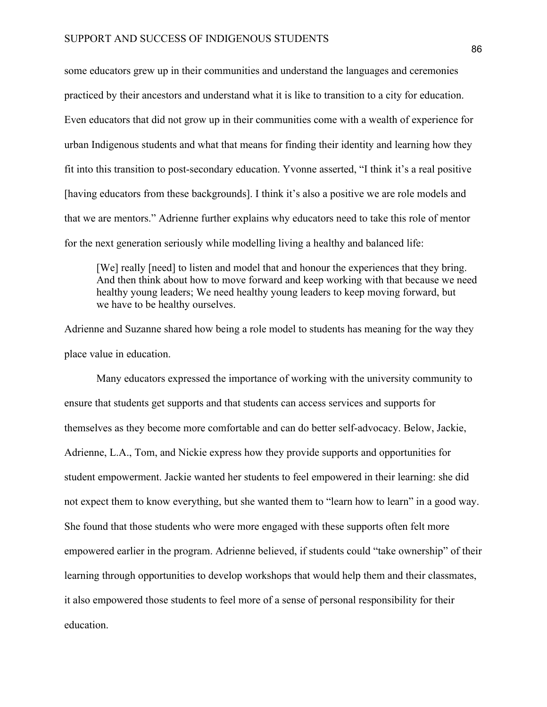some educators grew up in their communities and understand the languages and ceremonies practiced by their ancestors and understand what it is like to transition to a city for education. Even educators that did not grow up in their communities come with a wealth of experience for urban Indigenous students and what that means for finding their identity and learning how they fit into this transition to post-secondary education. Yvonne asserted, "I think it's a real positive [having educators from these backgrounds]. I think it's also a positive we are role models and that we are mentors." Adrienne further explains why educators need to take this role of mentor for the next generation seriously while modelling living a healthy and balanced life:

[We] really [need] to listen and model that and honour the experiences that they bring. And then think about how to move forward and keep working with that because we need healthy young leaders; We need healthy young leaders to keep moving forward, but we have to be healthy ourselves.

Adrienne and Suzanne shared how being a role model to students has meaning for the way they place value in education.

Many educators expressed the importance of working with the university community to ensure that students get supports and that students can access services and supports for themselves as they become more comfortable and can do better self-advocacy. Below, Jackie, Adrienne, L.A., Tom, and Nickie express how they provide supports and opportunities for student empowerment. Jackie wanted her students to feel empowered in their learning: she did not expect them to know everything, but she wanted them to "learn how to learn" in a good way. She found that those students who were more engaged with these supports often felt more empowered earlier in the program. Adrienne believed, if students could "take ownership" of their learning through opportunities to develop workshops that would help them and their classmates, it also empowered those students to feel more of a sense of personal responsibility for their education.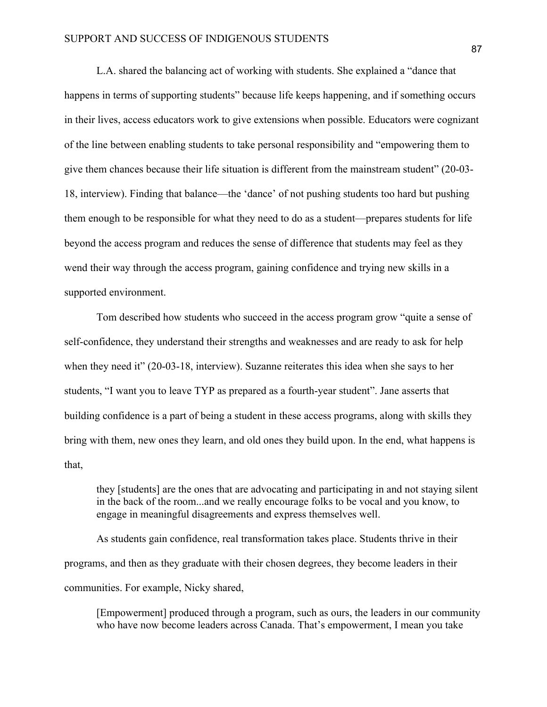L.A. shared the balancing act of working with students. She explained a "dance that happens in terms of supporting students" because life keeps happening, and if something occurs in their lives, access educators work to give extensions when possible. Educators were cognizant of the line between enabling students to take personal responsibility and "empowering them to give them chances because their life situation is different from the mainstream student" (20-03- 18, interview). Finding that balance—the 'dance' of not pushing students too hard but pushing them enough to be responsible for what they need to do as a student—prepares students for life beyond the access program and reduces the sense of difference that students may feel as they wend their way through the access program, gaining confidence and trying new skills in a supported environment.

Tom described how students who succeed in the access program grow "quite a sense of self-confidence, they understand their strengths and weaknesses and are ready to ask for help when they need it" (20-03-18, interview). Suzanne reiterates this idea when she says to her students, "I want you to leave TYP as prepared as a fourth-year student". Jane asserts that building confidence is a part of being a student in these access programs, along with skills they bring with them, new ones they learn, and old ones they build upon. In the end, what happens is that,

they [students] are the ones that are advocating and participating in and not staying silent in the back of the room...and we really encourage folks to be vocal and you know, to engage in meaningful disagreements and express themselves well.

As students gain confidence, real transformation takes place. Students thrive in their programs, and then as they graduate with their chosen degrees, they become leaders in their communities. For example, Nicky shared,

[Empowerment] produced through a program, such as ours, the leaders in our community who have now become leaders across Canada. That's empowerment, I mean you take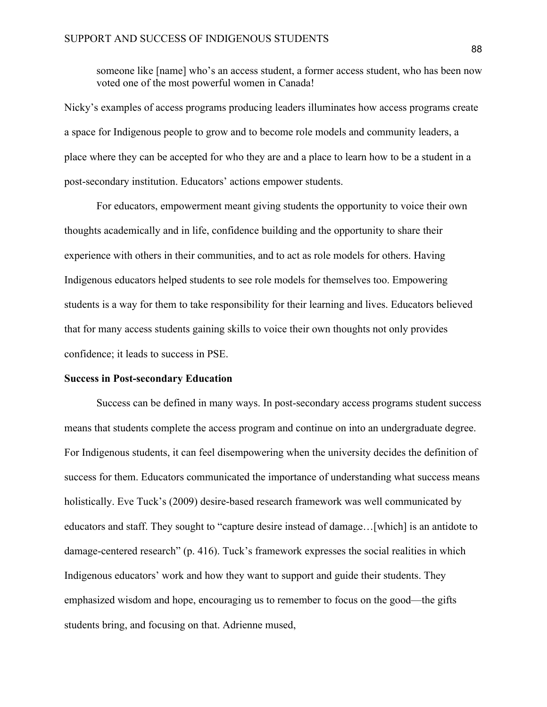someone like [name] who's an access student, a former access student, who has been now voted one of the most powerful women in Canada!

Nicky's examples of access programs producing leaders illuminates how access programs create a space for Indigenous people to grow and to become role models and community leaders, a place where they can be accepted for who they are and a place to learn how to be a student in a post-secondary institution. Educators' actions empower students.

For educators, empowerment meant giving students the opportunity to voice their own thoughts academically and in life, confidence building and the opportunity to share their experience with others in their communities, and to act as role models for others. Having Indigenous educators helped students to see role models for themselves too. Empowering students is a way for them to take responsibility for their learning and lives. Educators believed that for many access students gaining skills to voice their own thoughts not only provides confidence; it leads to success in PSE.

# **Success in Post-secondary Education**

Success can be defined in many ways. In post-secondary access programs student success means that students complete the access program and continue on into an undergraduate degree. For Indigenous students, it can feel disempowering when the university decides the definition of success for them. Educators communicated the importance of understanding what success means holistically. Eve Tuck's (2009) desire-based research framework was well communicated by educators and staff. They sought to "capture desire instead of damage…[which] is an antidote to damage-centered research" (p. 416). Tuck's framework expresses the social realities in which Indigenous educators' work and how they want to support and guide their students. They emphasized wisdom and hope, encouraging us to remember to focus on the good—the gifts students bring, and focusing on that. Adrienne mused,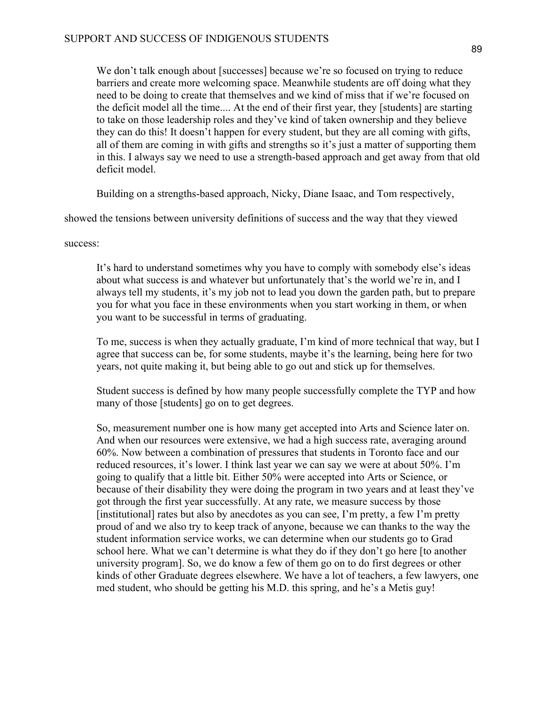We don't talk enough about [successes] because we're so focused on trying to reduce barriers and create more welcoming space. Meanwhile students are off doing what they need to be doing to create that themselves and we kind of miss that if we're focused on the deficit model all the time.... At the end of their first year, they [students] are starting to take on those leadership roles and they've kind of taken ownership and they believe they can do this! It doesn't happen for every student, but they are all coming with gifts, all of them are coming in with gifts and strengths so it's just a matter of supporting them in this. I always say we need to use a strength-based approach and get away from that old deficit model.

Building on a strengths-based approach, Nicky, Diane Isaac, and Tom respectively,

showed the tensions between university definitions of success and the way that they viewed

success:

It's hard to understand sometimes why you have to comply with somebody else's ideas about what success is and whatever but unfortunately that's the world we're in, and I always tell my students, it's my job not to lead you down the garden path, but to prepare you for what you face in these environments when you start working in them, or when you want to be successful in terms of graduating.

To me, success is when they actually graduate, I'm kind of more technical that way, but I agree that success can be, for some students, maybe it's the learning, being here for two years, not quite making it, but being able to go out and stick up for themselves.

Student success is defined by how many people successfully complete the TYP and how many of those [students] go on to get degrees.

So, measurement number one is how many get accepted into Arts and Science later on. And when our resources were extensive, we had a high success rate, averaging around 60%. Now between a combination of pressures that students in Toronto face and our reduced resources, it's lower. I think last year we can say we were at about 50%. I'm going to qualify that a little bit. Either 50% were accepted into Arts or Science, or because of their disability they were doing the program in two years and at least they've got through the first year successfully. At any rate, we measure success by those [institutional] rates but also by anecdotes as you can see, I'm pretty, a few I'm pretty proud of and we also try to keep track of anyone, because we can thanks to the way the student information service works, we can determine when our students go to Grad school here. What we can't determine is what they do if they don't go here [to another university program]. So, we do know a few of them go on to do first degrees or other kinds of other Graduate degrees elsewhere. We have a lot of teachers, a few lawyers, one med student, who should be getting his M.D. this spring, and he's a Metis guy!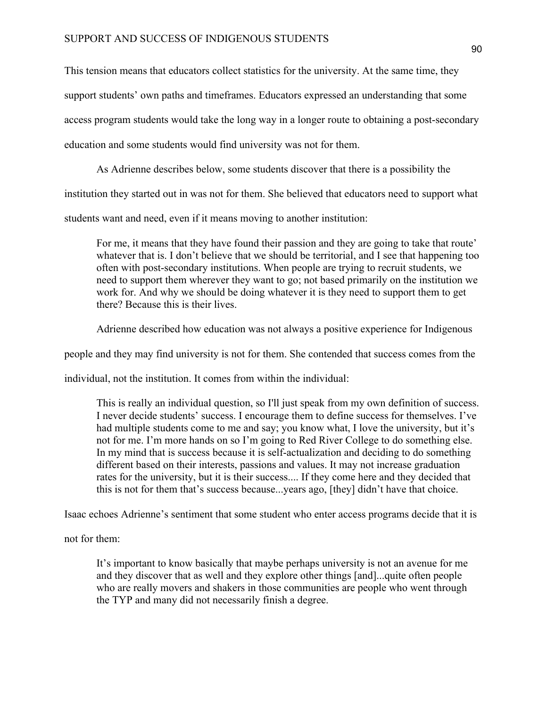This tension means that educators collect statistics for the university. At the same time, they

support students' own paths and timeframes. Educators expressed an understanding that some

access program students would take the long way in a longer route to obtaining a post-secondary

education and some students would find university was not for them.

As Adrienne describes below, some students discover that there is a possibility the

institution they started out in was not for them. She believed that educators need to support what

students want and need, even if it means moving to another institution:

For me, it means that they have found their passion and they are going to take that route' whatever that is. I don't believe that we should be territorial, and I see that happening too often with post-secondary institutions. When people are trying to recruit students, we need to support them wherever they want to go; not based primarily on the institution we work for. And why we should be doing whatever it is they need to support them to get there? Because this is their lives.

Adrienne described how education was not always a positive experience for Indigenous

people and they may find university is not for them. She contended that success comes from the

individual, not the institution. It comes from within the individual:

This is really an individual question, so I'll just speak from my own definition of success. I never decide students' success. I encourage them to define success for themselves. I've had multiple students come to me and say; you know what, I love the university, but it's not for me. I'm more hands on so I'm going to Red River College to do something else. In my mind that is success because it is self-actualization and deciding to do something different based on their interests, passions and values. It may not increase graduation rates for the university, but it is their success.... If they come here and they decided that this is not for them that's success because...years ago, [they] didn't have that choice.

Isaac echoes Adrienne's sentiment that some student who enter access programs decide that it is

not for them:

It's important to know basically that maybe perhaps university is not an avenue for me and they discover that as well and they explore other things [and]...quite often people who are really movers and shakers in those communities are people who went through the TYP and many did not necessarily finish a degree.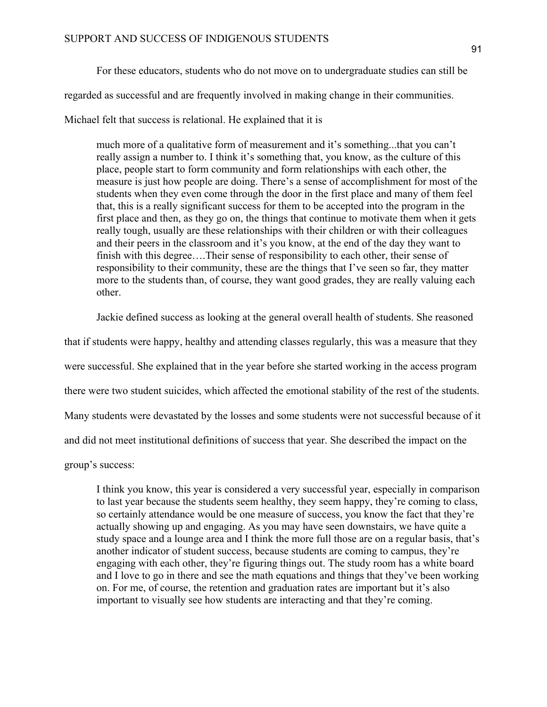regarded as successful and are frequently involved in making change in their communities.

Michael felt that success is relational. He explained that it is

much more of a qualitative form of measurement and it's something...that you can't really assign a number to. I think it's something that, you know, as the culture of this place, people start to form community and form relationships with each other, the measure is just how people are doing. There's a sense of accomplishment for most of the students when they even come through the door in the first place and many of them feel that, this is a really significant success for them to be accepted into the program in the first place and then, as they go on, the things that continue to motivate them when it gets really tough, usually are these relationships with their children or with their colleagues and their peers in the classroom and it's you know, at the end of the day they want to finish with this degree….Their sense of responsibility to each other, their sense of responsibility to their community, these are the things that I've seen so far, they matter more to the students than, of course, they want good grades, they are really valuing each other.

Jackie defined success as looking at the general overall health of students. She reasoned

that if students were happy, healthy and attending classes regularly, this was a measure that they were successful. She explained that in the year before she started working in the access program there were two student suicides, which affected the emotional stability of the rest of the students. Many students were devastated by the losses and some students were not successful because of it and did not meet institutional definitions of success that year. She described the impact on the

group's success:

I think you know, this year is considered a very successful year, especially in comparison to last year because the students seem healthy, they seem happy, they're coming to class, so certainly attendance would be one measure of success, you know the fact that they're actually showing up and engaging. As you may have seen downstairs, we have quite a study space and a lounge area and I think the more full those are on a regular basis, that's another indicator of student success, because students are coming to campus, they're engaging with each other, they're figuring things out. The study room has a white board and I love to go in there and see the math equations and things that they've been working on. For me, of course, the retention and graduation rates are important but it's also important to visually see how students are interacting and that they're coming.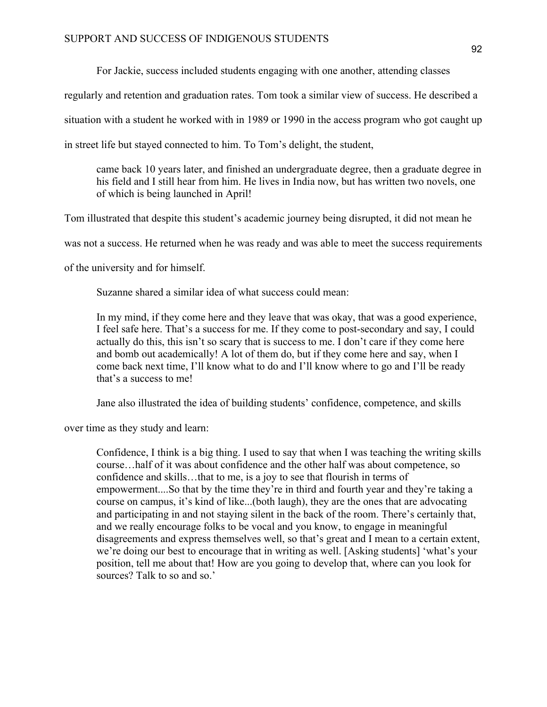For Jackie, success included students engaging with one another, attending classes

regularly and retention and graduation rates. Tom took a similar view of success. He described a

situation with a student he worked with in 1989 or 1990 in the access program who got caught up

in street life but stayed connected to him. To Tom's delight, the student,

came back 10 years later, and finished an undergraduate degree, then a graduate degree in his field and I still hear from him. He lives in India now, but has written two novels, one of which is being launched in April!

Tom illustrated that despite this student's academic journey being disrupted, it did not mean he

was not a success. He returned when he was ready and was able to meet the success requirements

of the university and for himself.

Suzanne shared a similar idea of what success could mean:

In my mind, if they come here and they leave that was okay, that was a good experience, I feel safe here. That's a success for me. If they come to post-secondary and say, I could actually do this, this isn't so scary that is success to me. I don't care if they come here and bomb out academically! A lot of them do, but if they come here and say, when I come back next time, I'll know what to do and I'll know where to go and I'll be ready that's a success to me!

Jane also illustrated the idea of building students' confidence, competence, and skills

over time as they study and learn:

Confidence, I think is a big thing. I used to say that when I was teaching the writing skills course…half of it was about confidence and the other half was about competence, so confidence and skills…that to me, is a joy to see that flourish in terms of empowerment....So that by the time they're in third and fourth year and they're taking a course on campus, it's kind of like...(both laugh), they are the ones that are advocating and participating in and not staying silent in the back of the room. There's certainly that, and we really encourage folks to be vocal and you know, to engage in meaningful disagreements and express themselves well, so that's great and I mean to a certain extent, we're doing our best to encourage that in writing as well. [Asking students] 'what's your position, tell me about that! How are you going to develop that, where can you look for sources? Talk to so and so.'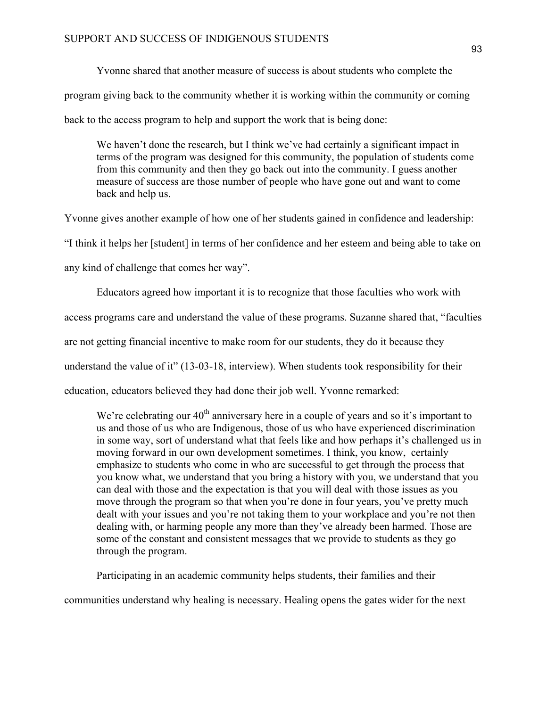Yvonne shared that another measure of success is about students who complete the program giving back to the community whether it is working within the community or coming back to the access program to help and support the work that is being done:

We haven't done the research, but I think we've had certainly a significant impact in terms of the program was designed for this community, the population of students come from this community and then they go back out into the community. I guess another measure of success are those number of people who have gone out and want to come back and help us.

Yvonne gives another example of how one of her students gained in confidence and leadership: "I think it helps her [student] in terms of her confidence and her esteem and being able to take on any kind of challenge that comes her way".

Educators agreed how important it is to recognize that those faculties who work with

access programs care and understand the value of these programs. Suzanne shared that, "faculties

are not getting financial incentive to make room for our students, they do it because they

understand the value of it" (13-03-18, interview). When students took responsibility for their

education, educators believed they had done their job well. Yvonne remarked:

We're celebrating our  $40<sup>th</sup>$  anniversary here in a couple of years and so it's important to us and those of us who are Indigenous, those of us who have experienced discrimination in some way, sort of understand what that feels like and how perhaps it's challenged us in moving forward in our own development sometimes. I think, you know, certainly emphasize to students who come in who are successful to get through the process that you know what, we understand that you bring a history with you, we understand that you can deal with those and the expectation is that you will deal with those issues as you move through the program so that when you're done in four years, you've pretty much dealt with your issues and you're not taking them to your workplace and you're not then dealing with, or harming people any more than they've already been harmed. Those are some of the constant and consistent messages that we provide to students as they go through the program.

Participating in an academic community helps students, their families and their

communities understand why healing is necessary. Healing opens the gates wider for the next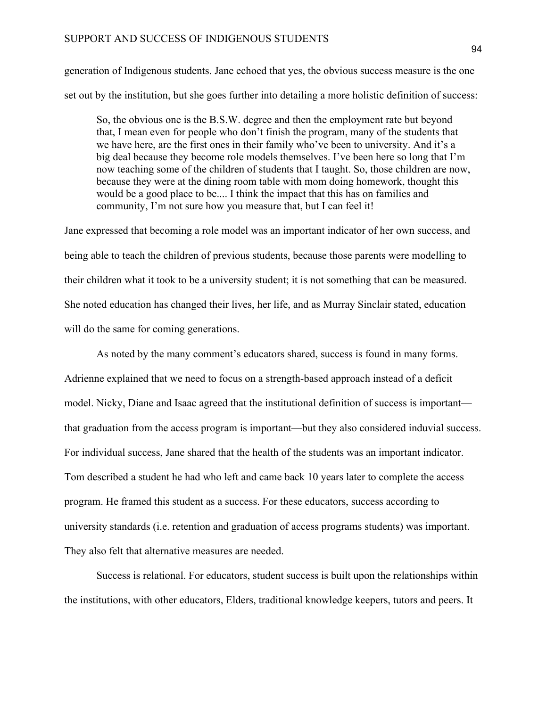generation of Indigenous students. Jane echoed that yes, the obvious success measure is the one set out by the institution, but she goes further into detailing a more holistic definition of success:

So, the obvious one is the B.S.W. degree and then the employment rate but beyond that, I mean even for people who don't finish the program, many of the students that we have here, are the first ones in their family who've been to university. And it's a big deal because they become role models themselves. I've been here so long that I'm now teaching some of the children of students that I taught. So, those children are now, because they were at the dining room table with mom doing homework, thought this would be a good place to be.... I think the impact that this has on families and community, I'm not sure how you measure that, but I can feel it!

Jane expressed that becoming a role model was an important indicator of her own success, and being able to teach the children of previous students, because those parents were modelling to their children what it took to be a university student; it is not something that can be measured. She noted education has changed their lives, her life, and as Murray Sinclair stated, education will do the same for coming generations.

As noted by the many comment's educators shared, success is found in many forms. Adrienne explained that we need to focus on a strength-based approach instead of a deficit model. Nicky, Diane and Isaac agreed that the institutional definition of success is important that graduation from the access program is important—but they also considered induvial success. For individual success, Jane shared that the health of the students was an important indicator. Tom described a student he had who left and came back 10 years later to complete the access program. He framed this student as a success. For these educators, success according to university standards (i.e. retention and graduation of access programs students) was important. They also felt that alternative measures are needed.

Success is relational. For educators, student success is built upon the relationships within the institutions, with other educators, Elders, traditional knowledge keepers, tutors and peers. It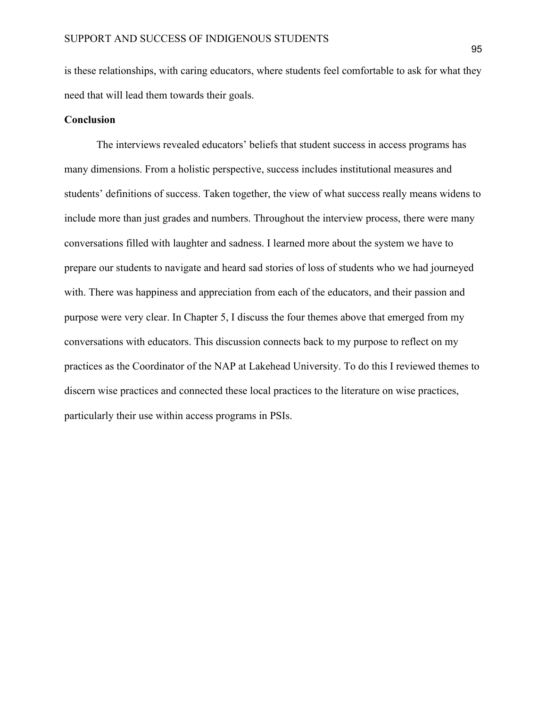is these relationships, with caring educators, where students feel comfortable to ask for what they need that will lead them towards their goals.

# **Conclusion**

The interviews revealed educators' beliefs that student success in access programs has many dimensions. From a holistic perspective, success includes institutional measures and students' definitions of success. Taken together, the view of what success really means widens to include more than just grades and numbers. Throughout the interview process, there were many conversations filled with laughter and sadness. I learned more about the system we have to prepare our students to navigate and heard sad stories of loss of students who we had journeyed with. There was happiness and appreciation from each of the educators, and their passion and purpose were very clear. In Chapter 5, I discuss the four themes above that emerged from my conversations with educators. This discussion connects back to my purpose to reflect on my practices as the Coordinator of the NAP at Lakehead University. To do this I reviewed themes to discern wise practices and connected these local practices to the literature on wise practices, particularly their use within access programs in PSIs.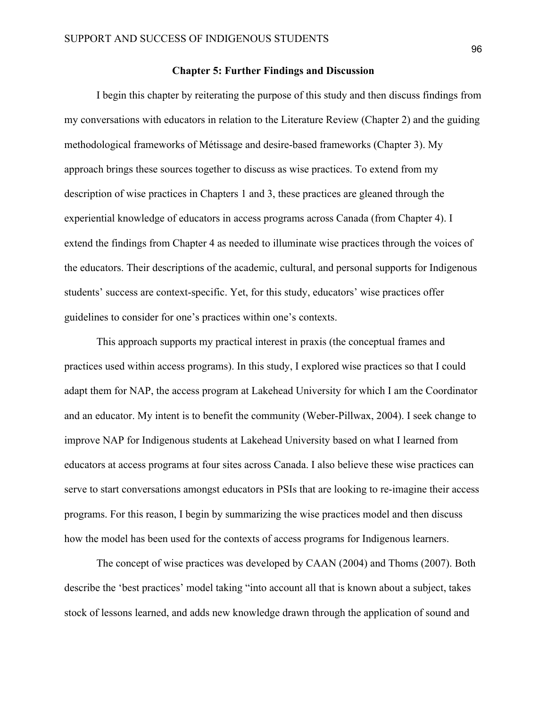#### **Chapter 5: Further Findings and Discussion**

I begin this chapter by reiterating the purpose of this study and then discuss findings from my conversations with educators in relation to the Literature Review (Chapter 2) and the guiding methodological frameworks of Métissage and desire-based frameworks (Chapter 3). My approach brings these sources together to discuss as wise practices. To extend from my description of wise practices in Chapters 1 and 3, these practices are gleaned through the experiential knowledge of educators in access programs across Canada (from Chapter 4). I extend the findings from Chapter 4 as needed to illuminate wise practices through the voices of the educators. Their descriptions of the academic, cultural, and personal supports for Indigenous students' success are context-specific. Yet, for this study, educators' wise practices offer guidelines to consider for one's practices within one's contexts.

This approach supports my practical interest in praxis (the conceptual frames and practices used within access programs). In this study, I explored wise practices so that I could adapt them for NAP, the access program at Lakehead University for which I am the Coordinator and an educator. My intent is to benefit the community (Weber-Pillwax, 2004). I seek change to improve NAP for Indigenous students at Lakehead University based on what I learned from educators at access programs at four sites across Canada. I also believe these wise practices can serve to start conversations amongst educators in PSIs that are looking to re-imagine their access programs. For this reason, I begin by summarizing the wise practices model and then discuss how the model has been used for the contexts of access programs for Indigenous learners.

The concept of wise practices was developed by CAAN (2004) and Thoms (2007). Both describe the 'best practices' model taking "into account all that is known about a subject, takes stock of lessons learned, and adds new knowledge drawn through the application of sound and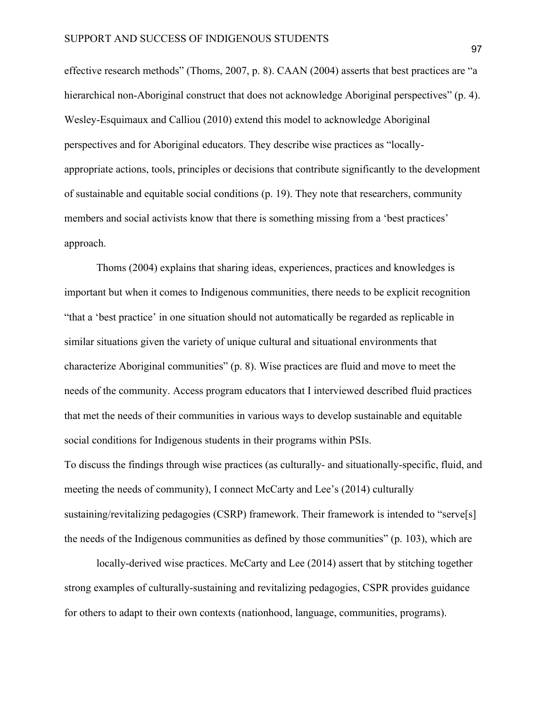effective research methods" (Thoms, 2007, p. 8). CAAN (2004) asserts that best practices are "a hierarchical non-Aboriginal construct that does not acknowledge Aboriginal perspectives" (p. 4). Wesley-Esquimaux and Calliou (2010) extend this model to acknowledge Aboriginal perspectives and for Aboriginal educators. They describe wise practices as "locallyappropriate actions, tools, principles or decisions that contribute significantly to the development of sustainable and equitable social conditions (p. 19). They note that researchers, community members and social activists know that there is something missing from a 'best practices' approach.

Thoms (2004) explains that sharing ideas, experiences, practices and knowledges is important but when it comes to Indigenous communities, there needs to be explicit recognition "that a 'best practice' in one situation should not automatically be regarded as replicable in similar situations given the variety of unique cultural and situational environments that characterize Aboriginal communities" (p. 8). Wise practices are fluid and move to meet the needs of the community. Access program educators that I interviewed described fluid practices that met the needs of their communities in various ways to develop sustainable and equitable social conditions for Indigenous students in their programs within PSIs.

To discuss the findings through wise practices (as culturally- and situationally-specific, fluid, and meeting the needs of community), I connect McCarty and Lee's (2014) culturally sustaining/revitalizing pedagogies (CSRP) framework. Their framework is intended to "serve[s] the needs of the Indigenous communities as defined by those communities" (p. 103), which are

locally-derived wise practices. McCarty and Lee (2014) assert that by stitching together strong examples of culturally-sustaining and revitalizing pedagogies, CSPR provides guidance for others to adapt to their own contexts (nationhood, language, communities, programs).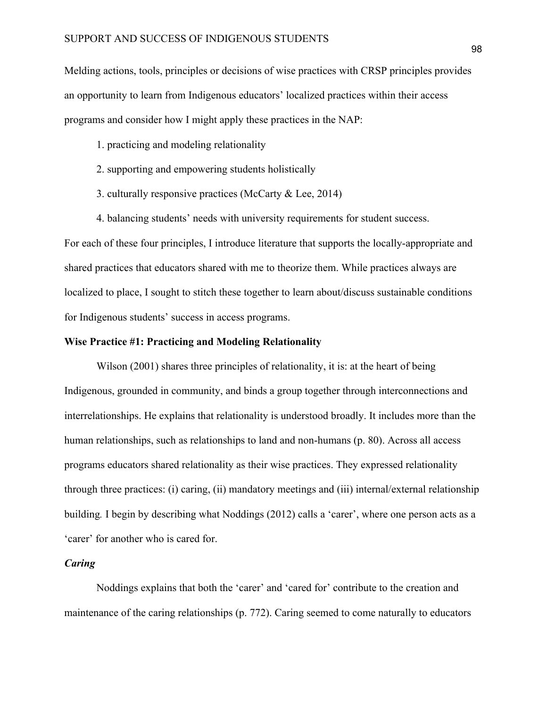Melding actions, tools, principles or decisions of wise practices with CRSP principles provides an opportunity to learn from Indigenous educators' localized practices within their access programs and consider how I might apply these practices in the NAP:

- 1. practicing and modeling relationality
- 2. supporting and empowering students holistically
- 3. culturally responsive practices (McCarty & Lee, 2014)
- 4. balancing students' needs with university requirements for student success.

For each of these four principles, I introduce literature that supports the locally-appropriate and shared practices that educators shared with me to theorize them. While practices always are localized to place, I sought to stitch these together to learn about/discuss sustainable conditions for Indigenous students' success in access programs.

#### **Wise Practice #1: Practicing and Modeling Relationality**

Wilson (2001) shares three principles of relationality, it is: at the heart of being Indigenous, grounded in community, and binds a group together through interconnections and interrelationships. He explains that relationality is understood broadly. It includes more than the human relationships, such as relationships to land and non-humans (p. 80). Across all access programs educators shared relationality as their wise practices. They expressed relationality through three practices: (i) caring, (ii) mandatory meetings and (iii) internal/external relationship building*.* I begin by describing what Noddings (2012) calls a 'carer', where one person acts as a 'carer' for another who is cared for.

# *Caring*

Noddings explains that both the 'carer' and 'cared for' contribute to the creation and maintenance of the caring relationships (p. 772). Caring seemed to come naturally to educators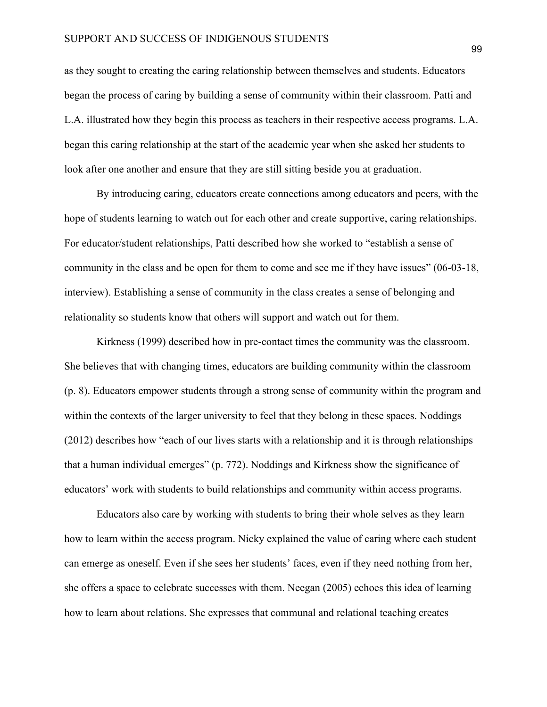# SUPPORT AND SUCCESS OF INDIGENOUS STUDENTS

as they sought to creating the caring relationship between themselves and students. Educators began the process of caring by building a sense of community within their classroom. Patti and L.A. illustrated how they begin this process as teachers in their respective access programs. L.A. began this caring relationship at the start of the academic year when she asked her students to look after one another and ensure that they are still sitting beside you at graduation.

By introducing caring, educators create connections among educators and peers, with the hope of students learning to watch out for each other and create supportive, caring relationships. For educator/student relationships, Patti described how she worked to "establish a sense of community in the class and be open for them to come and see me if they have issues" (06-03-18, interview). Establishing a sense of community in the class creates a sense of belonging and relationality so students know that others will support and watch out for them.

Kirkness (1999) described how in pre-contact times the community was the classroom. She believes that with changing times, educators are building community within the classroom (p. 8). Educators empower students through a strong sense of community within the program and within the contexts of the larger university to feel that they belong in these spaces. Noddings (2012) describes how "each of our lives starts with a relationship and it is through relationships that a human individual emerges" (p. 772). Noddings and Kirkness show the significance of educators' work with students to build relationships and community within access programs.

Educators also care by working with students to bring their whole selves as they learn how to learn within the access program. Nicky explained the value of caring where each student can emerge as oneself. Even if she sees her students' faces, even if they need nothing from her, she offers a space to celebrate successes with them. Neegan (2005) echoes this idea of learning how to learn about relations. She expresses that communal and relational teaching creates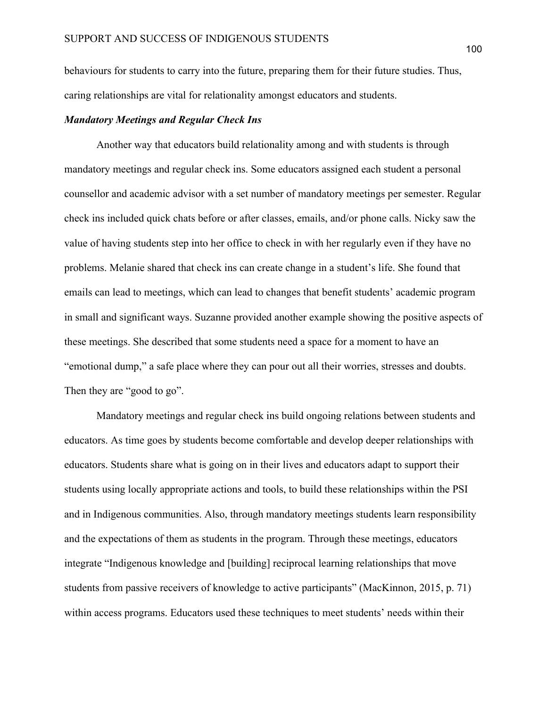behaviours for students to carry into the future, preparing them for their future studies. Thus, caring relationships are vital for relationality amongst educators and students.

# *Mandatory Meetings and Regular Check Ins*

Another way that educators build relationality among and with students is through mandatory meetings and regular check ins. Some educators assigned each student a personal counsellor and academic advisor with a set number of mandatory meetings per semester. Regular check ins included quick chats before or after classes, emails, and/or phone calls. Nicky saw the value of having students step into her office to check in with her regularly even if they have no problems. Melanie shared that check ins can create change in a student's life. She found that emails can lead to meetings, which can lead to changes that benefit students' academic program in small and significant ways. Suzanne provided another example showing the positive aspects of these meetings. She described that some students need a space for a moment to have an "emotional dump," a safe place where they can pour out all their worries, stresses and doubts. Then they are "good to go".

Mandatory meetings and regular check ins build ongoing relations between students and educators. As time goes by students become comfortable and develop deeper relationships with educators. Students share what is going on in their lives and educators adapt to support their students using locally appropriate actions and tools, to build these relationships within the PSI and in Indigenous communities. Also, through mandatory meetings students learn responsibility and the expectations of them as students in the program. Through these meetings, educators integrate "Indigenous knowledge and [building] reciprocal learning relationships that move students from passive receivers of knowledge to active participants" (MacKinnon, 2015, p. 71) within access programs. Educators used these techniques to meet students' needs within their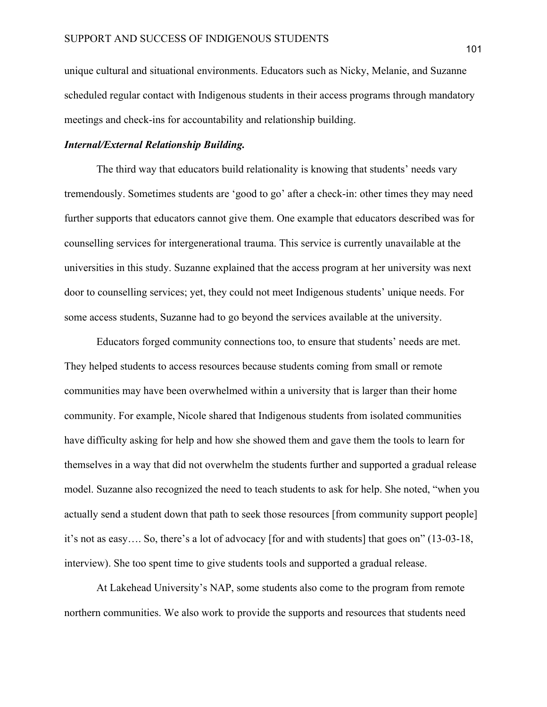unique cultural and situational environments. Educators such as Nicky, Melanie, and Suzanne scheduled regular contact with Indigenous students in their access programs through mandatory meetings and check-ins for accountability and relationship building.

# *Internal/External Relationship Building.*

The third way that educators build relationality is knowing that students' needs vary tremendously. Sometimes students are 'good to go' after a check-in: other times they may need further supports that educators cannot give them. One example that educators described was for counselling services for intergenerational trauma. This service is currently unavailable at the universities in this study. Suzanne explained that the access program at her university was next door to counselling services; yet, they could not meet Indigenous students' unique needs. For some access students, Suzanne had to go beyond the services available at the university.

Educators forged community connections too, to ensure that students' needs are met. They helped students to access resources because students coming from small or remote communities may have been overwhelmed within a university that is larger than their home community. For example, Nicole shared that Indigenous students from isolated communities have difficulty asking for help and how she showed them and gave them the tools to learn for themselves in a way that did not overwhelm the students further and supported a gradual release model. Suzanne also recognized the need to teach students to ask for help. She noted, "when you actually send a student down that path to seek those resources [from community support people] it's not as easy…. So, there's a lot of advocacy [for and with students] that goes on" (13-03-18, interview). She too spent time to give students tools and supported a gradual release.

At Lakehead University's NAP, some students also come to the program from remote northern communities. We also work to provide the supports and resources that students need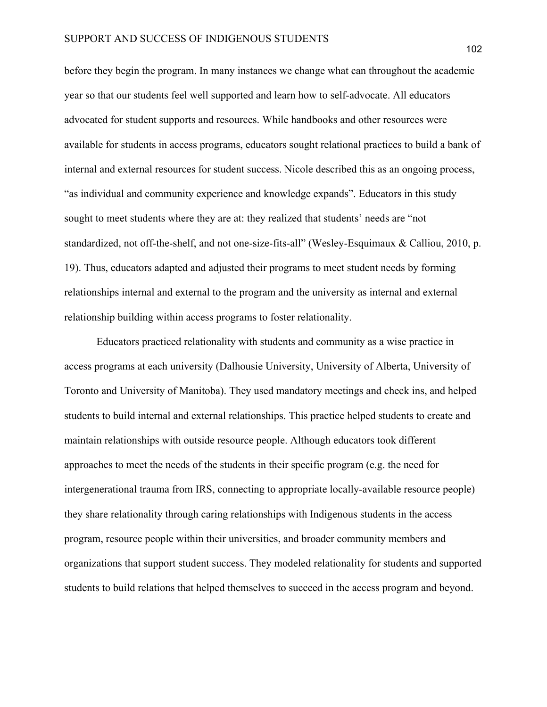before they begin the program. In many instances we change what can throughout the academic year so that our students feel well supported and learn how to self-advocate. All educators advocated for student supports and resources. While handbooks and other resources were available for students in access programs, educators sought relational practices to build a bank of internal and external resources for student success. Nicole described this as an ongoing process, "as individual and community experience and knowledge expands". Educators in this study sought to meet students where they are at: they realized that students' needs are "not standardized, not off-the-shelf, and not one-size-fits-all" (Wesley-Esquimaux & Calliou, 2010, p. 19). Thus, educators adapted and adjusted their programs to meet student needs by forming relationships internal and external to the program and the university as internal and external relationship building within access programs to foster relationality.

Educators practiced relationality with students and community as a wise practice in access programs at each university (Dalhousie University, University of Alberta, University of Toronto and University of Manitoba). They used mandatory meetings and check ins, and helped students to build internal and external relationships. This practice helped students to create and maintain relationships with outside resource people. Although educators took different approaches to meet the needs of the students in their specific program (e.g. the need for intergenerational trauma from IRS, connecting to appropriate locally-available resource people) they share relationality through caring relationships with Indigenous students in the access program, resource people within their universities, and broader community members and organizations that support student success. They modeled relationality for students and supported students to build relations that helped themselves to succeed in the access program and beyond.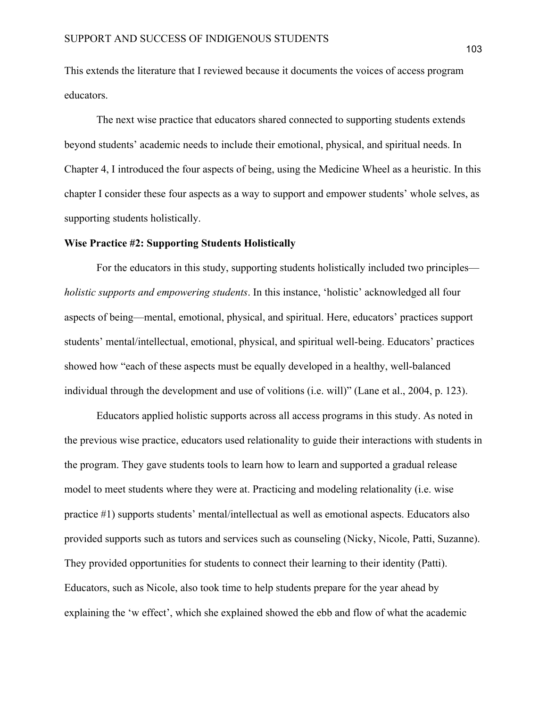This extends the literature that I reviewed because it documents the voices of access program educators.

The next wise practice that educators shared connected to supporting students extends beyond students' academic needs to include their emotional, physical, and spiritual needs. In Chapter 4, I introduced the four aspects of being, using the Medicine Wheel as a heuristic. In this chapter I consider these four aspects as a way to support and empower students' whole selves, as supporting students holistically.

# **Wise Practice #2: Supporting Students Holistically**

For the educators in this study, supporting students holistically included two principles *holistic supports and empowering students*. In this instance, 'holistic' acknowledged all four aspects of being—mental, emotional, physical, and spiritual. Here, educators' practices support students' mental/intellectual, emotional, physical, and spiritual well-being. Educators' practices showed how "each of these aspects must be equally developed in a healthy, well-balanced individual through the development and use of volitions (i.e. will)" (Lane et al., 2004, p. 123).

Educators applied holistic supports across all access programs in this study. As noted in the previous wise practice, educators used relationality to guide their interactions with students in the program. They gave students tools to learn how to learn and supported a gradual release model to meet students where they were at. Practicing and modeling relationality (i.e. wise practice #1) supports students' mental/intellectual as well as emotional aspects. Educators also provided supports such as tutors and services such as counseling (Nicky, Nicole, Patti, Suzanne). They provided opportunities for students to connect their learning to their identity (Patti). Educators, such as Nicole, also took time to help students prepare for the year ahead by explaining the 'w effect', which she explained showed the ebb and flow of what the academic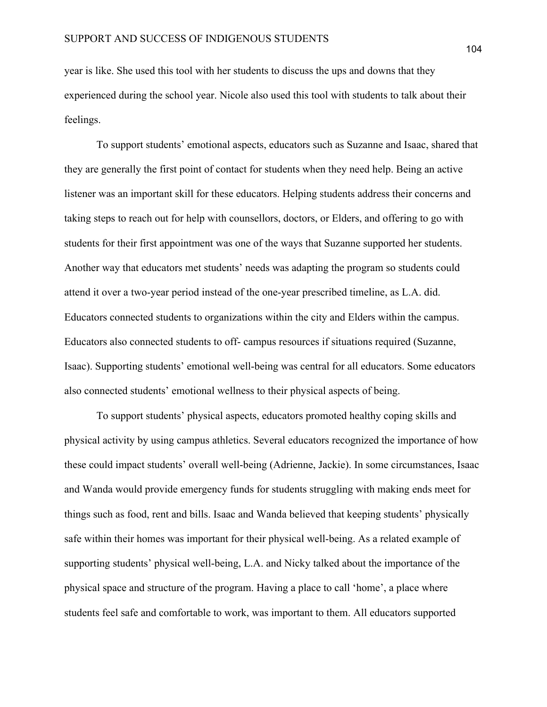year is like. She used this tool with her students to discuss the ups and downs that they experienced during the school year. Nicole also used this tool with students to talk about their feelings.

To support students' emotional aspects, educators such as Suzanne and Isaac, shared that they are generally the first point of contact for students when they need help. Being an active listener was an important skill for these educators. Helping students address their concerns and taking steps to reach out for help with counsellors, doctors, or Elders, and offering to go with students for their first appointment was one of the ways that Suzanne supported her students. Another way that educators met students' needs was adapting the program so students could attend it over a two-year period instead of the one-year prescribed timeline, as L.A. did. Educators connected students to organizations within the city and Elders within the campus. Educators also connected students to off- campus resources if situations required (Suzanne, Isaac). Supporting students' emotional well-being was central for all educators. Some educators also connected students' emotional wellness to their physical aspects of being.

To support students' physical aspects, educators promoted healthy coping skills and physical activity by using campus athletics. Several educators recognized the importance of how these could impact students' overall well-being (Adrienne, Jackie). In some circumstances, Isaac and Wanda would provide emergency funds for students struggling with making ends meet for things such as food, rent and bills. Isaac and Wanda believed that keeping students' physically safe within their homes was important for their physical well-being. As a related example of supporting students' physical well-being, L.A. and Nicky talked about the importance of the physical space and structure of the program. Having a place to call 'home', a place where students feel safe and comfortable to work, was important to them. All educators supported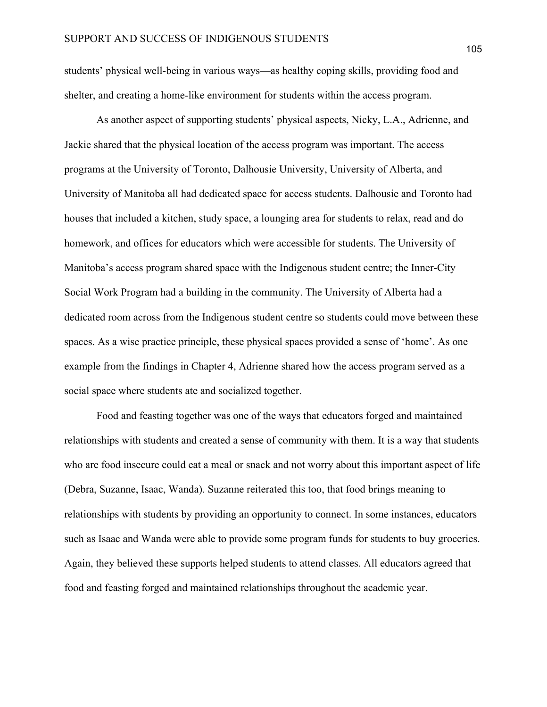students' physical well-being in various ways—as healthy coping skills, providing food and shelter, and creating a home-like environment for students within the access program.

As another aspect of supporting students' physical aspects, Nicky, L.A., Adrienne, and Jackie shared that the physical location of the access program was important. The access programs at the University of Toronto, Dalhousie University, University of Alberta, and University of Manitoba all had dedicated space for access students. Dalhousie and Toronto had houses that included a kitchen, study space, a lounging area for students to relax, read and do homework, and offices for educators which were accessible for students. The University of Manitoba's access program shared space with the Indigenous student centre; the Inner-City Social Work Program had a building in the community. The University of Alberta had a dedicated room across from the Indigenous student centre so students could move between these spaces. As a wise practice principle, these physical spaces provided a sense of 'home'. As one example from the findings in Chapter 4, Adrienne shared how the access program served as a social space where students ate and socialized together.

Food and feasting together was one of the ways that educators forged and maintained relationships with students and created a sense of community with them. It is a way that students who are food insecure could eat a meal or snack and not worry about this important aspect of life (Debra, Suzanne, Isaac, Wanda). Suzanne reiterated this too, that food brings meaning to relationships with students by providing an opportunity to connect. In some instances, educators such as Isaac and Wanda were able to provide some program funds for students to buy groceries. Again, they believed these supports helped students to attend classes. All educators agreed that food and feasting forged and maintained relationships throughout the academic year.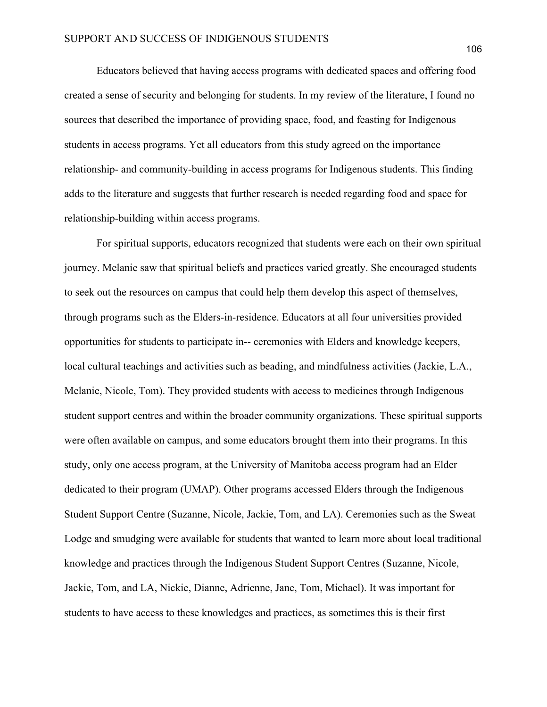Educators believed that having access programs with dedicated spaces and offering food created a sense of security and belonging for students. In my review of the literature, I found no sources that described the importance of providing space, food, and feasting for Indigenous students in access programs. Yet all educators from this study agreed on the importance relationship- and community-building in access programs for Indigenous students. This finding adds to the literature and suggests that further research is needed regarding food and space for relationship-building within access programs.

For spiritual supports, educators recognized that students were each on their own spiritual journey. Melanie saw that spiritual beliefs and practices varied greatly. She encouraged students to seek out the resources on campus that could help them develop this aspect of themselves, through programs such as the Elders-in-residence. Educators at all four universities provided opportunities for students to participate in-- ceremonies with Elders and knowledge keepers, local cultural teachings and activities such as beading, and mindfulness activities (Jackie, L.A., Melanie, Nicole, Tom). They provided students with access to medicines through Indigenous student support centres and within the broader community organizations. These spiritual supports were often available on campus, and some educators brought them into their programs. In this study, only one access program, at the University of Manitoba access program had an Elder dedicated to their program (UMAP). Other programs accessed Elders through the Indigenous Student Support Centre (Suzanne, Nicole, Jackie, Tom, and LA). Ceremonies such as the Sweat Lodge and smudging were available for students that wanted to learn more about local traditional knowledge and practices through the Indigenous Student Support Centres (Suzanne, Nicole, Jackie, Tom, and LA, Nickie, Dianne, Adrienne, Jane, Tom, Michael). It was important for students to have access to these knowledges and practices, as sometimes this is their first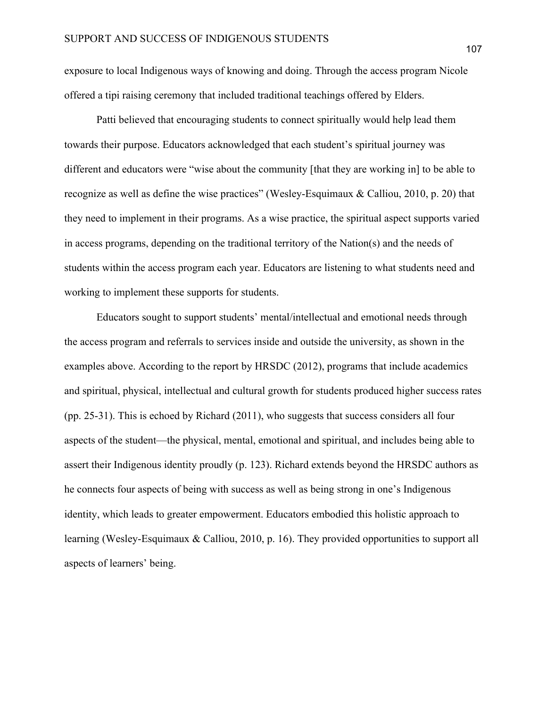exposure to local Indigenous ways of knowing and doing. Through the access program Nicole offered a tipi raising ceremony that included traditional teachings offered by Elders.

Patti believed that encouraging students to connect spiritually would help lead them towards their purpose. Educators acknowledged that each student's spiritual journey was different and educators were "wise about the community [that they are working in] to be able to recognize as well as define the wise practices" (Wesley-Esquimaux & Calliou, 2010, p. 20) that they need to implement in their programs. As a wise practice, the spiritual aspect supports varied in access programs, depending on the traditional territory of the Nation(s) and the needs of students within the access program each year. Educators are listening to what students need and working to implement these supports for students.

Educators sought to support students' mental/intellectual and emotional needs through the access program and referrals to services inside and outside the university, as shown in the examples above. According to the report by HRSDC (2012), programs that include academics and spiritual, physical, intellectual and cultural growth for students produced higher success rates (pp. 25-31). This is echoed by Richard (2011), who suggests that success considers all four aspects of the student—the physical, mental, emotional and spiritual, and includes being able to assert their Indigenous identity proudly (p. 123). Richard extends beyond the HRSDC authors as he connects four aspects of being with success as well as being strong in one's Indigenous identity, which leads to greater empowerment. Educators embodied this holistic approach to learning (Wesley-Esquimaux & Calliou, 2010, p. 16). They provided opportunities to support all aspects of learners' being.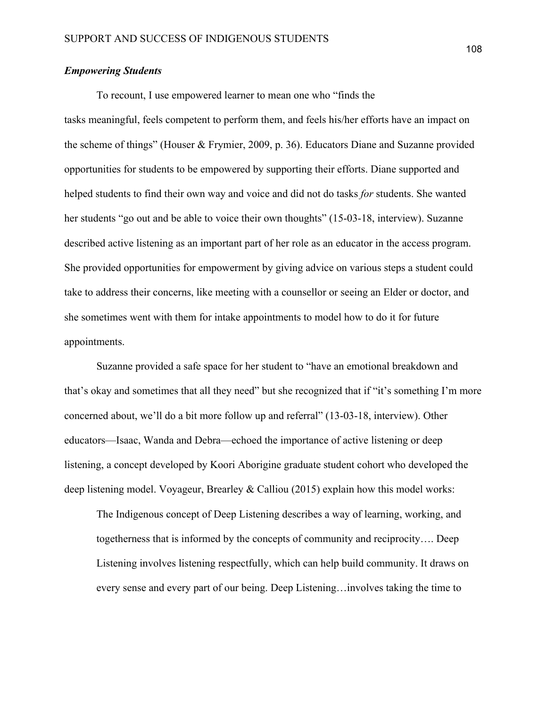### *Empowering Students*

To recount, I use empowered learner to mean one who "finds the tasks meaningful, feels competent to perform them, and feels his/her efforts have an impact on the scheme of things" (Houser & Frymier, 2009, p. 36). Educators Diane and Suzanne provided opportunities for students to be empowered by supporting their efforts. Diane supported and helped students to find their own way and voice and did not do tasks *for* students. She wanted her students "go out and be able to voice their own thoughts" (15-03-18, interview). Suzanne described active listening as an important part of her role as an educator in the access program. She provided opportunities for empowerment by giving advice on various steps a student could take to address their concerns, like meeting with a counsellor or seeing an Elder or doctor, and she sometimes went with them for intake appointments to model how to do it for future appointments.

Suzanne provided a safe space for her student to "have an emotional breakdown and that's okay and sometimes that all they need" but she recognized that if "it's something I'm more concerned about, we'll do a bit more follow up and referral" (13-03-18, interview). Other educators—Isaac, Wanda and Debra—echoed the importance of active listening or deep listening, a concept developed by Koori Aborigine graduate student cohort who developed the deep listening model. Voyageur, Brearley & Calliou (2015) explain how this model works:

The Indigenous concept of Deep Listening describes a way of learning, working, and togetherness that is informed by the concepts of community and reciprocity…. Deep Listening involves listening respectfully, which can help build community. It draws on every sense and every part of our being. Deep Listening…involves taking the time to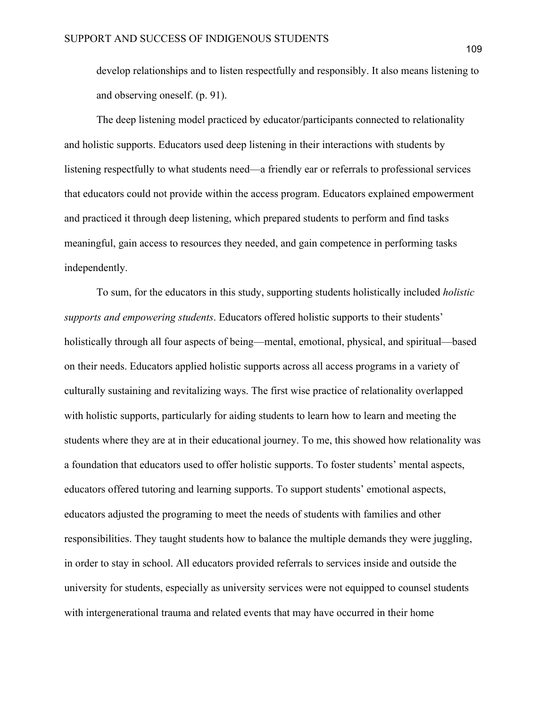develop relationships and to listen respectfully and responsibly. It also means listening to and observing oneself. (p. 91).

The deep listening model practiced by educator/participants connected to relationality and holistic supports. Educators used deep listening in their interactions with students by listening respectfully to what students need—a friendly ear or referrals to professional services that educators could not provide within the access program. Educators explained empowerment and practiced it through deep listening, which prepared students to perform and find tasks meaningful, gain access to resources they needed, and gain competence in performing tasks independently.

To sum, for the educators in this study, supporting students holistically included *holistic supports and empowering students*. Educators offered holistic supports to their students' holistically through all four aspects of being—mental, emotional, physical, and spiritual—based on their needs. Educators applied holistic supports across all access programs in a variety of culturally sustaining and revitalizing ways. The first wise practice of relationality overlapped with holistic supports, particularly for aiding students to learn how to learn and meeting the students where they are at in their educational journey. To me, this showed how relationality was a foundation that educators used to offer holistic supports. To foster students' mental aspects, educators offered tutoring and learning supports. To support students' emotional aspects, educators adjusted the programing to meet the needs of students with families and other responsibilities. They taught students how to balance the multiple demands they were juggling, in order to stay in school. All educators provided referrals to services inside and outside the university for students, especially as university services were not equipped to counsel students with intergenerational trauma and related events that may have occurred in their home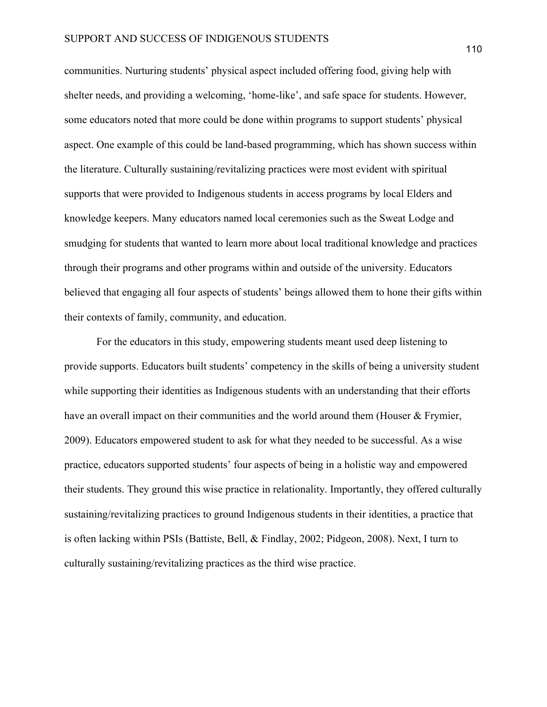communities. Nurturing students' physical aspect included offering food, giving help with shelter needs, and providing a welcoming, 'home-like', and safe space for students. However, some educators noted that more could be done within programs to support students' physical aspect. One example of this could be land-based programming, which has shown success within the literature. Culturally sustaining/revitalizing practices were most evident with spiritual supports that were provided to Indigenous students in access programs by local Elders and knowledge keepers. Many educators named local ceremonies such as the Sweat Lodge and smudging for students that wanted to learn more about local traditional knowledge and practices through their programs and other programs within and outside of the university. Educators believed that engaging all four aspects of students' beings allowed them to hone their gifts within their contexts of family, community, and education.

For the educators in this study, empowering students meant used deep listening to provide supports. Educators built students' competency in the skills of being a university student while supporting their identities as Indigenous students with an understanding that their efforts have an overall impact on their communities and the world around them (Houser & Frymier, 2009). Educators empowered student to ask for what they needed to be successful. As a wise practice, educators supported students' four aspects of being in a holistic way and empowered their students. They ground this wise practice in relationality. Importantly, they offered culturally sustaining/revitalizing practices to ground Indigenous students in their identities, a practice that is often lacking within PSIs (Battiste, Bell, & Findlay, 2002; Pidgeon, 2008). Next, I turn to culturally sustaining/revitalizing practices as the third wise practice.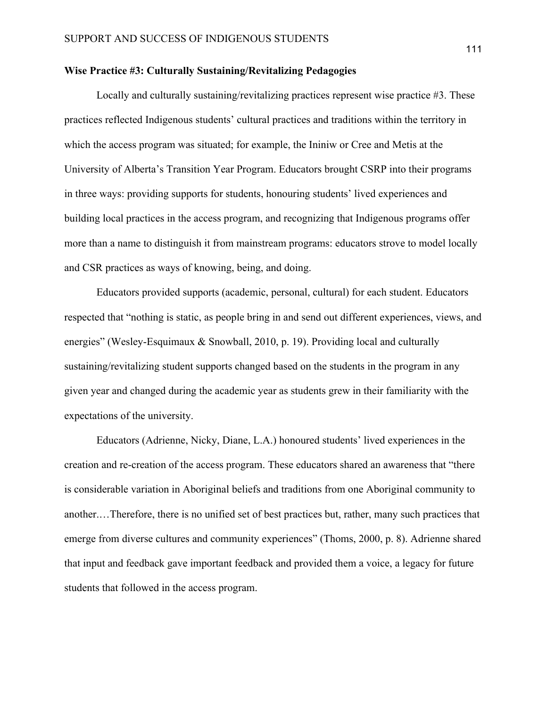### **Wise Practice #3: Culturally Sustaining/Revitalizing Pedagogies**

Locally and culturally sustaining/revitalizing practices represent wise practice #3. These practices reflected Indigenous students' cultural practices and traditions within the territory in which the access program was situated; for example, the Ininiw or Cree and Metis at the University of Alberta's Transition Year Program. Educators brought CSRP into their programs in three ways: providing supports for students, honouring students' lived experiences and building local practices in the access program, and recognizing that Indigenous programs offer more than a name to distinguish it from mainstream programs: educators strove to model locally and CSR practices as ways of knowing, being, and doing.

Educators provided supports (academic, personal, cultural) for each student. Educators respected that "nothing is static, as people bring in and send out different experiences, views, and energies" (Wesley-Esquimaux & Snowball, 2010, p. 19). Providing local and culturally sustaining/revitalizing student supports changed based on the students in the program in any given year and changed during the academic year as students grew in their familiarity with the expectations of the university.

Educators (Adrienne, Nicky, Diane, L.A.) honoured students' lived experiences in the creation and re-creation of the access program. These educators shared an awareness that "there is considerable variation in Aboriginal beliefs and traditions from one Aboriginal community to another.…Therefore, there is no unified set of best practices but, rather, many such practices that emerge from diverse cultures and community experiences" (Thoms, 2000, p. 8). Adrienne shared that input and feedback gave important feedback and provided them a voice, a legacy for future students that followed in the access program.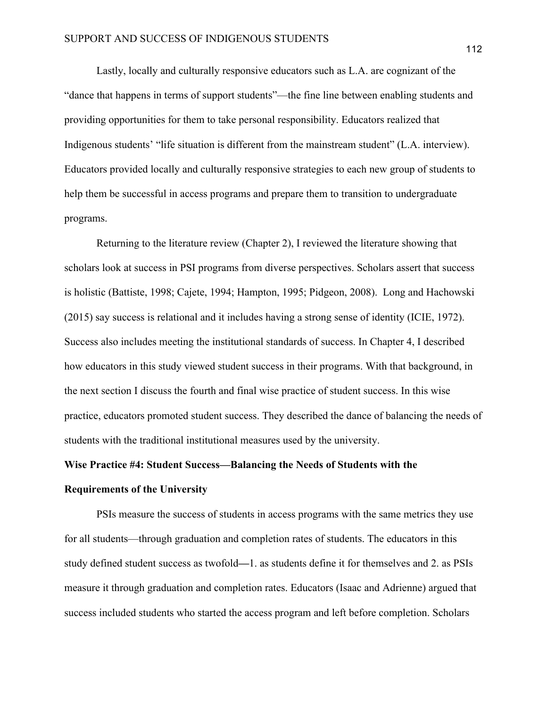Lastly, locally and culturally responsive educators such as L.A. are cognizant of the "dance that happens in terms of support students"—the fine line between enabling students and providing opportunities for them to take personal responsibility. Educators realized that Indigenous students' "life situation is different from the mainstream student" (L.A. interview). Educators provided locally and culturally responsive strategies to each new group of students to help them be successful in access programs and prepare them to transition to undergraduate programs.

Returning to the literature review (Chapter 2), I reviewed the literature showing that scholars look at success in PSI programs from diverse perspectives. Scholars assert that success is holistic (Battiste, 1998; Cajete, 1994; Hampton, 1995; Pidgeon, 2008). Long and Hachowski (2015) say success is relational and it includes having a strong sense of identity (ICIE, 1972). Success also includes meeting the institutional standards of success. In Chapter 4, I described how educators in this study viewed student success in their programs. With that background, in the next section I discuss the fourth and final wise practice of student success. In this wise practice, educators promoted student success. They described the dance of balancing the needs of students with the traditional institutional measures used by the university.

## **Wise Practice #4: Student Success—Balancing the Needs of Students with the Requirements of the University**

PSIs measure the success of students in access programs with the same metrics they use for all students—through graduation and completion rates of students. The educators in this study defined student success as twofold**—**1. as students define it for themselves and 2. as PSIs measure it through graduation and completion rates. Educators (Isaac and Adrienne) argued that success included students who started the access program and left before completion. Scholars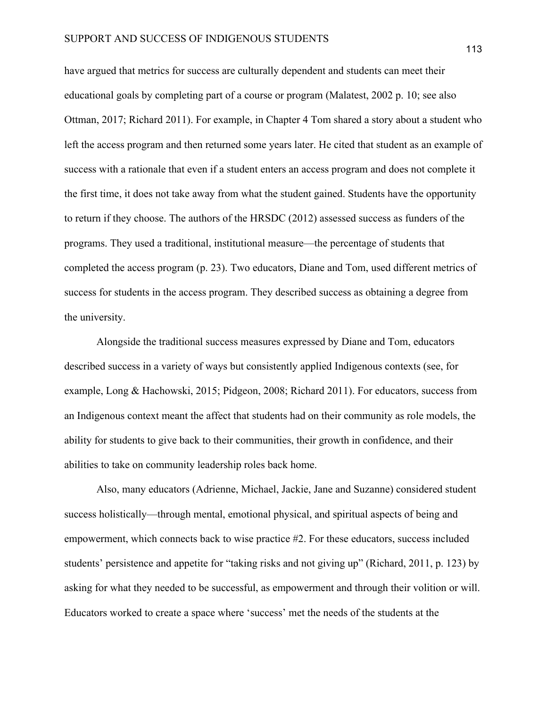have argued that metrics for success are culturally dependent and students can meet their educational goals by completing part of a course or program (Malatest, 2002 p. 10; see also Ottman, 2017; Richard 2011). For example, in Chapter 4 Tom shared a story about a student who left the access program and then returned some years later. He cited that student as an example of success with a rationale that even if a student enters an access program and does not complete it the first time, it does not take away from what the student gained. Students have the opportunity to return if they choose. The authors of the HRSDC (2012) assessed success as funders of the programs. They used a traditional, institutional measure—the percentage of students that completed the access program (p. 23). Two educators, Diane and Tom, used different metrics of success for students in the access program. They described success as obtaining a degree from the university.

Alongside the traditional success measures expressed by Diane and Tom, educators described success in a variety of ways but consistently applied Indigenous contexts (see, for example, Long & Hachowski, 2015; Pidgeon, 2008; Richard 2011). For educators, success from an Indigenous context meant the affect that students had on their community as role models, the ability for students to give back to their communities, their growth in confidence, and their abilities to take on community leadership roles back home.

Also, many educators (Adrienne, Michael, Jackie, Jane and Suzanne) considered student success holistically—through mental, emotional physical, and spiritual aspects of being and empowerment, which connects back to wise practice #2. For these educators, success included students' persistence and appetite for "taking risks and not giving up" (Richard, 2011, p. 123) by asking for what they needed to be successful, as empowerment and through their volition or will. Educators worked to create a space where 'success' met the needs of the students at the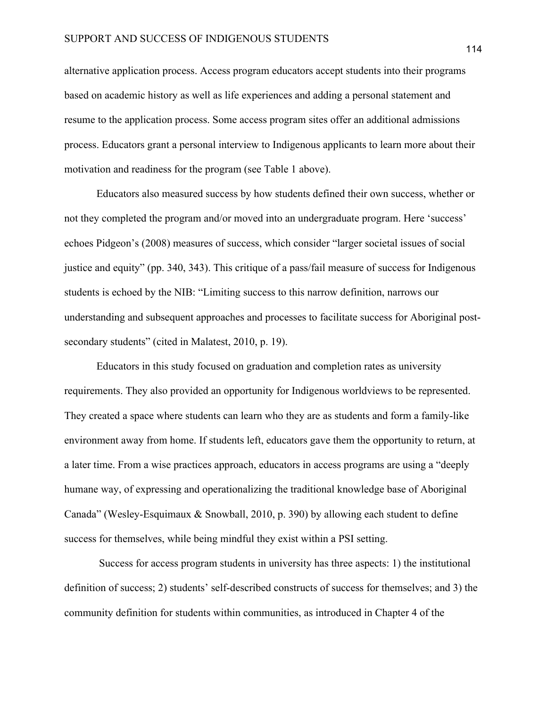alternative application process. Access program educators accept students into their programs based on academic history as well as life experiences and adding a personal statement and resume to the application process. Some access program sites offer an additional admissions process. Educators grant a personal interview to Indigenous applicants to learn more about their motivation and readiness for the program (see Table 1 above).

Educators also measured success by how students defined their own success, whether or not they completed the program and/or moved into an undergraduate program. Here 'success' echoes Pidgeon's (2008) measures of success, which consider "larger societal issues of social justice and equity" (pp. 340, 343). This critique of a pass/fail measure of success for Indigenous students is echoed by the NIB: "Limiting success to this narrow definition, narrows our understanding and subsequent approaches and processes to facilitate success for Aboriginal postsecondary students" (cited in Malatest, 2010, p. 19).

Educators in this study focused on graduation and completion rates as university requirements. They also provided an opportunity for Indigenous worldviews to be represented. They created a space where students can learn who they are as students and form a family-like environment away from home. If students left, educators gave them the opportunity to return, at a later time. From a wise practices approach, educators in access programs are using a "deeply humane way, of expressing and operationalizing the traditional knowledge base of Aboriginal Canada" (Wesley-Esquimaux & Snowball, 2010, p. 390) by allowing each student to define success for themselves, while being mindful they exist within a PSI setting.

Success for access program students in university has three aspects: 1) the institutional definition of success; 2) students' self-described constructs of success for themselves; and 3) the community definition for students within communities, as introduced in Chapter 4 of the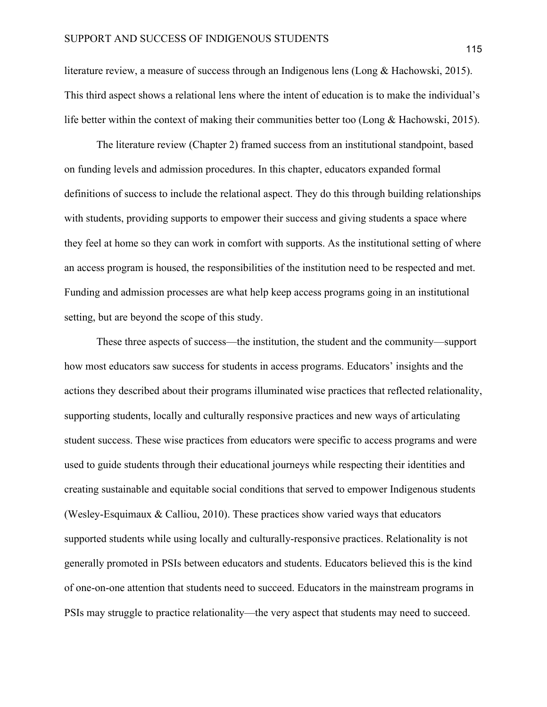literature review, a measure of success through an Indigenous lens (Long & Hachowski, 2015). This third aspect shows a relational lens where the intent of education is to make the individual's life better within the context of making their communities better too (Long & Hachowski, 2015).

The literature review (Chapter 2) framed success from an institutional standpoint, based on funding levels and admission procedures. In this chapter, educators expanded formal definitions of success to include the relational aspect. They do this through building relationships with students, providing supports to empower their success and giving students a space where they feel at home so they can work in comfort with supports. As the institutional setting of where an access program is housed, the responsibilities of the institution need to be respected and met. Funding and admission processes are what help keep access programs going in an institutional setting, but are beyond the scope of this study.

These three aspects of success—the institution, the student and the community—support how most educators saw success for students in access programs. Educators' insights and the actions they described about their programs illuminated wise practices that reflected relationality, supporting students, locally and culturally responsive practices and new ways of articulating student success. These wise practices from educators were specific to access programs and were used to guide students through their educational journeys while respecting their identities and creating sustainable and equitable social conditions that served to empower Indigenous students (Wesley-Esquimaux & Calliou, 2010). These practices show varied ways that educators supported students while using locally and culturally-responsive practices. Relationality is not generally promoted in PSIs between educators and students. Educators believed this is the kind of one-on-one attention that students need to succeed. Educators in the mainstream programs in PSIs may struggle to practice relationality—the very aspect that students may need to succeed.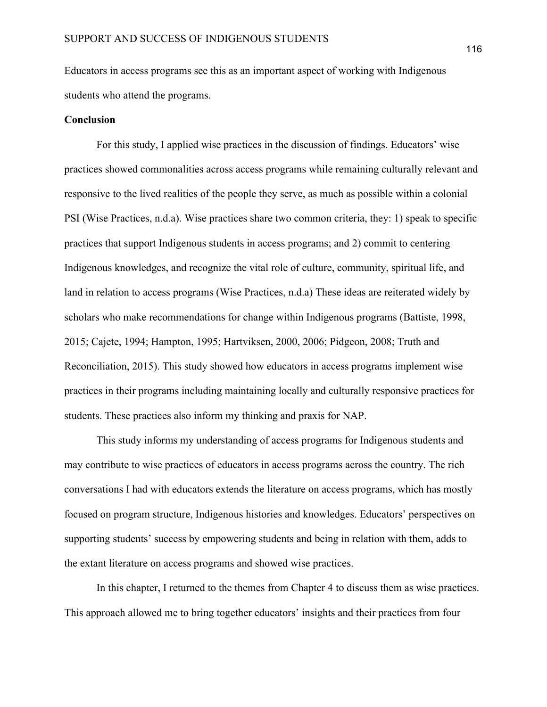Educators in access programs see this as an important aspect of working with Indigenous students who attend the programs.

#### **Conclusion**

For this study, I applied wise practices in the discussion of findings. Educators' wise practices showed commonalities across access programs while remaining culturally relevant and responsive to the lived realities of the people they serve, as much as possible within a colonial PSI (Wise Practices, n.d.a). Wise practices share two common criteria, they: 1) speak to specific practices that support Indigenous students in access programs; and 2) commit to centering Indigenous knowledges, and recognize the vital role of culture, community, spiritual life, and land in relation to access programs (Wise Practices, n.d.a) These ideas are reiterated widely by scholars who make recommendations for change within Indigenous programs (Battiste, 1998, 2015; Cajete, 1994; Hampton, 1995; Hartviksen, 2000, 2006; Pidgeon, 2008; Truth and Reconciliation, 2015). This study showed how educators in access programs implement wise practices in their programs including maintaining locally and culturally responsive practices for students. These practices also inform my thinking and praxis for NAP.

This study informs my understanding of access programs for Indigenous students and may contribute to wise practices of educators in access programs across the country. The rich conversations I had with educators extends the literature on access programs, which has mostly focused on program structure, Indigenous histories and knowledges. Educators' perspectives on supporting students' success by empowering students and being in relation with them, adds to the extant literature on access programs and showed wise practices.

In this chapter, I returned to the themes from Chapter 4 to discuss them as wise practices. This approach allowed me to bring together educators' insights and their practices from four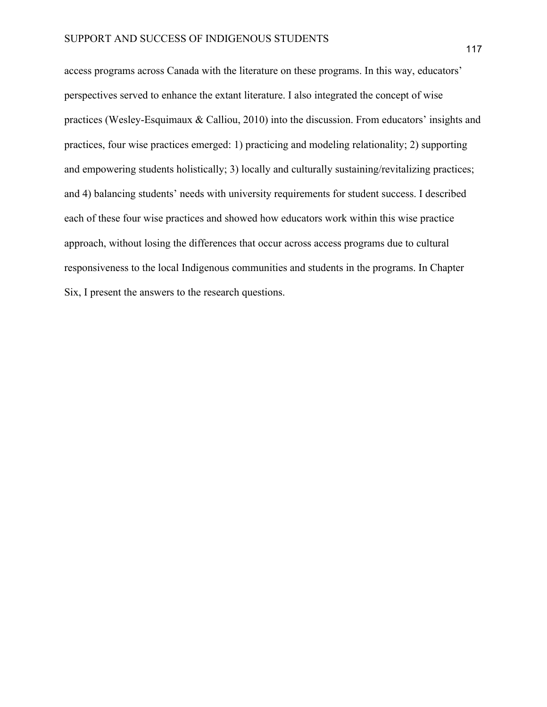access programs across Canada with the literature on these programs. In this way, educators' perspectives served to enhance the extant literature. I also integrated the concept of wise practices (Wesley-Esquimaux & Calliou, 2010) into the discussion. From educators' insights and practices, four wise practices emerged: 1) practicing and modeling relationality; 2) supporting and empowering students holistically; 3) locally and culturally sustaining/revitalizing practices; and 4) balancing students' needs with university requirements for student success. I described each of these four wise practices and showed how educators work within this wise practice approach, without losing the differences that occur across access programs due to cultural responsiveness to the local Indigenous communities and students in the programs. In Chapter Six, I present the answers to the research questions.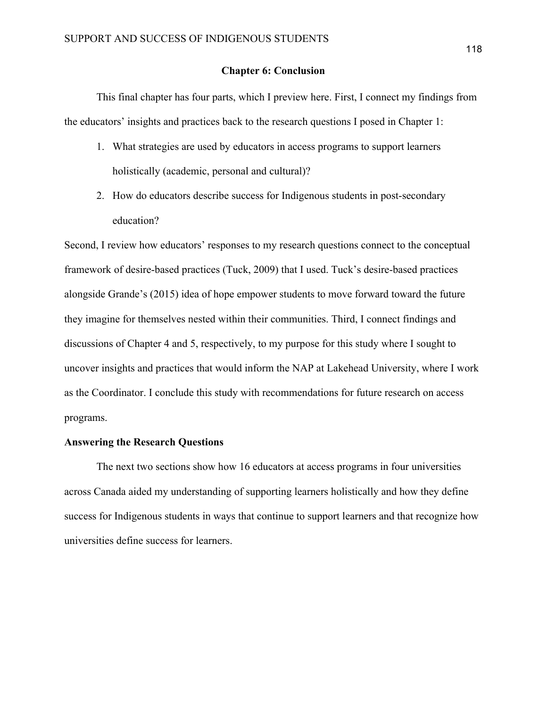#### **Chapter 6: Conclusion**

This final chapter has four parts, which I preview here. First, I connect my findings from the educators' insights and practices back to the research questions I posed in Chapter 1:

- 1. What strategies are used by educators in access programs to support learners holistically (academic, personal and cultural)?
- 2. How do educators describe success for Indigenous students in post-secondary education?

Second, I review how educators' responses to my research questions connect to the conceptual framework of desire-based practices (Tuck, 2009) that I used. Tuck's desire-based practices alongside Grande's (2015) idea of hope empower students to move forward toward the future they imagine for themselves nested within their communities. Third, I connect findings and discussions of Chapter 4 and 5, respectively, to my purpose for this study where I sought to uncover insights and practices that would inform the NAP at Lakehead University, where I work as the Coordinator. I conclude this study with recommendations for future research on access programs.

### **Answering the Research Questions**

The next two sections show how 16 educators at access programs in four universities across Canada aided my understanding of supporting learners holistically and how they define success for Indigenous students in ways that continue to support learners and that recognize how universities define success for learners.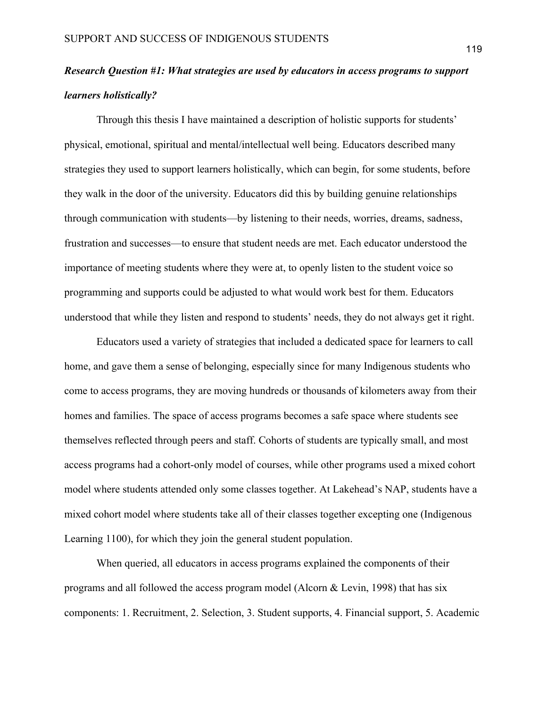# *Research Question #1: What strategies are used by educators in access programs to support learners holistically?*

Through this thesis I have maintained a description of holistic supports for students' physical, emotional, spiritual and mental/intellectual well being. Educators described many strategies they used to support learners holistically, which can begin, for some students, before they walk in the door of the university. Educators did this by building genuine relationships through communication with students—by listening to their needs, worries, dreams, sadness, frustration and successes—to ensure that student needs are met. Each educator understood the importance of meeting students where they were at, to openly listen to the student voice so programming and supports could be adjusted to what would work best for them. Educators understood that while they listen and respond to students' needs, they do not always get it right.

Educators used a variety of strategies that included a dedicated space for learners to call home, and gave them a sense of belonging, especially since for many Indigenous students who come to access programs, they are moving hundreds or thousands of kilometers away from their homes and families. The space of access programs becomes a safe space where students see themselves reflected through peers and staff. Cohorts of students are typically small, and most access programs had a cohort-only model of courses, while other programs used a mixed cohort model where students attended only some classes together. At Lakehead's NAP, students have a mixed cohort model where students take all of their classes together excepting one (Indigenous Learning 1100), for which they join the general student population.

When queried, all educators in access programs explained the components of their programs and all followed the access program model (Alcorn & Levin, 1998) that has six components: 1. Recruitment, 2. Selection, 3. Student supports, 4. Financial support, 5. Academic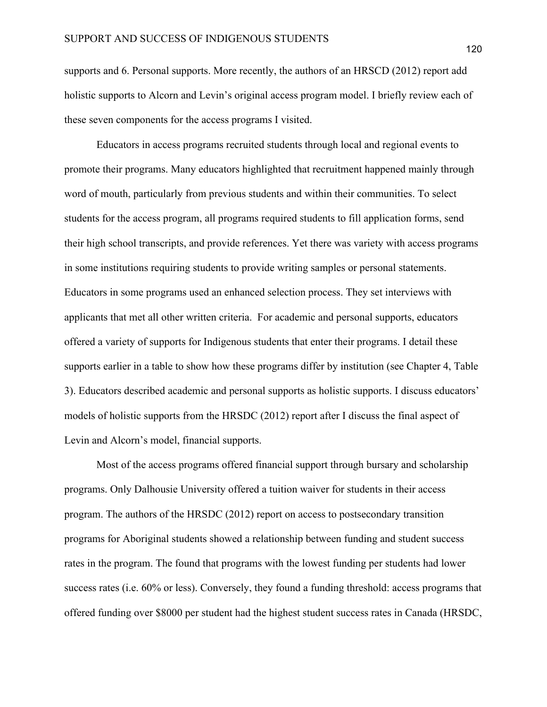supports and 6. Personal supports. More recently, the authors of an HRSCD (2012) report add holistic supports to Alcorn and Levin's original access program model. I briefly review each of these seven components for the access programs I visited.

Educators in access programs recruited students through local and regional events to promote their programs. Many educators highlighted that recruitment happened mainly through word of mouth, particularly from previous students and within their communities. To select students for the access program, all programs required students to fill application forms, send their high school transcripts, and provide references. Yet there was variety with access programs in some institutions requiring students to provide writing samples or personal statements. Educators in some programs used an enhanced selection process. They set interviews with applicants that met all other written criteria. For academic and personal supports, educators offered a variety of supports for Indigenous students that enter their programs. I detail these supports earlier in a table to show how these programs differ by institution (see Chapter 4, Table 3). Educators described academic and personal supports as holistic supports. I discuss educators' models of holistic supports from the HRSDC (2012) report after I discuss the final aspect of Levin and Alcorn's model, financial supports.

Most of the access programs offered financial support through bursary and scholarship programs. Only Dalhousie University offered a tuition waiver for students in their access program. The authors of the HRSDC (2012) report on access to postsecondary transition programs for Aboriginal students showed a relationship between funding and student success rates in the program. The found that programs with the lowest funding per students had lower success rates (i.e. 60% or less). Conversely, they found a funding threshold: access programs that offered funding over \$8000 per student had the highest student success rates in Canada (HRSDC,

120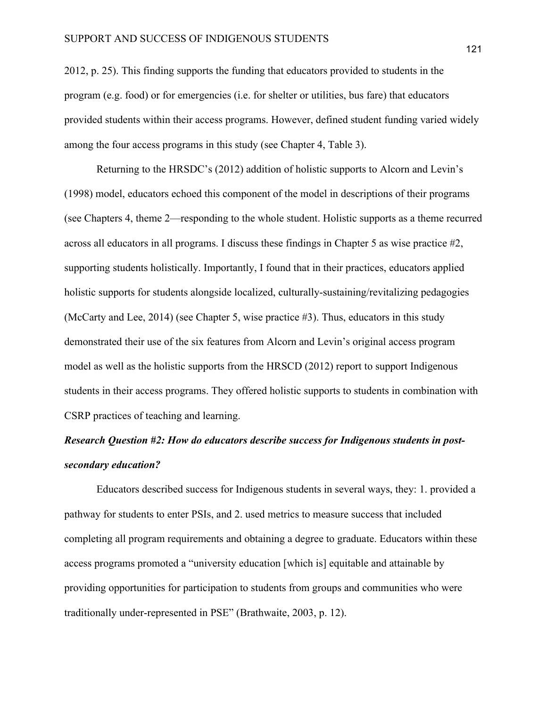2012, p. 25). This finding supports the funding that educators provided to students in the program (e.g. food) or for emergencies (i.e. for shelter or utilities, bus fare) that educators provided students within their access programs. However, defined student funding varied widely among the four access programs in this study (see Chapter 4, Table 3).

Returning to the HRSDC's (2012) addition of holistic supports to Alcorn and Levin's (1998) model, educators echoed this component of the model in descriptions of their programs (see Chapters 4, theme 2—responding to the whole student. Holistic supports as a theme recurred across all educators in all programs. I discuss these findings in Chapter 5 as wise practice #2, supporting students holistically. Importantly, I found that in their practices, educators applied holistic supports for students alongside localized, culturally-sustaining/revitalizing pedagogies (McCarty and Lee, 2014) (see Chapter 5, wise practice #3). Thus, educators in this study demonstrated their use of the six features from Alcorn and Levin's original access program model as well as the holistic supports from the HRSCD (2012) report to support Indigenous students in their access programs. They offered holistic supports to students in combination with CSRP practices of teaching and learning.

# *Research Question #2: How do educators describe success for Indigenous students in postsecondary education?*

Educators described success for Indigenous students in several ways, they: 1. provided a pathway for students to enter PSIs, and 2. used metrics to measure success that included completing all program requirements and obtaining a degree to graduate. Educators within these access programs promoted a "university education [which is] equitable and attainable by providing opportunities for participation to students from groups and communities who were traditionally under-represented in PSE" (Brathwaite, 2003, p. 12).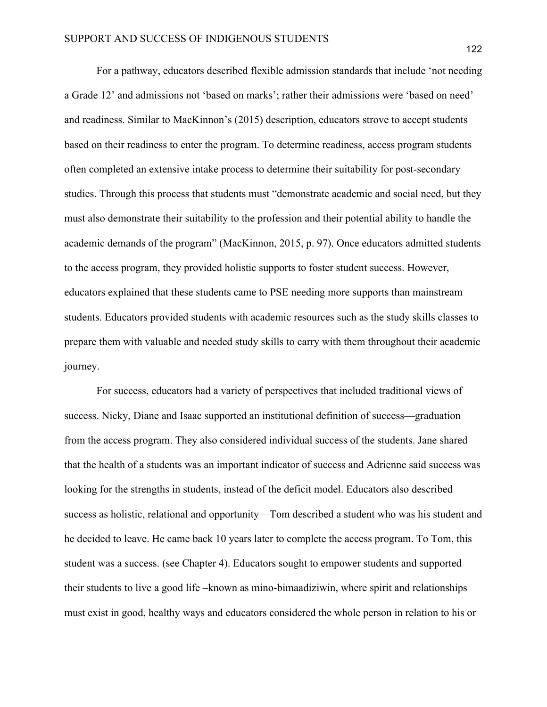For a pathway, educators described flexible admission standards that include 'not needing a Grade 12' and admissions not 'based on marks'; rather their admissions were 'based on need' and readiness. Similar to MacKinnon's (2015) description, educators strove to accept students based on their readiness to enter the program. To determine readiness, access program students often completed an extensive intake process to determine their suitability for post-secondary studies. Through this process that students must "demonstrate academic and social need, but they must also demonstrate their suitability to the profession and their potential ability to handle the academic demands of the program" (MacKinnon, 2015, p. 97). Once educators admitted students to the access program, they provided holistic supports to foster student success. However, educators explained that these students came to PSE needing more supports than mainstream students. Educators provided students with academic resources such as the study skills classes to prepare them with valuable and needed study skills to carry with them throughout their academic journey.

For success, educators had a variety of perspectives that included traditional views of success. Nicky, Diane and Isaac supported an institutional definition of success—graduation from the access program. They also considered individual success of the students. Jane shared that the health of a students was an important indicator of success and Adrienne said success was looking for the strengths in students, instead of the deficit model. Educators also described success as holistic, relational and opportunity—Tom described a student who was his student and he decided to leave. He came back 10 years later to complete the access program. To Tom, this student was a success. (see Chapter 4). Educators sought to empower students and supported their students to live a good life –known as mino-bimaadiziwin, where spirit and relationships must exist in good, healthy ways and educators considered the whole person in relation to his or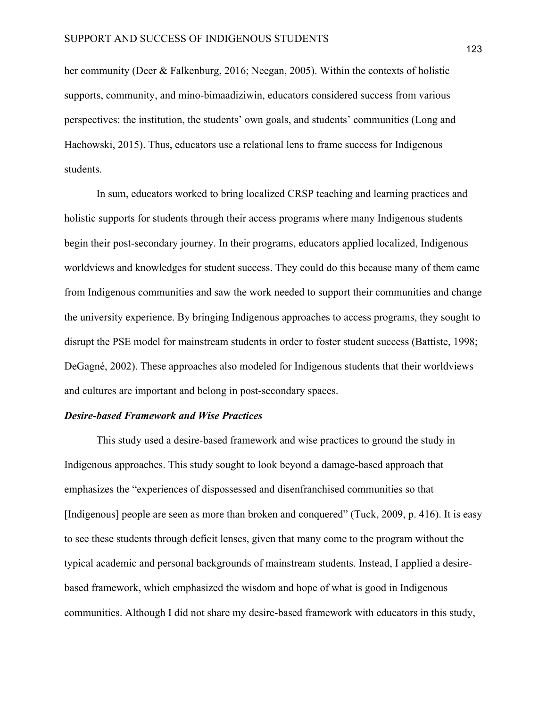her community (Deer & Falkenburg, 2016; Neegan, 2005). Within the contexts of holistic supports, community, and mino-bimaadiziwin, educators considered success from various perspectives: the institution, the students' own goals, and students' communities (Long and Hachowski, 2015). Thus, educators use a relational lens to frame success for Indigenous students.

In sum, educators worked to bring localized CRSP teaching and learning practices and holistic supports for students through their access programs where many Indigenous students begin their post-secondary journey. In their programs, educators applied localized, Indigenous worldviews and knowledges for student success. They could do this because many of them came from Indigenous communities and saw the work needed to support their communities and change the university experience. By bringing Indigenous approaches to access programs, they sought to disrupt the PSE model for mainstream students in order to foster student success (Battiste, 1998; DeGagné, 2002). These approaches also modeled for Indigenous students that their worldviews and cultures are important and belong in post-secondary spaces.

#### *Desire-based Framework and Wise Practices*

This study used a desire-based framework and wise practices to ground the study in Indigenous approaches. This study sought to look beyond a damage-based approach that emphasizes the "experiences of dispossessed and disenfranchised communities so that [Indigenous] people are seen as more than broken and conquered" (Tuck, 2009, p. 416). It is easy to see these students through deficit lenses, given that many come to the program without the typical academic and personal backgrounds of mainstream students. Instead, I applied a desirebased framework, which emphasized the wisdom and hope of what is good in Indigenous communities. Although I did not share my desire-based framework with educators in this study,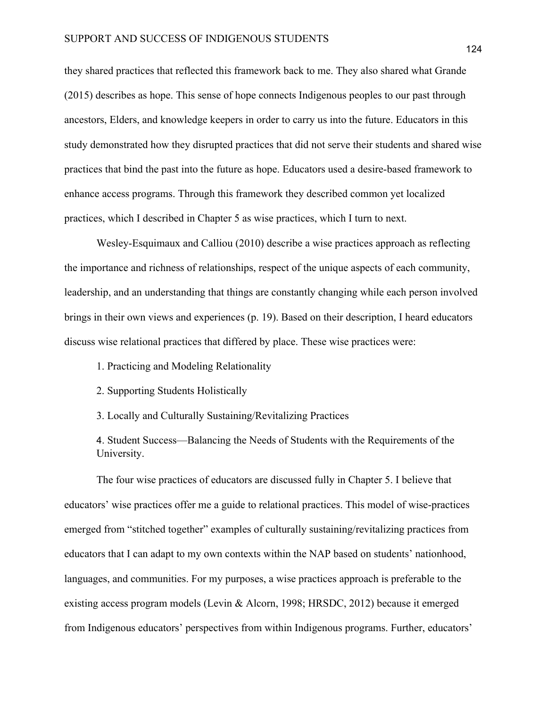they shared practices that reflected this framework back to me. They also shared what Grande (2015) describes as hope. This sense of hope connects Indigenous peoples to our past through ancestors, Elders, and knowledge keepers in order to carry us into the future. Educators in this study demonstrated how they disrupted practices that did not serve their students and shared wise practices that bind the past into the future as hope. Educators used a desire-based framework to enhance access programs. Through this framework they described common yet localized practices, which I described in Chapter 5 as wise practices, which I turn to next.

Wesley-Esquimaux and Calliou (2010) describe a wise practices approach as reflecting the importance and richness of relationships, respect of the unique aspects of each community, leadership, and an understanding that things are constantly changing while each person involved brings in their own views and experiences (p. 19). Based on their description, I heard educators discuss wise relational practices that differed by place. These wise practices were:

- 1. Practicing and Modeling Relationality
- 2. Supporting Students Holistically
- 3. Locally and Culturally Sustaining/Revitalizing Practices

4. Student Success—Balancing the Needs of Students with the Requirements of the University.

The four wise practices of educators are discussed fully in Chapter 5. I believe that educators' wise practices offer me a guide to relational practices. This model of wise-practices emerged from "stitched together" examples of culturally sustaining/revitalizing practices from educators that I can adapt to my own contexts within the NAP based on students' nationhood, languages, and communities. For my purposes, a wise practices approach is preferable to the existing access program models (Levin & Alcorn, 1998; HRSDC, 2012) because it emerged from Indigenous educators' perspectives from within Indigenous programs. Further, educators'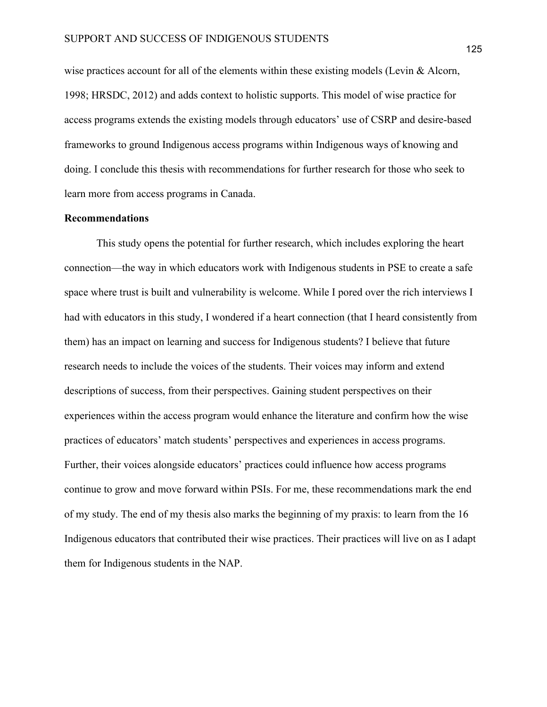wise practices account for all of the elements within these existing models (Levin & Alcorn, 1998; HRSDC, 2012) and adds context to holistic supports. This model of wise practice for access programs extends the existing models through educators' use of CSRP and desire-based frameworks to ground Indigenous access programs within Indigenous ways of knowing and doing. I conclude this thesis with recommendations for further research for those who seek to learn more from access programs in Canada.

#### **Recommendations**

This study opens the potential for further research, which includes exploring the heart connection—the way in which educators work with Indigenous students in PSE to create a safe space where trust is built and vulnerability is welcome. While I pored over the rich interviews I had with educators in this study, I wondered if a heart connection (that I heard consistently from them) has an impact on learning and success for Indigenous students? I believe that future research needs to include the voices of the students. Their voices may inform and extend descriptions of success, from their perspectives. Gaining student perspectives on their experiences within the access program would enhance the literature and confirm how the wise practices of educators' match students' perspectives and experiences in access programs. Further, their voices alongside educators' practices could influence how access programs continue to grow and move forward within PSIs. For me, these recommendations mark the end of my study. The end of my thesis also marks the beginning of my praxis: to learn from the 16 Indigenous educators that contributed their wise practices. Their practices will live on as I adapt them for Indigenous students in the NAP.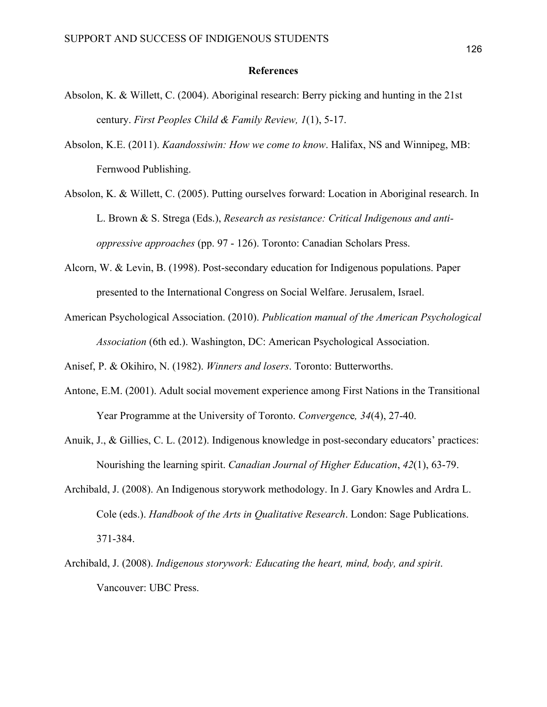#### **References**

- Absolon, K. & Willett, C. (2004). Aboriginal research: Berry picking and hunting in the 21st century. *First Peoples Child & Family Review, 1*(1), 5-17.
- Absolon, K.E. (2011). *Kaandossiwin: How we come to know*. Halifax, NS and Winnipeg, MB: Fernwood Publishing.
- Absolon, K. & Willett, C. (2005). Putting ourselves forward: Location in Aboriginal research. In L. Brown & S. Strega (Eds.), *Research as resistance: Critical Indigenous and antioppressive approaches* (pp. 97 - 126). Toronto: Canadian Scholars Press.
- Alcorn, W. & Levin, B. (1998). Post-secondary education for Indigenous populations. Paper presented to the International Congress on Social Welfare. Jerusalem, Israel.
- American Psychological Association. (2010). *Publication manual of the American Psychological Association* (6th ed.). Washington, DC: American Psychological Association.

Anisef, P. & Okihiro, N. (1982). *Winners and losers*. Toronto: Butterworths.

- Antone, E.M. (2001). Adult social movement experience among First Nations in the Transitional Year Programme at the University of Toronto. *Convergenc*e*, 34*(4), 27-40.
- Anuik, J., & Gillies, C. L. (2012). Indigenous knowledge in post-secondary educators' practices: Nourishing the learning spirit. *Canadian Journal of Higher Education*, *42*(1), 63-79.
- Archibald, J. (2008). An Indigenous storywork methodology. In J. Gary Knowles and Ardra L. Cole (eds.). *Handbook of the Arts in Qualitative Research*. London: Sage Publications. 371-384.
- Archibald, J. (2008). *Indigenous storywork: Educating the heart, mind, body, and spirit*. Vancouver: UBC Press.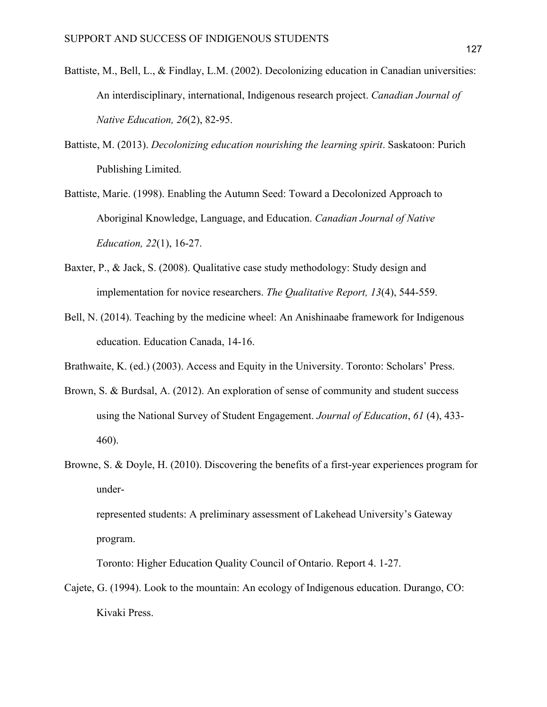- Battiste, M., Bell, L., & Findlay, L.M. (2002). Decolonizing education in Canadian universities: An interdisciplinary, international, Indigenous research project. *Canadian Journal of Native Education, 26*(2), 82-95.
- Battiste, M. (2013). *Decolonizing education nourishing the learning spirit*. Saskatoon: Purich Publishing Limited.
- Battiste, Marie. (1998). Enabling the Autumn Seed: Toward a Decolonized Approach to Aboriginal Knowledge, Language, and Education. *Canadian Journal of Native Education, 22*(1), 16-27.
- Baxter, P., & Jack, S. (2008). Qualitative case study methodology: Study design and implementation for novice researchers. *The Qualitative Report, 13*(4), 544-559.
- Bell, N. (2014). Teaching by the medicine wheel: An Anishinaabe framework for Indigenous education. Education Canada, 14-16.

Brathwaite, K. (ed.) (2003). Access and Equity in the University. Toronto: Scholars' Press.

- Brown, S. & Burdsal, A. (2012). An exploration of sense of community and student success using the National Survey of Student Engagement. *Journal of Education*, *61* (4), 433- 460).
- Browne, S. & Doyle, H. (2010). Discovering the benefits of a first-year experiences program for under-

represented students: A preliminary assessment of Lakehead University's Gateway program.

Toronto: Higher Education Quality Council of Ontario. Report 4. 1-27.

Cajete, G. (1994). Look to the mountain: An ecology of Indigenous education. Durango, CO: Kivaki Press.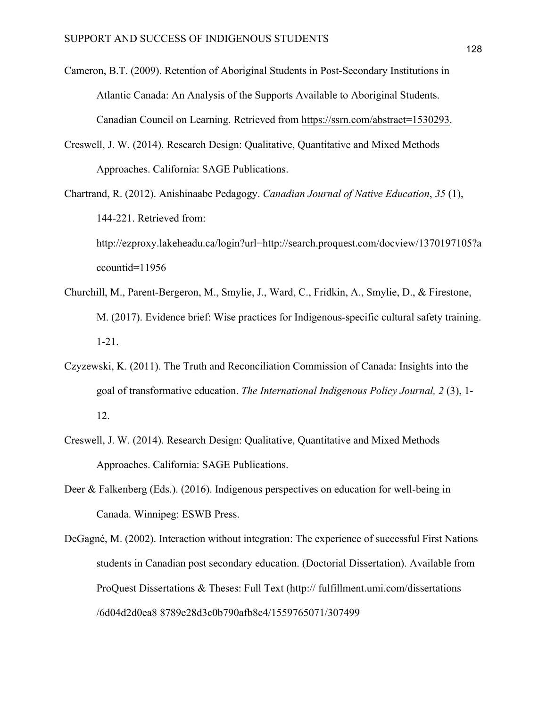- Cameron, B.T. (2009). Retention of Aboriginal Students in Post-Secondary Institutions in Atlantic Canada: An Analysis of the Supports Available to Aboriginal Students. Canadian Council on Learning. Retrieved from https://ssrn.com/abstract=1530293.
- Creswell, J. W. (2014). Research Design: Qualitative, Quantitative and Mixed Methods Approaches. California: SAGE Publications.
- Chartrand, R. (2012). Anishinaabe Pedagogy. *Canadian Journal of Native Education*, *35* (1), 144-221. Retrieved from: http://ezproxy.lakeheadu.ca/login?url=http://search.proquest.com/docview/1370197105?a ccountid=11956
- Churchill, M., Parent-Bergeron, M., Smylie, J., Ward, C., Fridkin, A., Smylie, D., & Firestone, M. (2017). Evidence brief: Wise practices for Indigenous-specific cultural safety training. 1-21.
- Czyzewski, K. (2011). The Truth and Reconciliation Commission of Canada: Insights into the goal of transformative education. *The International Indigenous Policy Journal, 2* (3), 1- 12.
- Creswell, J. W. (2014). Research Design: Qualitative, Quantitative and Mixed Methods Approaches. California: SAGE Publications.
- Deer & Falkenberg (Eds.). (2016). Indigenous perspectives on education for well-being in Canada. Winnipeg: ESWB Press.
- DeGagné, M. (2002). Interaction without integration: The experience of successful First Nations students in Canadian post secondary education. (Doctorial Dissertation). Available from ProQuest Dissertations & Theses: Full Text (http:// fulfillment.umi.com/dissertations /6d04d2d0ea8 8789e28d3c0b790afb8c4/1559765071/307499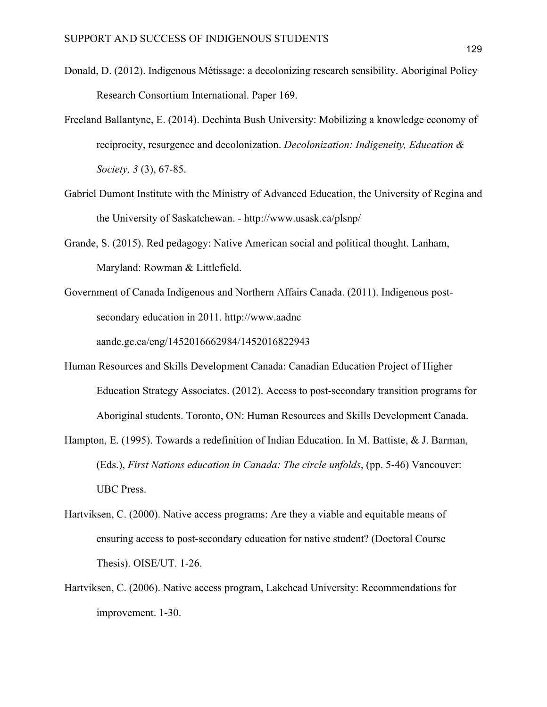- Donald, D. (2012). Indigenous Métissage: a decolonizing research sensibility. Aboriginal Policy Research Consortium International. Paper 169.
- Freeland Ballantyne, E. (2014). Dechinta Bush University: Mobilizing a knowledge economy of reciprocity, resurgence and decolonization. *Decolonization: Indigeneity, Education & Society, 3* (3), 67-85.
- Gabriel Dumont Institute with the Ministry of Advanced Education, the University of Regina and the University of Saskatchewan. - http://www.usask.ca/plsnp/
- Grande, S. (2015). Red pedagogy: Native American social and political thought. Lanham, Maryland: Rowman & Littlefield.
- Government of Canada Indigenous and Northern Affairs Canada. (2011). Indigenous postsecondary education in 2011. http://www.aadnc aandc.gc.ca/eng/1452016662984/1452016822943
- Human Resources and Skills Development Canada: Canadian Education Project of Higher Education Strategy Associates. (2012). Access to post-secondary transition programs for Aboriginal students. Toronto, ON: Human Resources and Skills Development Canada.
- Hampton, E. (1995). Towards a redefinition of Indian Education. In M. Battiste, & J. Barman, (Eds.), *First Nations education in Canada: The circle unfolds*, (pp. 5-46) Vancouver: UBC Press.
- Hartviksen, C. (2000). Native access programs: Are they a viable and equitable means of ensuring access to post-secondary education for native student? (Doctoral Course Thesis). OISE/UT. 1-26.
- Hartviksen, C. (2006). Native access program, Lakehead University: Recommendations for improvement. 1-30.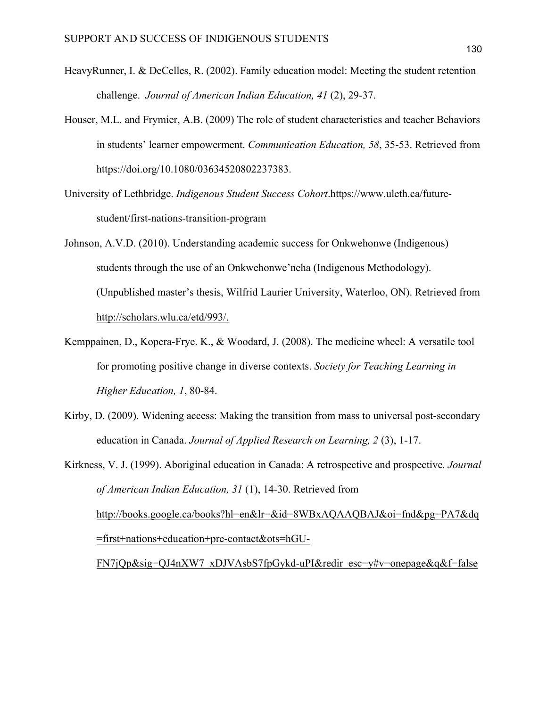- HeavyRunner, I. & DeCelles, R. (2002). Family education model: Meeting the student retention challenge. *Journal of American Indian Education, 41* (2), 29-37.
- Houser, M.L. and Frymier, A.B. (2009) The role of student characteristics and teacher Behaviors in students' learner empowerment. *Communication Education, 58*, 35-53. Retrieved from https://doi.org/10.1080/03634520802237383.
- University of Lethbridge. *Indigenous Student Success Cohort*.https://www.uleth.ca/futurestudent/first-nations-transition-program
- Johnson, A.V.D. (2010). Understanding academic success for Onkwehonwe (Indigenous) students through the use of an Onkwehonwe'neha (Indigenous Methodology). (Unpublished master's thesis, Wilfrid Laurier University, Waterloo, ON). Retrieved from http://scholars.wlu.ca/etd/993/.
- Kemppainen, D., Kopera-Frye. K., & Woodard, J. (2008). The medicine wheel: A versatile tool for promoting positive change in diverse contexts. *Society for Teaching Learning in Higher Education, 1*, 80-84.
- Kirby, D. (2009). Widening access: Making the transition from mass to universal post-secondary education in Canada. *Journal of Applied Research on Learning, 2* (3), 1-17.
- Kirkness, V. J. (1999). Aboriginal education in Canada: A retrospective and prospective*. Journal of American Indian Education, 31* (1), 14-30. Retrieved from http://books.google.ca/books?hl=en&lr=&id=8WBxAQAAQBAJ&oi=fnd&pg=PA7&dq =first+nations+education+pre-contact&ots=hGU-FN7jQp&sig=QJ4nXW7\_xDJVAsbS7fpGykd-uPI&redir\_esc=y#v=onepage&q&f=false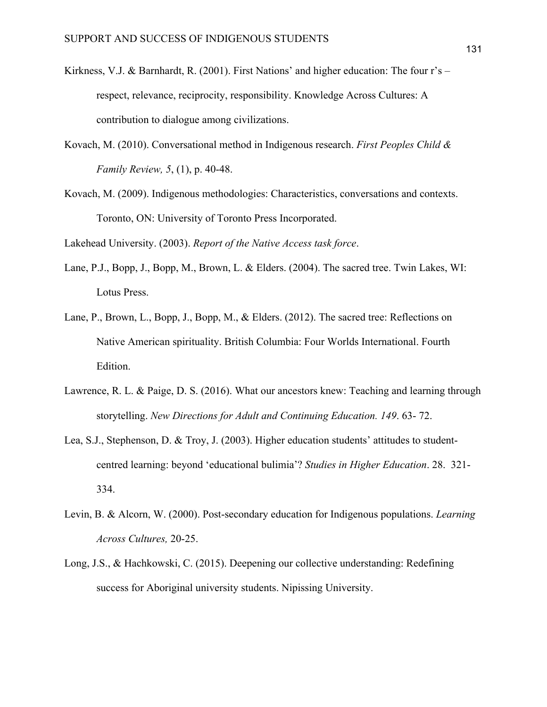- Kirkness, V.J. & Barnhardt, R. (2001). First Nations' and higher education: The four r's respect, relevance, reciprocity, responsibility. Knowledge Across Cultures: A contribution to dialogue among civilizations.
- Kovach, M. (2010). Conversational method in Indigenous research. *First Peoples Child & Family Review, 5*, (1), p. 40-48.
- Kovach, M. (2009). Indigenous methodologies: Characteristics, conversations and contexts. Toronto, ON: University of Toronto Press Incorporated.

Lakehead University. (2003). *Report of the Native Access task force*.

- Lane, P.J., Bopp, J., Bopp, M., Brown, L. & Elders. (2004). The sacred tree. Twin Lakes, WI: Lotus Press.
- Lane, P., Brown, L., Bopp, J., Bopp, M., & Elders. (2012). The sacred tree: Reflections on Native American spirituality. British Columbia: Four Worlds International. Fourth Edition.
- Lawrence, R. L. & Paige, D. S. (2016). What our ancestors knew: Teaching and learning through storytelling. *New Directions for Adult and Continuing Education. 149*. 63- 72.
- Lea, S.J., Stephenson, D. & Troy, J. (2003). Higher education students' attitudes to studentcentred learning: beyond 'educational bulimia'? *Studies in Higher Education*. 28. 321- 334.
- Levin, B. & Alcorn, W. (2000). Post-secondary education for Indigenous populations. *Learning Across Cultures,* 20-25.
- Long, J.S., & Hachkowski, C. (2015). Deepening our collective understanding: Redefining success for Aboriginal university students. Nipissing University.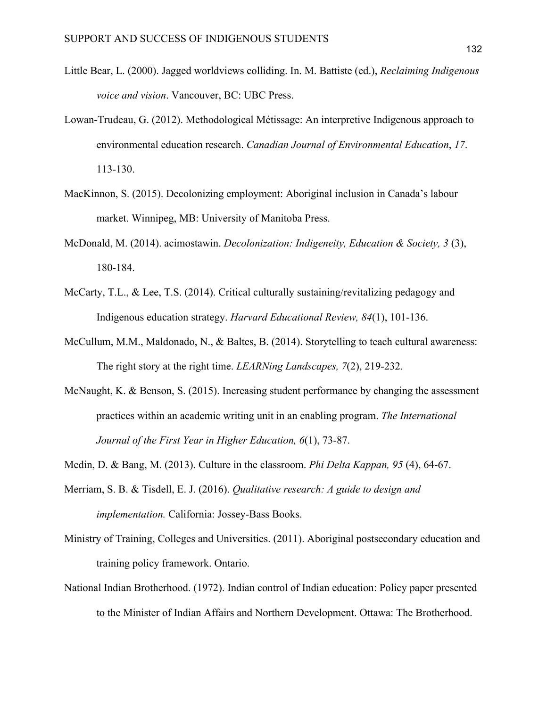- Little Bear, L. (2000). Jagged worldviews colliding. In. M. Battiste (ed.), *Reclaiming Indigenous voice and vision*. Vancouver, BC: UBC Press.
- Lowan-Trudeau, G. (2012). Methodological Métissage: An interpretive Indigenous approach to environmental education research. *Canadian Journal of Environmental Education*, *17*. 113-130.
- MacKinnon, S. (2015). Decolonizing employment: Aboriginal inclusion in Canada's labour market. Winnipeg, MB: University of Manitoba Press.
- McDonald, M. (2014). acimostawin. *Decolonization: Indigeneity, Education & Society, 3* (3), 180-184.
- McCarty, T.L., & Lee, T.S. (2014). Critical culturally sustaining/revitalizing pedagogy and Indigenous education strategy. *Harvard Educational Review, 84*(1), 101-136.
- McCullum, M.M., Maldonado, N., & Baltes, B. (2014). Storytelling to teach cultural awareness: The right story at the right time. *LEARNing Landscapes, 7*(2), 219-232.
- McNaught, K. & Benson, S. (2015). Increasing student performance by changing the assessment practices within an academic writing unit in an enabling program. *The International Journal of the First Year in Higher Education, 6*(1), 73-87.
- Medin, D. & Bang, M. (2013). Culture in the classroom. *Phi Delta Kappan, 95* (4), 64-67.
- Merriam, S. B. & Tisdell, E. J. (2016). *Qualitative research: A guide to design and implementation.* California: Jossey-Bass Books.
- Ministry of Training, Colleges and Universities. (2011). Aboriginal postsecondary education and training policy framework. Ontario.
- National Indian Brotherhood. (1972). Indian control of Indian education: Policy paper presented to the Minister of Indian Affairs and Northern Development. Ottawa: The Brotherhood.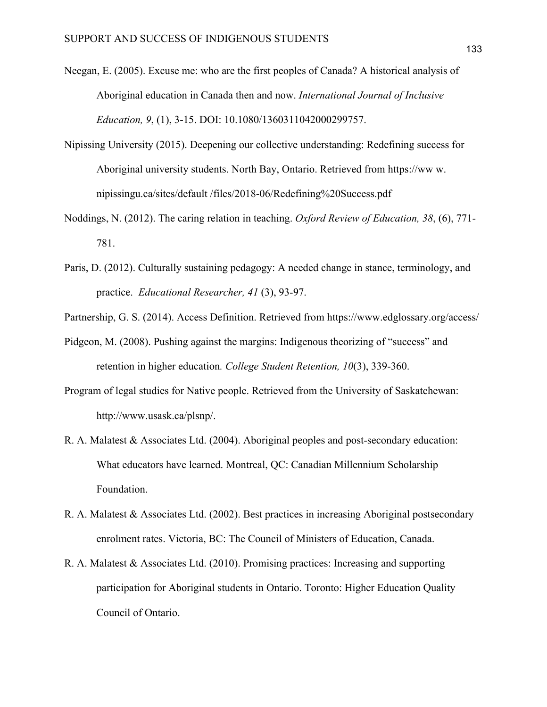- Neegan, E. (2005). Excuse me: who are the first peoples of Canada? A historical analysis of Aboriginal education in Canada then and now. *International Journal of Inclusive Education, 9*, (1), 3-15. DOI: 10.1080/1360311042000299757.
- Nipissing University (2015). Deepening our collective understanding: Redefining success for Aboriginal university students. North Bay, Ontario. Retrieved from https://ww w. nipissingu.ca/sites/default /files/2018-06/Redefining%20Success.pdf
- Noddings, N. (2012). The caring relation in teaching. *Oxford Review of Education, 38*, (6), 771- 781.
- Paris, D. (2012). Culturally sustaining pedagogy: A needed change in stance, terminology, and practice. *Educational Researcher, 41* (3), 93-97.

Partnership, G. S. (2014). Access Definition. Retrieved from https://www.edglossary.org/access/

- Pidgeon, M. (2008). Pushing against the margins: Indigenous theorizing of "success" and retention in higher education*. College Student Retention, 10*(3), 339-360.
- Program of legal studies for Native people. Retrieved from the University of Saskatchewan: http://www.usask.ca/plsnp/.
- R. A. Malatest & Associates Ltd. (2004). Aboriginal peoples and post-secondary education: What educators have learned. Montreal, QC: Canadian Millennium Scholarship Foundation.
- R. A. Malatest & Associates Ltd. (2002). Best practices in increasing Aboriginal postsecondary enrolment rates. Victoria, BC: The Council of Ministers of Education, Canada.
- R. A. Malatest & Associates Ltd. (2010). Promising practices: Increasing and supporting participation for Aboriginal students in Ontario. Toronto: Higher Education Quality Council of Ontario.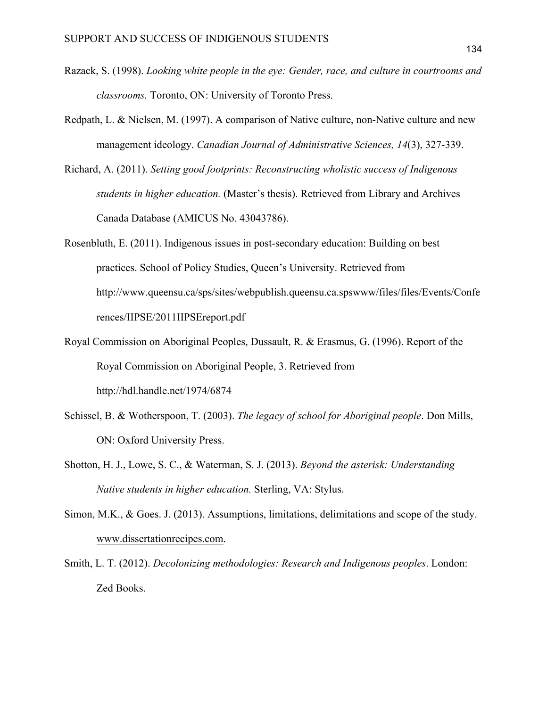- Razack, S. (1998). *Looking white people in the eye: Gender, race, and culture in courtrooms and classrooms.* Toronto, ON: University of Toronto Press.
- Redpath, L. & Nielsen, M. (1997). A comparison of Native culture, non-Native culture and new management ideology. *Canadian Journal of Administrative Sciences, 14*(3), 327-339.
- Richard, A. (2011). *Setting good footprints: Reconstructing wholistic success of Indigenous students in higher education.* (Master's thesis). Retrieved from Library and Archives Canada Database (AMICUS No. 43043786).
- Rosenbluth, E. (2011). Indigenous issues in post-secondary education: Building on best practices. School of Policy Studies, Queen's University. Retrieved from http://www.queensu.ca/sps/sites/webpublish.queensu.ca.spswww/files/files/Events/Confe rences/IIPSE/2011IIPSEreport.pdf
- Royal Commission on Aboriginal Peoples, Dussault, R. & Erasmus, G. (1996). Report of the Royal Commission on Aboriginal People, 3. Retrieved from http://hdl.handle.net/1974/6874
- Schissel, B. & Wotherspoon, T. (2003). *The legacy of school for Aboriginal people*. Don Mills, ON: Oxford University Press.
- Shotton, H. J., Lowe, S. C., & Waterman, S. J. (2013). *Beyond the asterisk: Understanding Native students in higher education.* Sterling, VA: Stylus.
- Simon, M.K., & Goes. J. (2013). Assumptions, limitations, delimitations and scope of the study. www.dissertationrecipes.com.
- Smith, L. T. (2012). *Decolonizing methodologies: Research and Indigenous peoples*. London: Zed Books.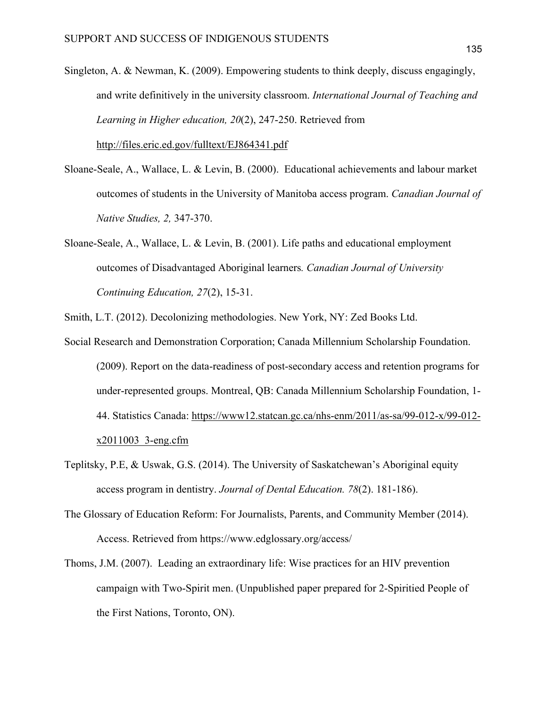- Singleton, A. & Newman, K. (2009). Empowering students to think deeply, discuss engagingly, and write definitively in the university classroom. *International Journal of Teaching and Learning in Higher education, 20*(2), 247-250. Retrieved from http://files.eric.ed.gov/fulltext/EJ864341.pdf
- Sloane-Seale, A., Wallace, L. & Levin, B. (2000). Educational achievements and labour market outcomes of students in the University of Manitoba access program. *Canadian Journal of Native Studies, 2,* 347-370.
- Sloane-Seale, A., Wallace, L. & Levin, B. (2001). Life paths and educational employment outcomes of Disadvantaged Aboriginal learners*. Canadian Journal of University Continuing Education, 27*(2), 15-31.
- Smith, L.T. (2012). Decolonizing methodologies. New York, NY: Zed Books Ltd.
- Social Research and Demonstration Corporation; Canada Millennium Scholarship Foundation. (2009). Report on the data-readiness of post-secondary access and retention programs for under-represented groups. Montreal, QB: Canada Millennium Scholarship Foundation, 1- 44. Statistics Canada: https://www12.statcan.gc.ca/nhs-enm/2011/as-sa/99-012-x/99-012 x2011003\_3-eng.cfm
- Teplitsky, P.E, & Uswak, G.S. (2014). The University of Saskatchewan's Aboriginal equity access program in dentistry. *Journal of Dental Education. 78*(2). 181-186).
- The Glossary of Education Reform: For Journalists, Parents, and Community Member (2014). Access. Retrieved from https://www.edglossary.org/access/
- Thoms, J.M. (2007). Leading an extraordinary life: Wise practices for an HIV prevention campaign with Two-Spirit men. (Unpublished paper prepared for 2-Spiritied People of the First Nations, Toronto, ON).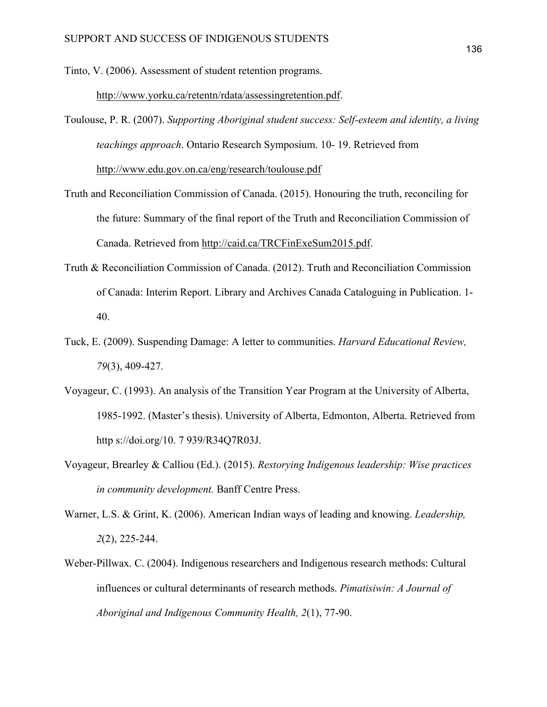Tinto, V. (2006). Assessment of student retention programs.

http://www.yorku.ca/retentn/rdata/assessingretention.pdf.

- Toulouse, P. R. (2007). *Supporting Aboriginal student success: Self-esteem and identity, a living teachings approach*. Ontario Research Symposium. 10- 19. Retrieved from http://www.edu.gov.on.ca/eng/research/toulouse.pdf
- Truth and Reconciliation Commission of Canada. (2015). Honouring the truth, reconciling for the future: Summary of the final report of the Truth and Reconciliation Commission of Canada. Retrieved from http://caid.ca/TRCFinExeSum2015.pdf.
- Truth & Reconciliation Commission of Canada. (2012). Truth and Reconciliation Commission of Canada: Interim Report. Library and Archives Canada Cataloguing in Publication. 1- 40.
- Tuck, E. (2009). Suspending Damage: A letter to communities. *Harvard Educational Review, 79*(3), 409-427.
- Voyageur, C. (1993). An analysis of the Transition Year Program at the University of Alberta, 1985-1992. (Master's thesis). University of Alberta, Edmonton, Alberta. Retrieved from http s://doi.org/10. 7 939/R34Q7R03J.
- Voyageur, Brearley & Calliou (Ed.). (2015). *Restorying Indigenous leadership: Wise practices in community development.* Banff Centre Press.
- Warner, L.S. & Grint, K. (2006). American Indian ways of leading and knowing. *Leadership, 2*(2), 225-244.
- Weber-Pillwax. C. (2004). Indigenous researchers and Indigenous research methods: Cultural influences or cultural determinants of research methods. *Pimatisiwin: A Journal of Aboriginal and Indigenous Community Health, 2*(1), 77-90.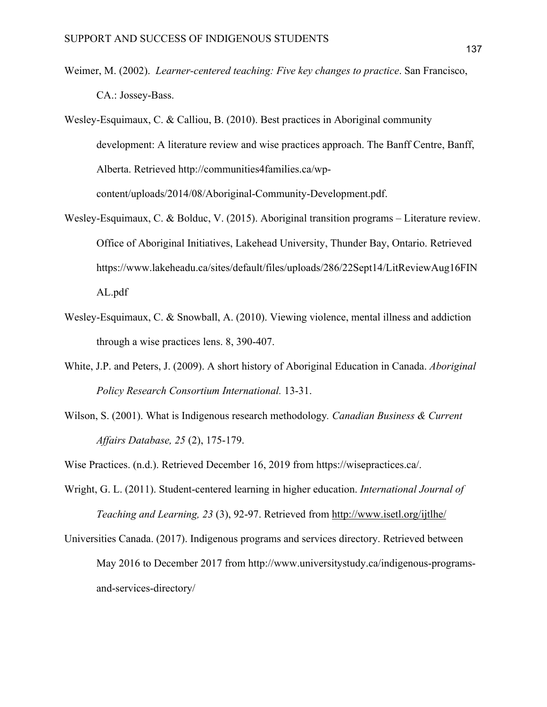- Weimer, M. (2002). *Learner-centered teaching: Five key changes to practice*. San Francisco, CA.: Jossey-Bass.
- Wesley-Esquimaux, C. & Calliou, B. (2010). Best practices in Aboriginal community development: A literature review and wise practices approach. The Banff Centre, Banff, Alberta. Retrieved http://communities4families.ca/wpcontent/uploads/2014/08/Aboriginal-Community-Development.pdf.
- Wesley-Esquimaux, C. & Bolduc, V. (2015). Aboriginal transition programs Literature review. Office of Aboriginal Initiatives, Lakehead University, Thunder Bay, Ontario. Retrieved https://www.lakeheadu.ca/sites/default/files/uploads/286/22Sept14/LitReviewAug16FIN AL.pdf
- Wesley-Esquimaux, C. & Snowball, A. (2010). Viewing violence, mental illness and addiction through a wise practices lens. 8, 390-407.
- White, J.P. and Peters, J. (2009). A short history of Aboriginal Education in Canada. *Aboriginal Policy Research Consortium International.* 13-31.
- Wilson, S. (2001). What is Indigenous research methodology*. Canadian Business & Current Affairs Database, 25* (2), 175-179.

Wise Practices. (n.d.). Retrieved December 16, 2019 from https://wisepractices.ca/.

- Wright, G. L. (2011). Student-centered learning in higher education. *International Journal of Teaching and Learning, 23* (3), 92-97. Retrieved from http://www.isetl.org/ijtlhe/
- Universities Canada. (2017). Indigenous programs and services directory. Retrieved between May 2016 to December 2017 from http://www.universitystudy.ca/indigenous-programsand-services-directory/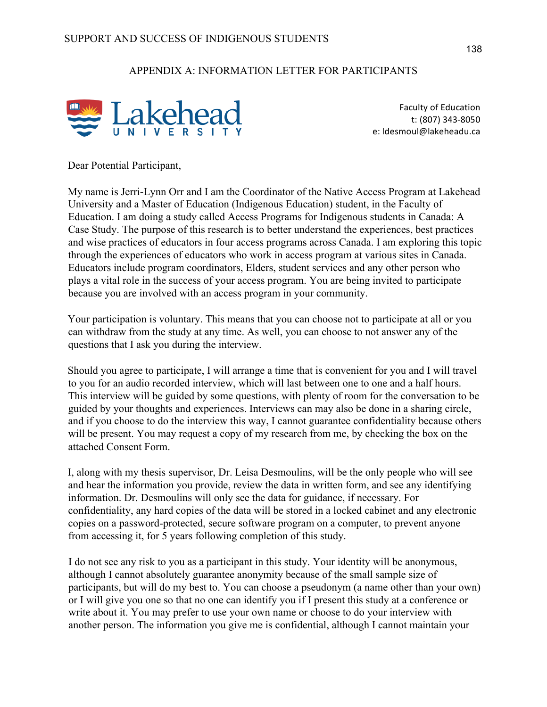## APPENDIX A: INFORMATION LETTER FOR PARTICIPANTS



Faculty of Education t: (807) 343-8050 e: Idesmoul@lakeheadu.ca

Dear Potential Participant,

My name is Jerri-Lynn Orr and I am the Coordinator of the Native Access Program at Lakehead University and a Master of Education (Indigenous Education) student, in the Faculty of Education. I am doing a study called Access Programs for Indigenous students in Canada: A Case Study. The purpose of this research is to better understand the experiences, best practices and wise practices of educators in four access programs across Canada. I am exploring this topic through the experiences of educators who work in access program at various sites in Canada. Educators include program coordinators, Elders, student services and any other person who plays a vital role in the success of your access program. You are being invited to participate because you are involved with an access program in your community.

Your participation is voluntary. This means that you can choose not to participate at all or you can withdraw from the study at any time. As well, you can choose to not answer any of the questions that I ask you during the interview.

Should you agree to participate, I will arrange a time that is convenient for you and I will travel to you for an audio recorded interview, which will last between one to one and a half hours. This interview will be guided by some questions, with plenty of room for the conversation to be guided by your thoughts and experiences. Interviews can may also be done in a sharing circle, and if you choose to do the interview this way, I cannot guarantee confidentiality because others will be present. You may request a copy of my research from me, by checking the box on the attached Consent Form.

I, along with my thesis supervisor, Dr. Leisa Desmoulins, will be the only people who will see and hear the information you provide, review the data in written form, and see any identifying information. Dr. Desmoulins will only see the data for guidance, if necessary. For confidentiality, any hard copies of the data will be stored in a locked cabinet and any electronic copies on a password-protected, secure software program on a computer, to prevent anyone from accessing it, for 5 years following completion of this study.

I do not see any risk to you as a participant in this study. Your identity will be anonymous, although I cannot absolutely guarantee anonymity because of the small sample size of participants, but will do my best to. You can choose a pseudonym (a name other than your own) or I will give you one so that no one can identify you if I present this study at a conference or write about it. You may prefer to use your own name or choose to do your interview with another person. The information you give me is confidential, although I cannot maintain your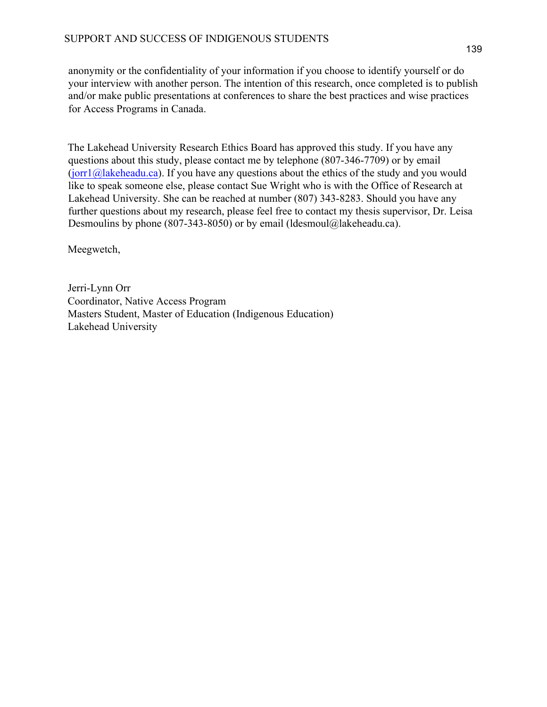anonymity or the confidentiality of your information if you choose to identify yourself or do your interview with another person. The intention of this research, once completed is to publish and/or make public presentations at conferences to share the best practices and wise practices for Access Programs in Canada.

The Lakehead University Research Ethics Board has approved this study. If you have any questions about this study, please contact me by telephone (807-346-7709) or by email  $(jort1@]akeheadu.ca)$ . If you have any questions about the ethics of the study and you would like to speak someone else, please contact Sue Wright who is with the Office of Research at Lakehead University. She can be reached at number (807) 343-8283. Should you have any further questions about my research, please feel free to contact my thesis supervisor, Dr. Leisa Desmoulins by phone (807-343-8050) or by email (ldesmoul@lakeheadu.ca).

Meegwetch,

Jerri-Lynn Orr Coordinator, Native Access Program Masters Student, Master of Education (Indigenous Education) Lakehead University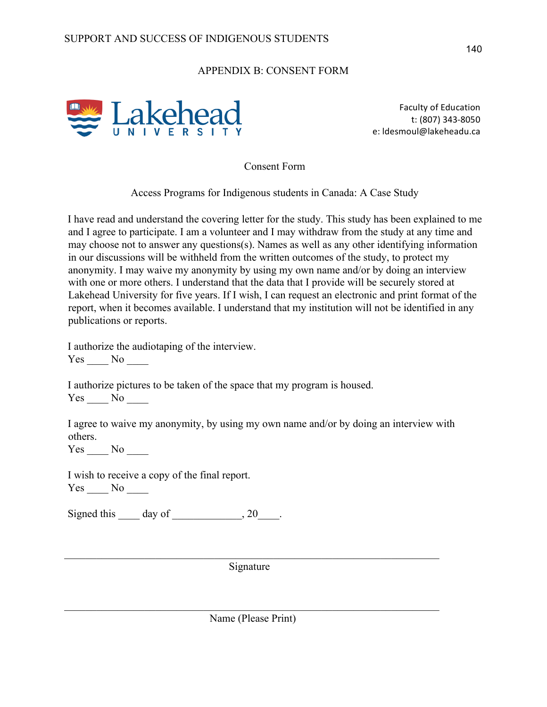## APPENDIX B: CONSENT FORM



Faculty of Education t: (807) 343-8050 e: Idesmoul@lakeheadu.ca

Consent Form

Access Programs for Indigenous students in Canada: A Case Study

I have read and understand the covering letter for the study. This study has been explained to me and I agree to participate. I am a volunteer and I may withdraw from the study at any time and may choose not to answer any questions(s). Names as well as any other identifying information in our discussions will be withheld from the written outcomes of the study, to protect my anonymity. I may waive my anonymity by using my own name and/or by doing an interview with one or more others. I understand that the data that I provide will be securely stored at Lakehead University for five years. If I wish, I can request an electronic and print format of the report, when it becomes available. I understand that my institution will not be identified in any publications or reports.

I authorize the audiotaping of the interview. Yes \_\_\_\_ No \_\_\_\_

I authorize pictures to be taken of the space that my program is housed.  $Yes \_\_ No \_\_$ 

I agree to waive my anonymity, by using my own name and/or by doing an interview with others.

Yes No

I wish to receive a copy of the final report. Yes \_\_\_\_ No \_\_\_\_

Signed this  $\qquad \qquad$  day of  $\qquad \qquad$ , 20

 $\_$  , and the set of the set of the set of the set of the set of the set of the set of the set of the set of the set of the set of the set of the set of the set of the set of the set of the set of the set of the set of th Signature

 $\_$  , and the set of the set of the set of the set of the set of the set of the set of the set of the set of the set of the set of the set of the set of the set of the set of the set of the set of the set of the set of th Name (Please Print)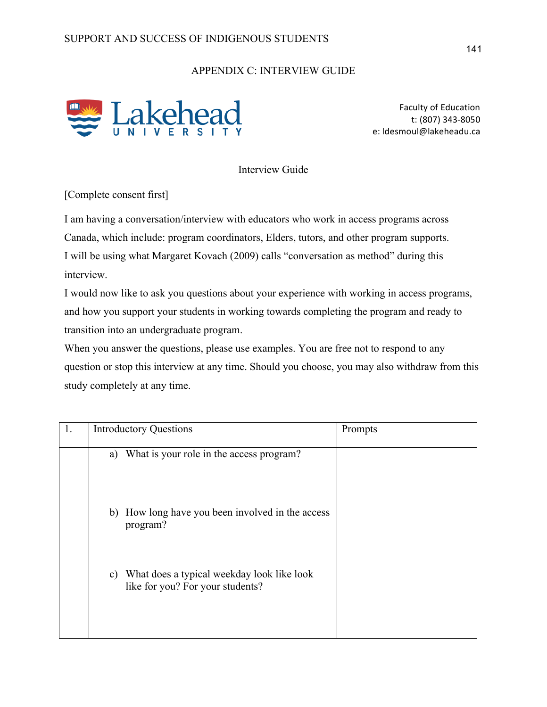## APPENDIX C: INTERVIEW GUIDE



Faculty of Education t: (807) 343-8050 e: Idesmoul@lakeheadu.ca

Interview Guide

[Complete consent first]

I am having a conversation/interview with educators who work in access programs across Canada, which include: program coordinators, Elders, tutors, and other program supports. I will be using what Margaret Kovach (2009) calls "conversation as method" during this interview.

I would now like to ask you questions about your experience with working in access programs, and how you support your students in working towards completing the program and ready to transition into an undergraduate program.

When you answer the questions, please use examples. You are free not to respond to any question or stop this interview at any time. Should you choose, you may also withdraw from this study completely at any time.

| 1. | <b>Introductory Questions</b>                                                        | Prompts |
|----|--------------------------------------------------------------------------------------|---------|
|    | a) What is your role in the access program?                                          |         |
|    | b) How long have you been involved in the access<br>program?                         |         |
|    | What does a typical weekday look like look<br>C)<br>like for you? For your students? |         |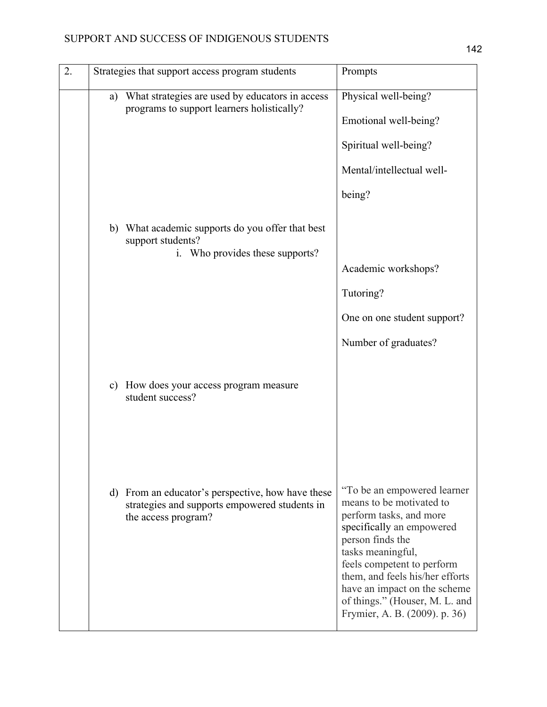| 2. |               | Strategies that support access program students                                                                           | Prompts                                                                                                                                                                                                                                                                                                                       |
|----|---------------|---------------------------------------------------------------------------------------------------------------------------|-------------------------------------------------------------------------------------------------------------------------------------------------------------------------------------------------------------------------------------------------------------------------------------------------------------------------------|
|    | a)            | What strategies are used by educators in access<br>programs to support learners holistically?                             | Physical well-being?<br>Emotional well-being?                                                                                                                                                                                                                                                                                 |
|    |               |                                                                                                                           | Spiritual well-being?                                                                                                                                                                                                                                                                                                         |
|    |               |                                                                                                                           | Mental/intellectual well-                                                                                                                                                                                                                                                                                                     |
|    |               |                                                                                                                           | being?                                                                                                                                                                                                                                                                                                                        |
|    | b)            | What academic supports do you offer that best<br>support students?<br>Who provides these supports?<br>$\mathbf{i}$ .      |                                                                                                                                                                                                                                                                                                                               |
|    |               |                                                                                                                           | Academic workshops?                                                                                                                                                                                                                                                                                                           |
|    |               |                                                                                                                           | Tutoring?                                                                                                                                                                                                                                                                                                                     |
|    |               |                                                                                                                           | One on one student support?                                                                                                                                                                                                                                                                                                   |
|    |               |                                                                                                                           | Number of graduates?                                                                                                                                                                                                                                                                                                          |
|    | $\mathbf{c})$ | How does your access program measure<br>student success?                                                                  |                                                                                                                                                                                                                                                                                                                               |
|    |               |                                                                                                                           |                                                                                                                                                                                                                                                                                                                               |
|    |               | d) From an educator's perspective, how have these<br>strategies and supports empowered students in<br>the access program? | "To be an empowered learner"<br>means to be motivated to<br>perform tasks, and more<br>specifically an empowered<br>person finds the<br>tasks meaningful,<br>feels competent to perform<br>them, and feels his/her efforts<br>have an impact on the scheme<br>of things." (Houser, M. L. and<br>Frymier, A. B. (2009). p. 36) |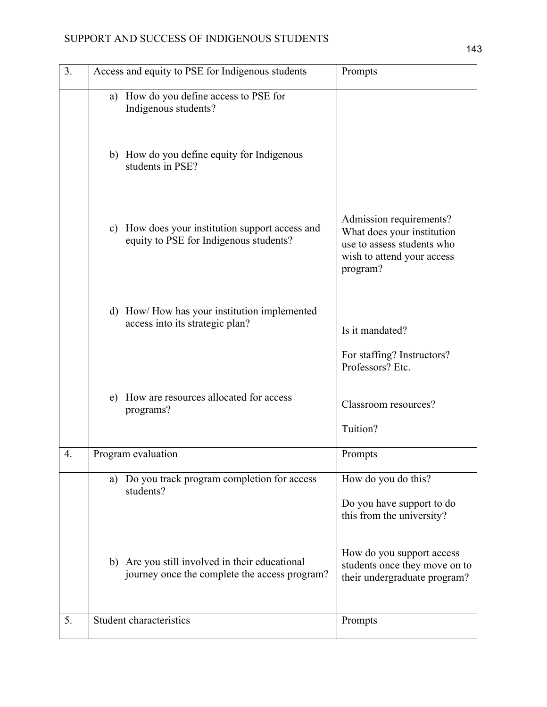## SUPPORT AND SUCCESS OF INDIGENOUS STUDENTS

| 3. | Access and equity to PSE for Indigenous students                                                | Prompts                                                                                                                       |
|----|-------------------------------------------------------------------------------------------------|-------------------------------------------------------------------------------------------------------------------------------|
|    | a) How do you define access to PSE for<br>Indigenous students?                                  |                                                                                                                               |
|    | b) How do you define equity for Indigenous<br>students in PSE?                                  |                                                                                                                               |
|    | c) How does your institution support access and<br>equity to PSE for Indigenous students?       | Admission requirements?<br>What does your institution<br>use to assess students who<br>wish to attend your access<br>program? |
|    | d) How/How has your institution implemented<br>access into its strategic plan?                  | Is it mandated?                                                                                                               |
|    |                                                                                                 | For staffing? Instructors?<br>Professors? Etc.                                                                                |
|    | How are resources allocated for access<br>e)<br>programs?                                       | Classroom resources?                                                                                                          |
|    |                                                                                                 | Tuition?                                                                                                                      |
| 4. | Program evaluation                                                                              | Prompts                                                                                                                       |
|    | a) Do you track program completion for access<br>students?                                      | How do you do this?<br>Do you have support to do<br>this from the university?                                                 |
|    | b) Are you still involved in their educational<br>journey once the complete the access program? | How do you support access<br>students once they move on to<br>their undergraduate program?                                    |
| 5. | Student characteristics                                                                         | Prompts                                                                                                                       |